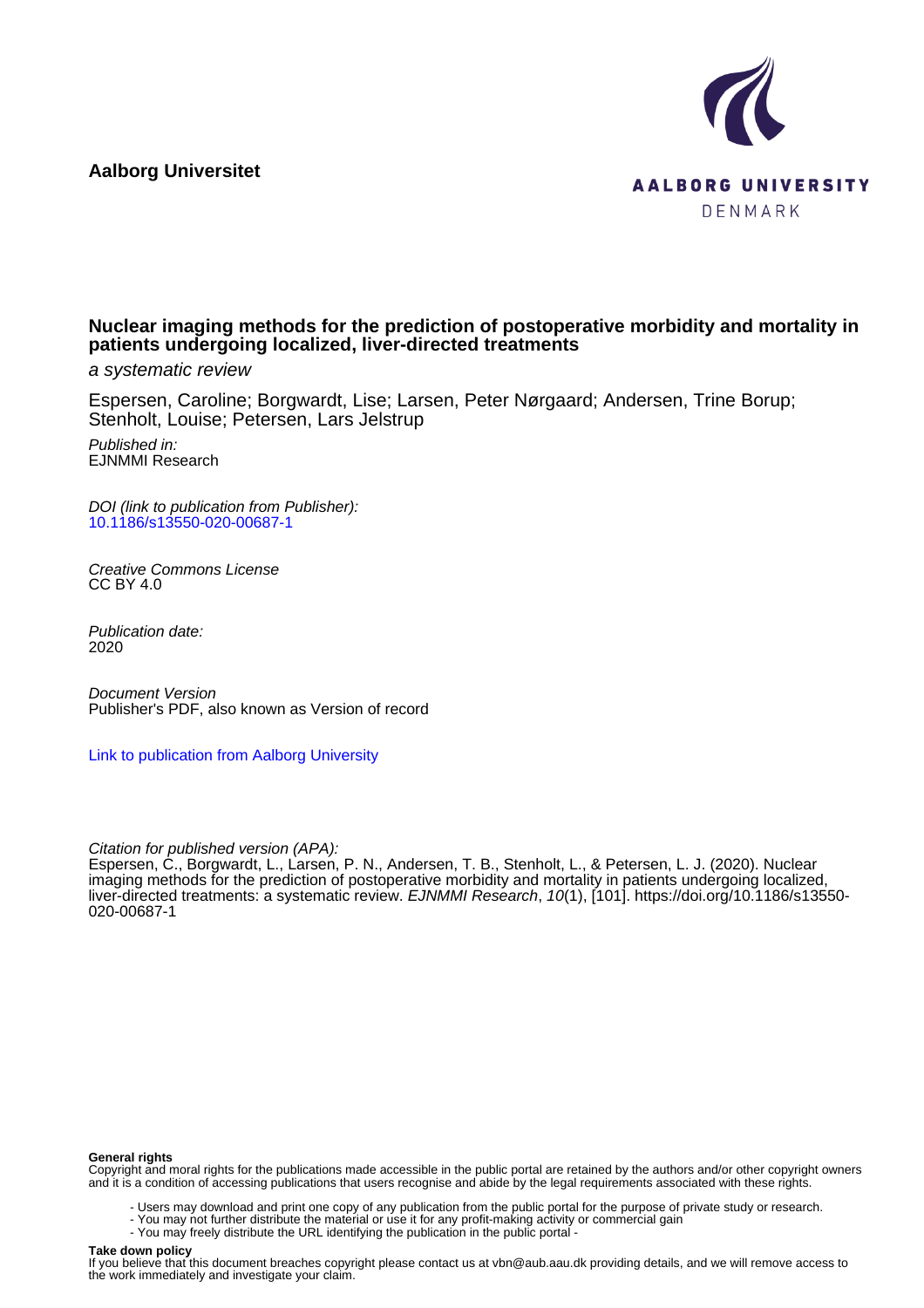**Aalborg Universitet**



# **Nuclear imaging methods for the prediction of postoperative morbidity and mortality in patients undergoing localized, liver-directed treatments**

a systematic review

Espersen, Caroline; Borgwardt, Lise; Larsen, Peter Nørgaard; Andersen, Trine Borup; Stenholt, Louise; Petersen, Lars Jelstrup

Published in: EJNMMI Research

DOI (link to publication from Publisher): [10.1186/s13550-020-00687-1](https://doi.org/10.1186/s13550-020-00687-1)

Creative Commons License CC BY 4.0

Publication date: 2020

Document Version Publisher's PDF, also known as Version of record

[Link to publication from Aalborg University](https://vbn.aau.dk/en/publications/a60a60cf-d0fd-4b83-a48d-d04ba2468a6e)

Citation for published version (APA):

Espersen, C., Borgwardt, L., Larsen, P. N., Andersen, T. B., Stenholt, L., & Petersen, L. J. (2020). Nuclear imaging methods for the prediction of postoperative morbidity and mortality in patients undergoing localized, liver-directed treatments: a systematic review. EJNMMI Research, 10(1), [101]. [https://doi.org/10.1186/s13550-](https://doi.org/10.1186/s13550-020-00687-1) [020-00687-1](https://doi.org/10.1186/s13550-020-00687-1)

#### **General rights**

Copyright and moral rights for the publications made accessible in the public portal are retained by the authors and/or other copyright owners and it is a condition of accessing publications that users recognise and abide by the legal requirements associated with these rights.

- Users may download and print one copy of any publication from the public portal for the purpose of private study or research.
- You may not further distribute the material or use it for any profit-making activity or commercial gain
- You may freely distribute the URL identifying the publication in the public portal -

### **Take down policy**

If you believe that this document breaches copyright please contact us at vbn@aub.aau.dk providing details, and we will remove access to the work immediately and investigate your claim.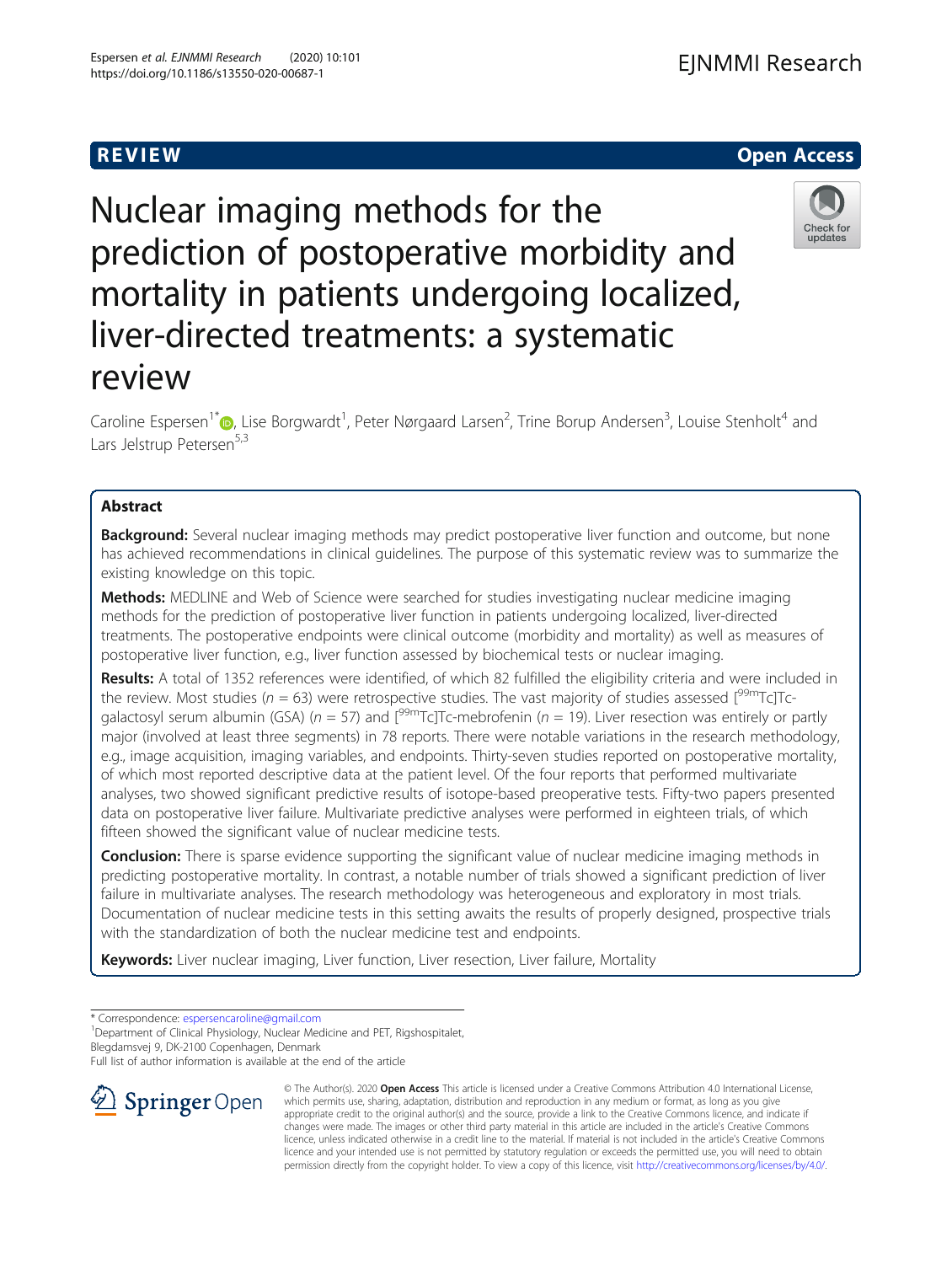# R EVI EW Open Access

Nuclear imaging methods for the prediction of postoperative morbidity and mortality in patients undergoing localized, liver-directed treatments: a systematic review

Caroline Espersen<sup>1[\\*](https://orcid.org/0000-0003-2879-8862)</sup> D, Lise Borgwardt<sup>1</sup>, Peter Nørgaard Larsen<sup>2</sup>, Trine Borup Andersen<sup>3</sup>, Louise Stenholt<sup>4</sup> and Lars Jelstrup Petersen<sup>5,3</sup>

## Abstract

**Background:** Several nuclear imaging methods may predict postoperative liver function and outcome, but none has achieved recommendations in clinical guidelines. The purpose of this systematic review was to summarize the existing knowledge on this topic.

**Methods:** MEDLINE and Web of Science were searched for studies investigating nuclear medicine imaging methods for the prediction of postoperative liver function in patients undergoing localized, liver-directed treatments. The postoperative endpoints were clinical outcome (morbidity and mortality) as well as measures of postoperative liver function, e.g., liver function assessed by biochemical tests or nuclear imaging.

Results: A total of 1352 references were identified, of which 82 fulfilled the eligibility criteria and were included in the review. Most studies ( $n = 63$ ) were retrospective studies. The vast majority of studies assessed  $\int_{0}^{99m}Tc$ ]Tcgalactosyl serum albumin (GSA) ( $n = 57$ ) and  $[{}^{99m}$ Tc]Tc-mebrofenin ( $n = 19$ ). Liver resection was entirely or partly major (involved at least three segments) in 78 reports. There were notable variations in the research methodology, e.g., image acquisition, imaging variables, and endpoints. Thirty-seven studies reported on postoperative mortality, of which most reported descriptive data at the patient level. Of the four reports that performed multivariate analyses, two showed significant predictive results of isotope-based preoperative tests. Fifty-two papers presented data on postoperative liver failure. Multivariate predictive analyses were performed in eighteen trials, of which fifteen showed the significant value of nuclear medicine tests.

**Conclusion:** There is sparse evidence supporting the significant value of nuclear medicine imaging methods in predicting postoperative mortality. In contrast, a notable number of trials showed a significant prediction of liver failure in multivariate analyses. The research methodology was heterogeneous and exploratory in most trials. Documentation of nuclear medicine tests in this setting awaits the results of properly designed, prospective trials with the standardization of both the nuclear medicine test and endpoints.

Keywords: Liver nuclear imaging, Liver function, Liver resection, Liver failure, Mortality

\* Correspondence: [espersencaroline@gmail.com](mailto:espersencaroline@gmail.com) <sup>1</sup>

<sup>1</sup> Department of Clinical Physiology, Nuclear Medicine and PET, Rigshospitalet, Blegdamsvej 9, DK-2100 Copenhagen, Denmark

Full list of author information is available at the end of the article



© The Author(s). 2020 Open Access This article is licensed under a Creative Commons Attribution 4.0 International License, which permits use, sharing, adaptation, distribution and reproduction in any medium or format, as long as you give appropriate credit to the original author(s) and the source, provide a link to the Creative Commons licence, and indicate if changes were made. The images or other third party material in this article are included in the article's Creative Commons licence, unless indicated otherwise in a credit line to the material. If material is not included in the article's Creative Commons licence and your intended use is not permitted by statutory regulation or exceeds the permitted use, you will need to obtain permission directly from the copyright holder. To view a copy of this licence, visit <http://creativecommons.org/licenses/by/4.0/>.



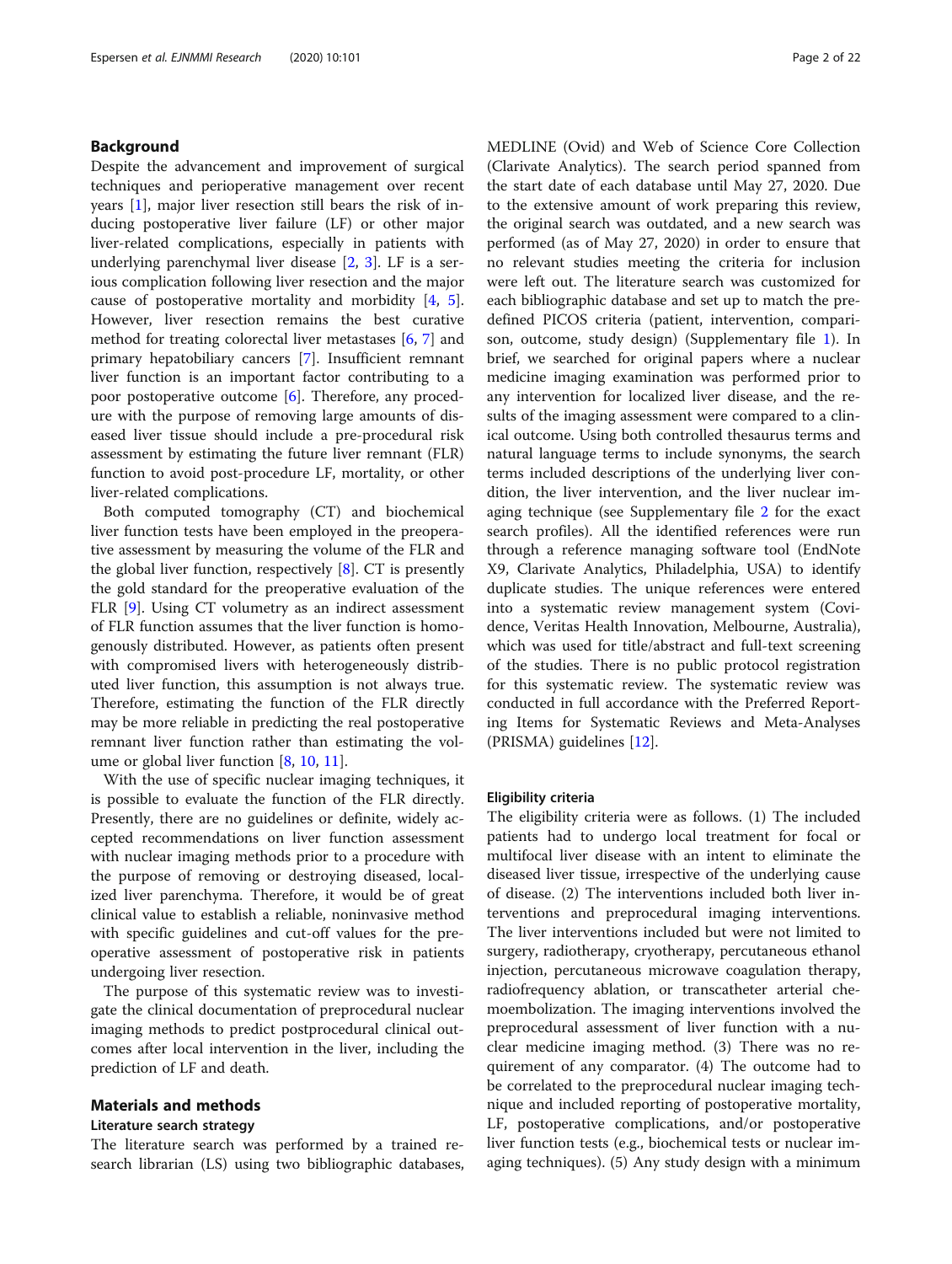## Background

Despite the advancement and improvement of surgical techniques and perioperative management over recent years [\[1](#page-20-0)], major liver resection still bears the risk of inducing postoperative liver failure (LF) or other major liver-related complications, especially in patients with underlying parenchymal liver disease [\[2](#page-20-0), [3](#page-20-0)]. LF is a serious complication following liver resection and the major cause of postoperative mortality and morbidity [\[4](#page-20-0), [5](#page-20-0)]. However, liver resection remains the best curative method for treating colorectal liver metastases [\[6](#page-20-0), [7](#page-20-0)] and primary hepatobiliary cancers [[7\]](#page-20-0). Insufficient remnant liver function is an important factor contributing to a poor postoperative outcome [[6\]](#page-20-0). Therefore, any procedure with the purpose of removing large amounts of diseased liver tissue should include a pre-procedural risk assessment by estimating the future liver remnant (FLR) function to avoid post-procedure LF, mortality, or other liver-related complications.

Both computed tomography (CT) and biochemical liver function tests have been employed in the preoperative assessment by measuring the volume of the FLR and the global liver function, respectively [\[8](#page-20-0)]. CT is presently the gold standard for the preoperative evaluation of the FLR [\[9](#page-20-0)]. Using CT volumetry as an indirect assessment of FLR function assumes that the liver function is homogenously distributed. However, as patients often present with compromised livers with heterogeneously distributed liver function, this assumption is not always true. Therefore, estimating the function of the FLR directly may be more reliable in predicting the real postoperative remnant liver function rather than estimating the volume or global liver function [[8,](#page-20-0) [10](#page-20-0), [11](#page-20-0)].

With the use of specific nuclear imaging techniques, it is possible to evaluate the function of the FLR directly. Presently, there are no guidelines or definite, widely accepted recommendations on liver function assessment with nuclear imaging methods prior to a procedure with the purpose of removing or destroying diseased, localized liver parenchyma. Therefore, it would be of great clinical value to establish a reliable, noninvasive method with specific guidelines and cut-off values for the preoperative assessment of postoperative risk in patients undergoing liver resection.

The purpose of this systematic review was to investigate the clinical documentation of preprocedural nuclear imaging methods to predict postprocedural clinical outcomes after local intervention in the liver, including the prediction of LF and death.

## Materials and methods

## Literature search strategy

The literature search was performed by a trained research librarian (LS) using two bibliographic databases,

MEDLINE (Ovid) and Web of Science Core Collection (Clarivate Analytics). The search period spanned from the start date of each database until May 27, 2020. Due to the extensive amount of work preparing this review, the original search was outdated, and a new search was performed (as of May 27, 2020) in order to ensure that no relevant studies meeting the criteria for inclusion were left out. The literature search was customized for each bibliographic database and set up to match the predefined PICOS criteria (patient, intervention, comparison, outcome, study design) (Supplementary file [1\)](#page-19-0). In brief, we searched for original papers where a nuclear medicine imaging examination was performed prior to any intervention for localized liver disease, and the results of the imaging assessment were compared to a clinical outcome. Using both controlled thesaurus terms and natural language terms to include synonyms, the search terms included descriptions of the underlying liver condition, the liver intervention, and the liver nuclear imaging technique (see Supplementary file [2](#page-19-0) for the exact search profiles). All the identified references were run through a reference managing software tool (EndNote X9, Clarivate Analytics, Philadelphia, USA) to identify duplicate studies. The unique references were entered into a systematic review management system (Covidence, Veritas Health Innovation, Melbourne, Australia), which was used for title/abstract and full-text screening of the studies. There is no public protocol registration for this systematic review. The systematic review was conducted in full accordance with the Preferred Reporting Items for Systematic Reviews and Meta-Analyses (PRISMA) guidelines [[12\]](#page-20-0).

#### Eligibility criteria

The eligibility criteria were as follows. (1) The included patients had to undergo local treatment for focal or multifocal liver disease with an intent to eliminate the diseased liver tissue, irrespective of the underlying cause of disease. (2) The interventions included both liver interventions and preprocedural imaging interventions. The liver interventions included but were not limited to surgery, radiotherapy, cryotherapy, percutaneous ethanol injection, percutaneous microwave coagulation therapy, radiofrequency ablation, or transcatheter arterial chemoembolization. The imaging interventions involved the preprocedural assessment of liver function with a nuclear medicine imaging method. (3) There was no requirement of any comparator. (4) The outcome had to be correlated to the preprocedural nuclear imaging technique and included reporting of postoperative mortality, LF, postoperative complications, and/or postoperative liver function tests (e.g., biochemical tests or nuclear imaging techniques). (5) Any study design with a minimum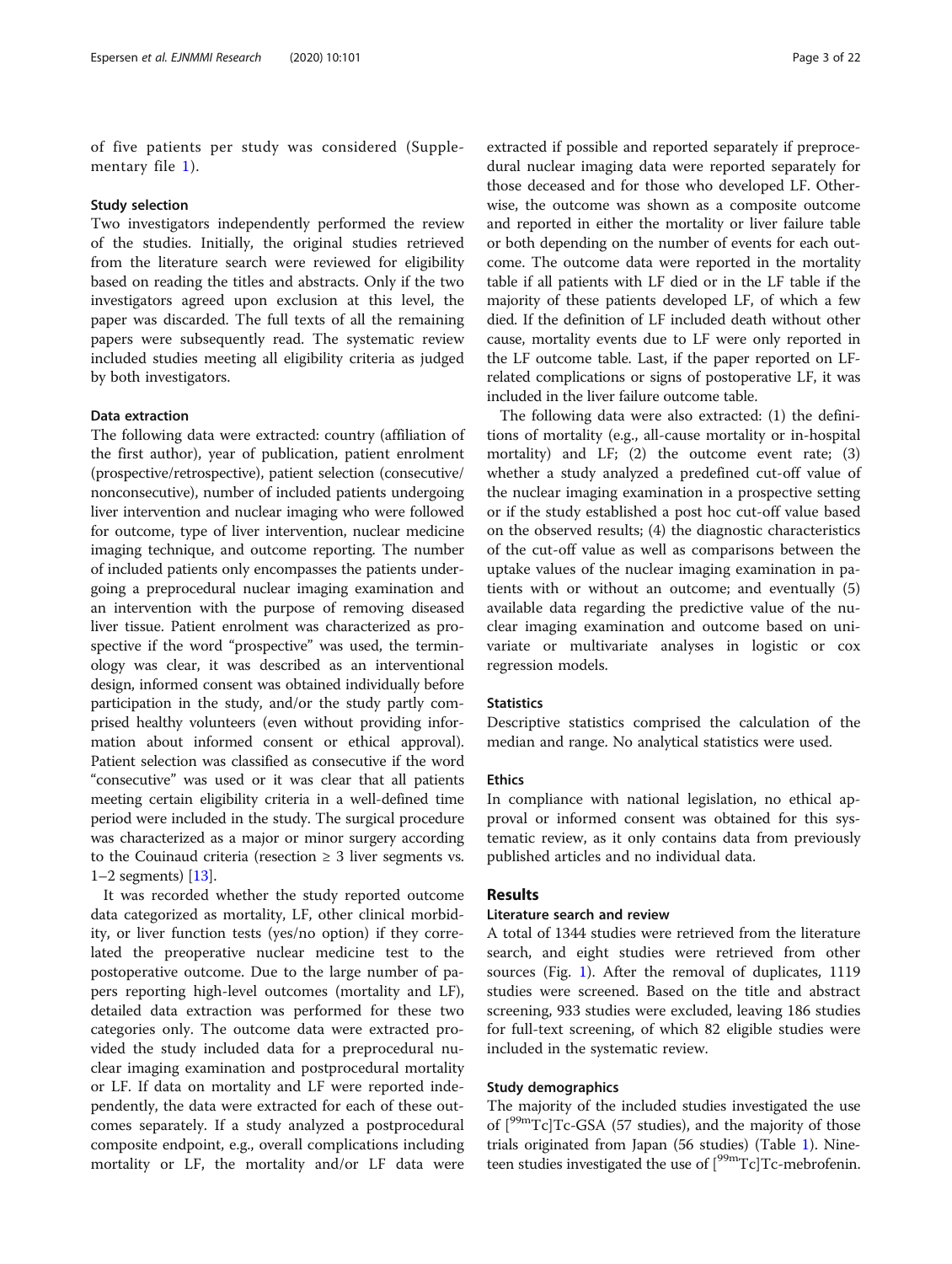of five patients per study was considered (Supplementary file [1](#page-19-0)).

#### Study selection

Two investigators independently performed the review of the studies. Initially, the original studies retrieved from the literature search were reviewed for eligibility based on reading the titles and abstracts. Only if the two investigators agreed upon exclusion at this level, the paper was discarded. The full texts of all the remaining papers were subsequently read. The systematic review included studies meeting all eligibility criteria as judged by both investigators.

### Data extraction

The following data were extracted: country (affiliation of the first author), year of publication, patient enrolment (prospective/retrospective), patient selection (consecutive/ nonconsecutive), number of included patients undergoing liver intervention and nuclear imaging who were followed for outcome, type of liver intervention, nuclear medicine imaging technique, and outcome reporting. The number of included patients only encompasses the patients undergoing a preprocedural nuclear imaging examination and an intervention with the purpose of removing diseased liver tissue. Patient enrolment was characterized as prospective if the word "prospective" was used, the terminology was clear, it was described as an interventional design, informed consent was obtained individually before participation in the study, and/or the study partly comprised healthy volunteers (even without providing information about informed consent or ethical approval). Patient selection was classified as consecutive if the word "consecutive" was used or it was clear that all patients meeting certain eligibility criteria in a well-defined time period were included in the study. The surgical procedure was characterized as a major or minor surgery according to the Couinaud criteria (resection  $\geq$  3 liver segments vs.  $1-2$  segments) [[13](#page-20-0)].

It was recorded whether the study reported outcome data categorized as mortality, LF, other clinical morbidity, or liver function tests (yes/no option) if they correlated the preoperative nuclear medicine test to the postoperative outcome. Due to the large number of papers reporting high-level outcomes (mortality and LF), detailed data extraction was performed for these two categories only. The outcome data were extracted provided the study included data for a preprocedural nuclear imaging examination and postprocedural mortality or LF. If data on mortality and LF were reported independently, the data were extracted for each of these outcomes separately. If a study analyzed a postprocedural composite endpoint, e.g., overall complications including mortality or LF, the mortality and/or LF data were

extracted if possible and reported separately if preprocedural nuclear imaging data were reported separately for those deceased and for those who developed LF. Otherwise, the outcome was shown as a composite outcome and reported in either the mortality or liver failure table or both depending on the number of events for each outcome. The outcome data were reported in the mortality table if all patients with LF died or in the LF table if the majority of these patients developed LF, of which a few died. If the definition of LF included death without other cause, mortality events due to LF were only reported in the LF outcome table. Last, if the paper reported on LFrelated complications or signs of postoperative LF, it was included in the liver failure outcome table.

The following data were also extracted: (1) the definitions of mortality (e.g., all-cause mortality or in-hospital mortality) and LF; (2) the outcome event rate; (3) whether a study analyzed a predefined cut-off value of the nuclear imaging examination in a prospective setting or if the study established a post hoc cut-off value based on the observed results; (4) the diagnostic characteristics of the cut-off value as well as comparisons between the uptake values of the nuclear imaging examination in patients with or without an outcome; and eventually (5) available data regarding the predictive value of the nuclear imaging examination and outcome based on univariate or multivariate analyses in logistic or cox regression models.

### **Statistics**

Descriptive statistics comprised the calculation of the median and range. No analytical statistics were used.

### Ethics

In compliance with national legislation, no ethical approval or informed consent was obtained for this systematic review, as it only contains data from previously published articles and no individual data.

### Results

### Literature search and review

A total of 1344 studies were retrieved from the literature search, and eight studies were retrieved from other sources (Fig. [1](#page-4-0)). After the removal of duplicates, 1119 studies were screened. Based on the title and abstract screening, 933 studies were excluded, leaving 186 studies for full-text screening, of which 82 eligible studies were included in the systematic review.

## Study demographics

The majority of the included studies investigated the use of  $[°9mTc]Tc-GSA$  (57 studies), and the majority of those trials originated from Japan (56 studies) (Table [1\)](#page-5-0). Nineteen studies investigated the use of  $[{}^{99m}Tc]Tc$ -mebrofenin.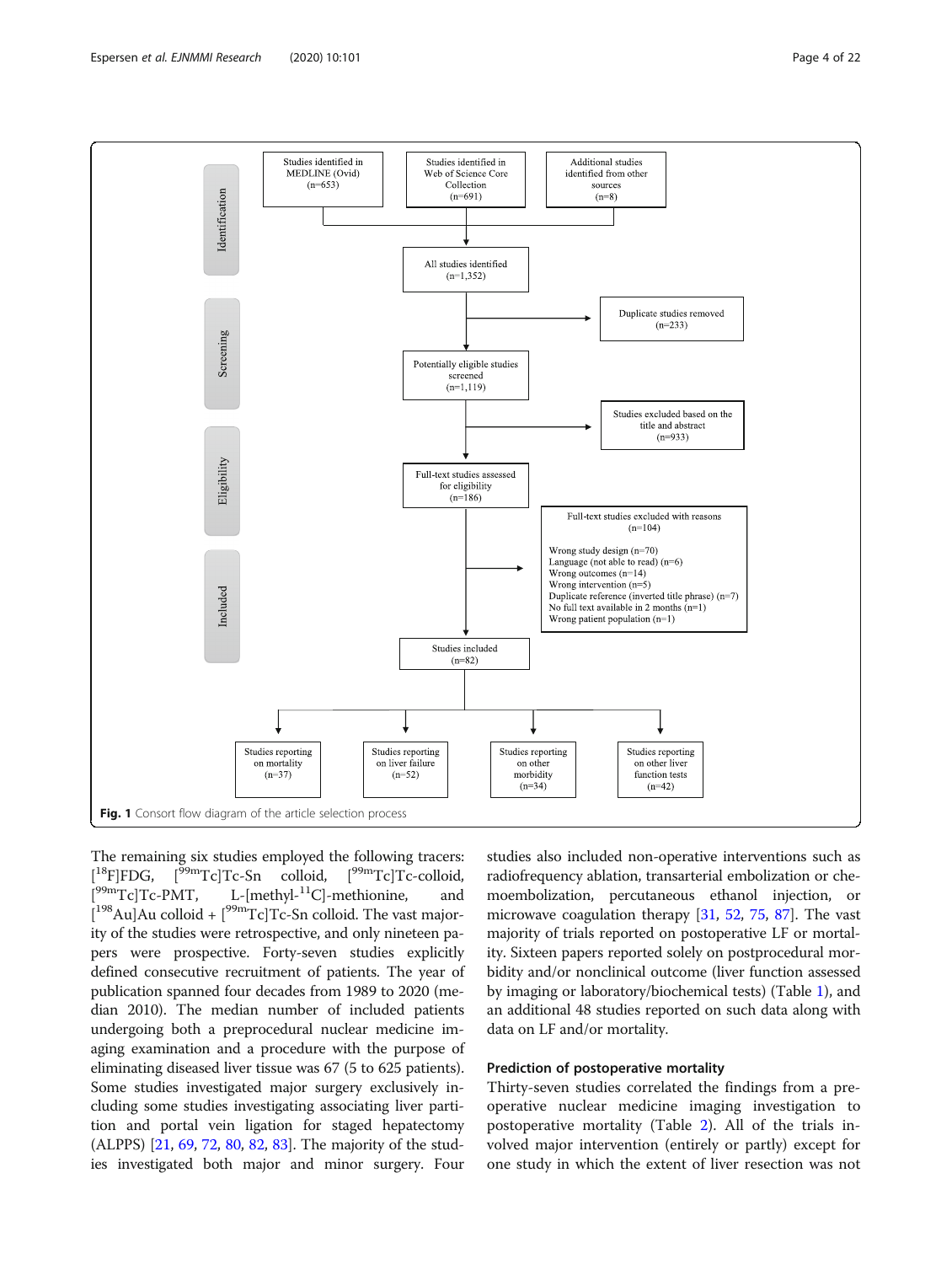<span id="page-4-0"></span>

The remaining six studies employed the following tracers:  $[$ <sup>18</sup>F]FDG,  $1^{99m}Tc$ ]Tc-Sn colloid,  $1^{99m}Tc$ ]Tc-colloid,  $[$ <sup>99m</sup>Tc]Tc-PMT, L-[methyl- $^{11}$ C]-methionine, and  $[{}^{198}$ Au]Au colloid +  $[{}^{99m}$ Tc]Tc-Sn colloid. The vast majority of the studies were retrospective, and only nineteen papers were prospective. Forty-seven studies explicitly defined consecutive recruitment of patients. The year of publication spanned four decades from 1989 to 2020 (median 2010). The median number of included patients undergoing both a preprocedural nuclear medicine imaging examination and a procedure with the purpose of eliminating diseased liver tissue was 67 (5 to 625 patients). Some studies investigated major surgery exclusively including some studies investigating associating liver partition and portal vein ligation for staged hepatectomy (ALPPS) [\[21,](#page-20-0) [69](#page-21-0), [72](#page-21-0), [80,](#page-21-0) [82](#page-21-0), [83](#page-21-0)]. The majority of the studies investigated both major and minor surgery. Four studies also included non-operative interventions such as radiofrequency ablation, transarterial embolization or chemoembolization, percutaneous ethanol injection, or microwave coagulation therapy [\[31](#page-20-0), [52](#page-21-0), [75,](#page-21-0) [87](#page-21-0)]. The vast majority of trials reported on postoperative LF or mortality. Sixteen papers reported solely on postprocedural morbidity and/or nonclinical outcome (liver function assessed by imaging or laboratory/biochemical tests) (Table [1\)](#page-5-0), and an additional 48 studies reported on such data along with data on LF and/or mortality.

## Prediction of postoperative mortality

Thirty-seven studies correlated the findings from a preoperative nuclear medicine imaging investigation to postoperative mortality (Table [2](#page-8-0)). All of the trials involved major intervention (entirely or partly) except for one study in which the extent of liver resection was not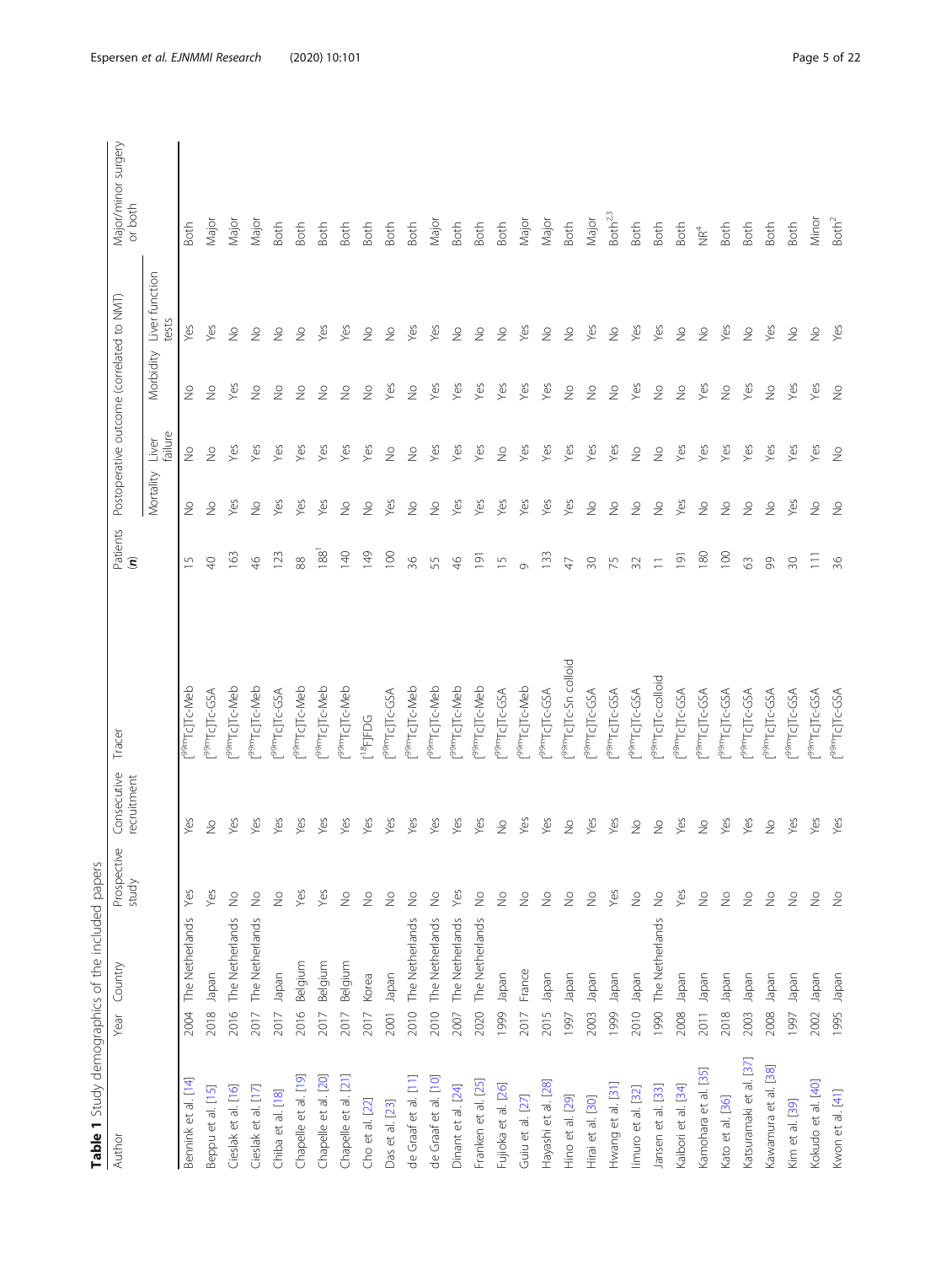<span id="page-5-0"></span>

|                         | Table 1 Study demographics of the included papers |                          |                            |                                   |                                               |                          |                  |                                           |                          |                                |
|-------------------------|---------------------------------------------------|--------------------------|----------------------------|-----------------------------------|-----------------------------------------------|--------------------------|------------------|-------------------------------------------|--------------------------|--------------------------------|
| Author                  | Country<br>Year                                   | Prospective<br>study     | Consecutive<br>recruitment | Tracer                            | Patients<br>$\widehat{\boldsymbol{\epsilon}}$ |                          |                  | Postoperative outcome (correlated to NMT) |                          | Major/minor surgery<br>or both |
|                         |                                                   |                          |                            |                                   |                                               | Mortality                | failure<br>Liver | Morbidity                                 | Liver function<br>tests  |                                |
| Bennink et al. [14]     | The Netherlands<br>2004                           | Yes                      | Yes                        | 99mTcJTc-Meb                      | $\overline{5}$                                | $\frac{1}{2}$            | $\frac{1}{2}$    | $\frac{1}{2}$                             | Yes                      | Both                           |
| Beppu et al. [15]       | Japan<br>2018                                     | Yes                      | $\frac{1}{2}$              | 99mTcJTc-GSA                      | $\Theta$                                      | $\frac{1}{2}$            | $\frac{1}{2}$    | $\frac{1}{2}$                             | Yes                      | Major                          |
| Cieslak et al. [16]     | The Netherlands<br>2016                           | $\gtrsim$                | Yes                        | 99mTcJTc-Meb                      | 163                                           | Yes                      | Yes              | Yes                                       | $\stackrel{\circ}{\geq}$ | Major                          |
| Cieslak et al. [17]     | The Netherlands<br>2017                           | $\gtrsim$                | Yes                        | 99mTcJTc-Meb                      | $\frac{4}{6}$                                 | $\frac{1}{2}$            | Yes              | $\frac{1}{2}$                             | $\stackrel{\circ}{\geq}$ | Major                          |
| Chiba et al. [18]       | Japan<br>2017                                     | $\stackrel{\circ}{\geq}$ | Yes                        | 99mTcJTc-GSA                      | 123                                           | Yes                      | Yes              | $\frac{1}{2}$                             | $\frac{1}{2}$            | Both                           |
| Chapelle et al. [19]    | Belgium<br>2016                                   | Yes                      | Yes                        | 99mTcJTc-Meb                      | 88                                            | Yes                      | Yes              | $\frac{1}{2}$                             | $\frac{1}{2}$            | <b>Both</b>                    |
| Chapelle et al. [20]    | Belgium<br>2017                                   | Yes                      | Yes                        | [ <sup>99m</sup> Tc]Tc-Meb        | 188 <sup>1</sup>                              | Yes                      | Yes              | $\frac{1}{2}$                             | Yes                      | Both                           |
| Chapelle et al. [21]    | Belgium<br>2017                                   | $\stackrel{\circ}{\geq}$ | Yes                        | 99m <sub>TcJTc-Meb</sub>          | 140                                           | $\stackrel{\circ}{\geq}$ | Yes              | $\frac{1}{2}$                             | Yes                      | <b>Both</b>                    |
| Cho et al. [22]         | Korea<br>2017                                     | $\stackrel{\circ}{\geq}$ | Yes                        | $[18]$ FJFDG                      | 149                                           | $\frac{1}{2}$            | Yes              | $\geq$                                    | $\stackrel{\circ}{\geq}$ | Both                           |
| Das et al. [23]         | Japan<br>2001                                     | $\stackrel{\circ}{\geq}$ | Yes                        | 99mTcJTc-GSA                      | 100                                           | Yes                      | $\frac{1}{2}$    | Yes                                       | $\frac{1}{2}$            | Both                           |
| de Graaf et al. [11]    | The Netherlands<br>2010                           | $\frac{\circ}{\sim}$     | Yes                        | 99mTcJTc-Meb                      | 36                                            | $\frac{1}{2}$            | $\frac{1}{2}$    | $\frac{1}{2}$                             | Yes                      | Both                           |
| de Graaf et al. [10]    | The Netherlands<br>2010                           | $\gtrsim$                | Yes                        | [ <sup>99m</sup> Tc]Tc-Meb        | 55                                            | $\frac{1}{2}$            | Yes              | Yes                                       | Yes                      | Major                          |
| Dinant et al. [24]      | The Netherlands<br>2007                           | Yes                      | Yes                        | [ <sup>99m</sup> Tc]Tc-Meb        | $\frac{4}{5}$                                 | Yes                      | Yes              | Yes                                       | $\stackrel{\circ}{\geq}$ | <b>Both</b>                    |
| Franken et al. [25]     | The Netherlands<br>2020                           | $\stackrel{\circ}{\geq}$ | Yes                        | 99m <sub>Tc</sub> JTc-Meb         | $\overline{191}$                              | Yes                      | Yes              | Yes                                       | $\stackrel{\circ}{\geq}$ | Both                           |
| Fujioka et al. [26]     | neder<br>1999                                     | $\stackrel{\circ}{\geq}$ | $\stackrel{\circ}{\geq}$   | P <sup>9m</sup> TcJTc-GSA         | $\overline{1}$                                | Yes                      | $\geq$           | Yes                                       | $\stackrel{\circ}{\geq}$ | <b>Both</b>                    |
| Guiu et al. [27]        | France<br>2017                                    | $\stackrel{\circ}{\geq}$ | Yes                        | [ <sup>99m</sup> Tc]Tc-Meb        | Ö                                             | Yes                      | Yes              | Yes                                       | Yes                      | Major                          |
| Hayashi et al. [28]     | neder<br>2015                                     | $\frac{\circ}{\sim}$     | Yes                        | P <sup>9m</sup> TcJTc-GSA         | 133                                           | Yes                      | Yes              | Yes                                       | $\frac{1}{2}$            | Major                          |
| Hino et al. [29]        | neder<br>1997                                     | $\stackrel{\circ}{\geq}$ | $\geq$                     | f <sup>99m</sup> TcJTc-Sn colloid | $\overline{4}$                                | Yes                      | Yes              | $\geq$                                    | $\stackrel{\circ}{\geq}$ | <b>Both</b>                    |
| Hirai et al. [30]       | Japan<br>2003                                     | $\stackrel{\circ}{\geq}$ | Yes                        | 99mTcJTc-GSA                      | $\sqrt{30}$                                   | $\frac{1}{2}$            | Yes              | $\frac{1}{2}$                             | Yes                      | Major                          |
| Hwang et al. [31]       | Japan<br>1999                                     | Yes                      | Yes                        | 99mTcJTc-GSA                      | 75                                            | $\frac{1}{2}$            | Yes              | $\frac{1}{2}$                             | $\stackrel{\circ}{\geq}$ | Both <sup>2,3</sup>            |
| limuro et al. [32]      | neder<br>2010                                     | $\frac{\circ}{\sim}$     | $\frac{1}{2}$              | 99mTcJTc-GSA                      | 32                                            | $\frac{1}{2}$            | $\geq$           | Yes                                       | Yes                      | Both                           |
| Jansen et al. [33]      | The Netherlands<br>1990                           | $\frac{1}{2}$            | $\stackrel{\circ}{\geq}$   | 99mTcJTc-colloid                  | $\equiv$                                      | $\frac{1}{2}$            | $\frac{1}{2}$    | $\frac{1}{2}$                             | Yes                      | Both                           |
| Kaibori et al. [34]     | Japan<br>2008                                     | Yes                      | Yes                        | 99mTcJTc-GSA                      | $\overline{9}$                                | Yes                      | Yes              | $\stackrel{\circ}{\geq}$                  | $\stackrel{\circ}{\geq}$ | Both                           |
| Kamohara et al. [35]    | Japan<br>2011                                     | $\stackrel{\circ}{\geq}$ | $\frac{1}{2}$              | [ <sup>99m</sup> Tc]Tc-GSA        | 180                                           | $\stackrel{\circ}{\geq}$ | Yes              | Yes                                       | $\stackrel{\circ}{\geq}$ | $\mathop{\cong}\limits^4$      |
| Kato et al. [36]        | Japan<br>2018                                     | $\stackrel{\circ}{\geq}$ | Yes                        | 99mTcJTc-GSA                      | 100                                           | $\frac{1}{2}$            | Yes              | $\stackrel{\circ}{\geq}$                  | Yes                      | Both                           |
| Katsuramaki et al. [37] | napan<br>2003                                     | $\stackrel{\circ}{\geq}$ | Yes                        | P <sup>99m</sup> TcJTc-GSA        | $\Im$                                         | $\frac{1}{2}$            | Yes              | Yes                                       | $\stackrel{\circ}{\geq}$ | Both                           |
| Kawamura et al. [38]    | Inpapel<br>2008                                   | $\stackrel{\circ}{\geq}$ | $\geq$                     | P <sup>9m</sup> TcJTc-GSA         | 99                                            | $\frac{1}{2}$            | Yes              | $\geq$                                    | Yes                      | Both                           |
| Kim et al. [39]         | Japan<br>1997                                     | $\stackrel{\circ}{\geq}$ | Yes                        | P <sup>9m</sup> TcJTc-GSA         | $\sqrt{30}$                                   | Yes                      | Yes              | Yes                                       | $\stackrel{\circ}{\geq}$ | Both                           |
| Kokudo et al. [40]      | Japan<br>2002                                     | $\stackrel{\circ}{\geq}$ | Yes                        | P <sup>9m</sup> TcJTc-GSA         | $\equiv$                                      | $\stackrel{\circ}{\geq}$ | Yes              | Yes                                       | $\stackrel{\circ}{\geq}$ | Minor                          |
| Kwon et al. [41]        | Japan<br>1995                                     | $\frac{1}{2}$            | Yes                        | P <sup>99m</sup> TcJTc-GSA        | 36                                            | $\frac{1}{2}$            | $\frac{1}{2}$    | $\frac{1}{2}$                             | Yes                      | Both <sup>2</sup>              |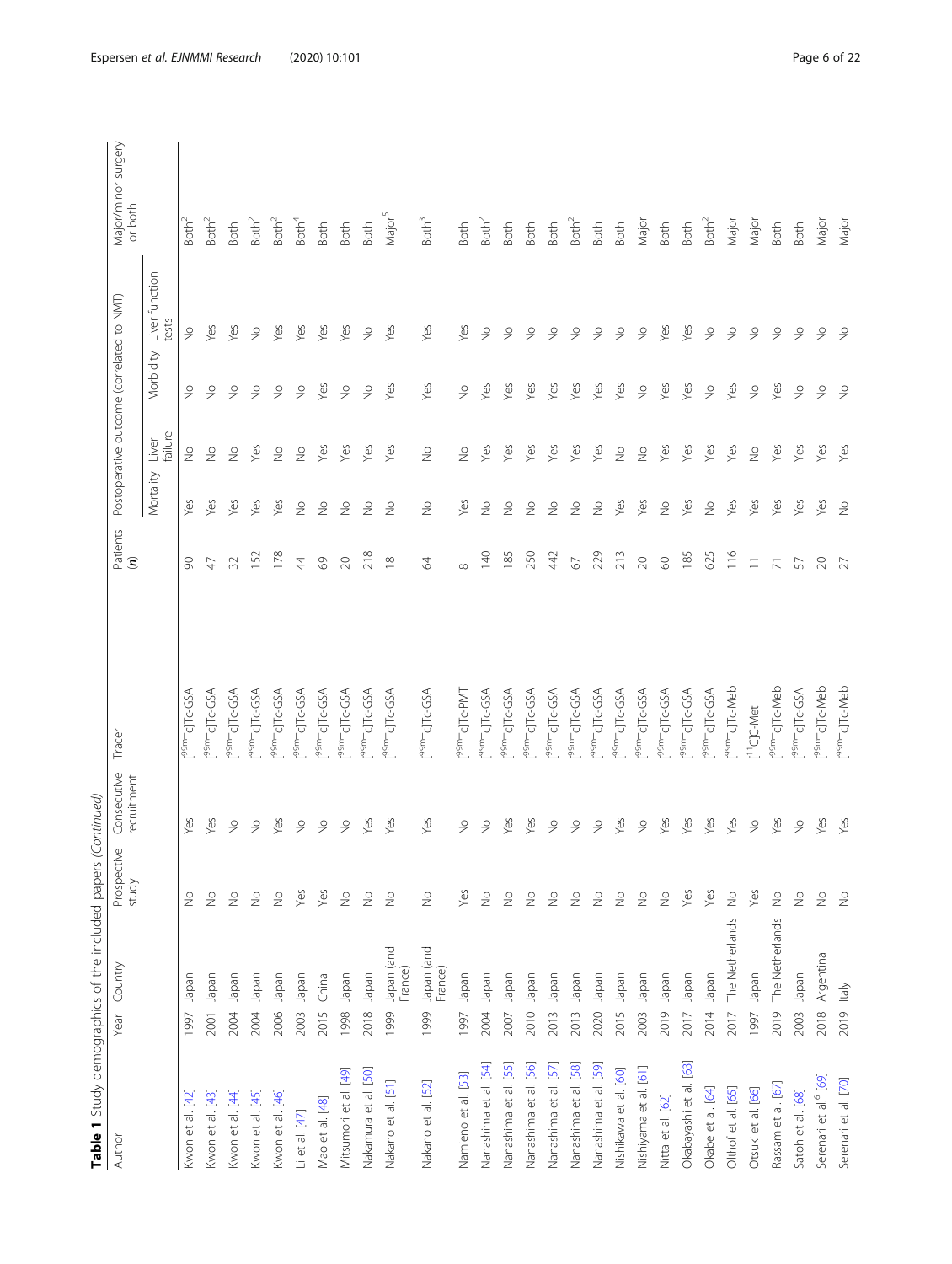| i<br>١<br>j<br>I                                                                                      |
|-------------------------------------------------------------------------------------------------------|
| ١<br>i<br>Santa Santa Santa Santa Santa Santa Tanzania<br>Santa Santa Santa Santa Santa Tanzania<br>j |
| ₹<br>S<br>j<br>I<br>1<br>$\overline{ }$<br>i<br>!<br>J                                                |
| $-10$<br>J<br>I<br>Ì<br>١                                                                             |
| י היה היה היה וה והיה ה<br>ì<br>١                                                                     |
| J<br>Ī                                                                                                |
|                                                                                                       |

| Author                            | Country<br>Year               | Prospective<br>study     | Consecutive<br>recruitment | Tracer                     | Patients<br>( <b>n</b> ) |                          | Postoperative outcome (correlated to NMT) |                          |                          | Major/minor surgery<br>or both |
|-----------------------------------|-------------------------------|--------------------------|----------------------------|----------------------------|--------------------------|--------------------------|-------------------------------------------|--------------------------|--------------------------|--------------------------------|
|                                   |                               |                          |                            |                            |                          | Mortality                | failure<br>Liver                          | Morbidity                | Liver function<br>tests  |                                |
| Kwon et al. [42]                  | Japan<br>1997                 | $\frac{0}{2}$            | Š                          | 99mTcJTc-GSA               | 8                        | Yes                      | $\stackrel{\circ}{\geq}$                  | $\frac{1}{2}$            | $\stackrel{\circ}{\geq}$ | Both <sup>®</sup>              |
| Kwon et al. [43]                  | Japan<br>2001                 | $\frac{1}{2}$            | Yes                        | 99mTcJTc-GSA               | $\overline{4}$           | Yes                      | $\frac{1}{2}$                             | $\frac{1}{2}$            | Yes                      | Both <sup>2</sup>              |
| Kwon et al. [44]                  | neder<br>2004                 | $\stackrel{\circ}{\geq}$ | $\gtrsim$                  | 99mTcJTc-GSA               | 32                       | Yes                      | $\geq$                                    | $\frac{1}{2}$            | Yes                      | <b>Both</b>                    |
| Kwon et al. [45]                  | Inpapel<br>2004               | $\stackrel{\circ}{\geq}$ | $\geq$                     | P <sup>9m</sup> TcJTc-GSA  | 152                      | Yes                      | Yes                                       | $\frac{1}{2}$            | $\frac{0}{2}$            | Both <sup>2</sup>              |
| Kwon et al. [46]                  | neder<br>2006                 | $\stackrel{\circ}{\geq}$ | Yes                        | 99mTcJTc-GSA               | 178                      | Yes                      | $\frac{1}{2}$                             | $\frac{1}{2}$            | Yes                      | Both <sup>2</sup>              |
| Li et al. [47]                    | Japan<br>2003                 | Yes                      | $\stackrel{\circ}{\geq}$   | P <sup>9m</sup> TcJTc-GSA  | $\overline{4}$           | $\stackrel{\circ}{\geq}$ | $\frac{1}{2}$                             | $\stackrel{\circ}{\geq}$ | Yes                      | Both <sup>4</sup>              |
| Mao et al. [48]                   | China<br>2015                 | Yes                      | $\geq$                     | 99mTcJTc-GSA               | $\degree$                | $\frac{0}{2}$            | Yes                                       | Yes                      | Yes                      | <b>Both</b>                    |
| Mitsumori et al. [49]             | Japan<br>1998                 | $\stackrel{\circ}{\geq}$ | $\frac{1}{2}$              | 99mTcJTc-GSA               | $\gtrsim$                | $\frac{1}{2}$            | Yes                                       | $\frac{1}{2}$            | Yes                      | <b>Both</b>                    |
| Nakamura et al. [50]              | Japan<br>2018                 | $\stackrel{\circ}{\geq}$ | Yes                        | 99mTcJTc-GSA               | 218                      | $\stackrel{\circ}{\geq}$ | Yes                                       | $\frac{1}{2}$            | $\stackrel{\circ}{\geq}$ | <b>Both</b>                    |
| Nakano et al. [51]                | Japan (and<br>France)<br>1999 | $\stackrel{\circ}{\geq}$ | Yes                        | P <sup>9pm</sup> TcJTc-GSA | $\frac{8}{1}$            | $\frac{1}{2}$            | Yes                                       | Yes                      | Yes                      | Major <sup>5</sup>             |
| Nakano et al. [52]                | Japan (and<br>France)<br>1999 | $\stackrel{\circ}{\geq}$ | Yes                        | [ <sup>99m</sup> TcJTc-GSA | $\mathcal{Z}$            | $\stackrel{\circ}{\geq}$ | $\frac{1}{2}$                             | Yes                      | Yes                      | Both <sup>3</sup>              |
| Namieno et al. [53]               | Iapan<br>1997                 | Yes                      | $\geq$                     | l <sub>aaw</sub> lc11c-bM1 | $\infty$                 | Yes                      | $\geq$                                    | $\geq$                   | Yes                      | <b>Both</b>                    |
| Nanashima et al. [54]             | neder<br>2004                 | $\stackrel{\circ}{\geq}$ | $\geq$                     | <sup>99m</sup> TcJTc-GSA   | 140                      | $\frac{1}{2}$            | Yes                                       | Yes                      | $\frac{1}{2}$            | Both <sup>2</sup>              |
| Nanashima et al. [55]             | neder<br>2007                 | $\stackrel{\circ}{\geq}$ | Yes                        | 99mTcJTc-GSA               | 185                      | $\stackrel{\circ}{\geq}$ | Yes                                       | Yes                      | $\stackrel{\circ}{\geq}$ | <b>Both</b>                    |
| Nanashima et al. [56]             | napan<br>2010                 | $\stackrel{\circ}{\geq}$ | Yes                        | 99mTcJTc-GSA               | 250                      | $\stackrel{\circ}{\geq}$ | Yes                                       | Yes                      | $\stackrel{\circ}{\geq}$ | <b>Both</b>                    |
| Nanashima et al. [57]             | Japan<br>2013                 | $\stackrel{\circ}{\geq}$ | $\stackrel{\circ}{\geq}$   | 99mTcJTc-GSA               | 442                      | $\frac{1}{2}$            | Yes                                       | Yes                      | $\stackrel{\circ}{\geq}$ | <b>Both</b>                    |
| Nanashima et al. [58]             | napan<br>2013                 | $\stackrel{\circ}{\geq}$ | $\stackrel{\circ}{\geq}$   | 99mTcJTc-GSA               | $\sqrt{2}$               | $\frac{1}{2}$            | Yes                                       | Yes                      | $\frac{1}{2}$            | Both <sup>2</sup>              |
| Nanashima et al. [59]             | napan<br>2020                 | $\stackrel{\circ}{\geq}$ | $\geq$                     | P <sup>9pm</sup> TcJTc-GSA | 229                      | $\stackrel{\circ}{\geq}$ | Yes                                       | Yes                      | $\geq$                   | <b>Both</b>                    |
| Nishikawa et al. [60]             | Japan<br>2015                 | $\frac{\circ}{\sim}$     | Yes                        | 99mTcJTc-GSA               | 213                      | Yes                      | $\frac{9}{2}$                             | Yes                      | $\stackrel{\circ}{\geq}$ | <b>Both</b>                    |
| Nishiyama et al. [61]             | neder<br>2003                 | $\stackrel{\circ}{\geq}$ | $\stackrel{\circ}{\geq}$   | 99mTcJTc-GSA               | $\infty$                 | Yes                      | $\frac{1}{2}$                             | $\frac{1}{2}$            | $\stackrel{\circ}{\geq}$ | Major                          |
| Nitta et al. [62]                 | neder<br>2019                 | $\stackrel{\circ}{\geq}$ | Yes                        | 99mTcJTc-GSA               | $\odot$                  | $\stackrel{\circ}{\geq}$ | Yes                                       | Yes                      | Yes                      | <b>Both</b>                    |
| Okabayashi et al. [63]            | Japan<br>2017                 | Yes                      | Yes                        | P <sup>9m</sup> TcJTc-GSA  | 185                      | Yes                      | Yes                                       | Yes                      | Yes                      | <b>Both</b>                    |
| Okabe et al. [64]                 | Japan<br>2014                 | Yes                      | Yes                        | <sup>99m</sup> TcJTc-GSA   | 625                      | $\stackrel{\circ}{\geq}$ | Yes                                       | $\stackrel{\circ}{\geq}$ | $\stackrel{\circ}{\geq}$ | Both <sup>2</sup>              |
| Olthof et al. [65]                | The Netherlands<br>2017       | $\stackrel{\circ}{\geq}$ | Yes                        | r <sup>99m</sup> TcJTc-Meb | 116                      | Yes                      | Yes                                       | Yes                      | $\stackrel{\circ}{\geq}$ | Major                          |
| Otsuki et al. [66]                | neder<br>1997                 | Yes                      | $\geq$                     | [ <sup>11</sup> C]C-Met    | $\equiv$                 | Yes                      | $\tilde{z}$                               | $\frac{1}{2}$            | $\stackrel{\circ}{\geq}$ | Major                          |
| Rassam et al. [67                 | The Netherlands<br>2019       | $\stackrel{\circ}{\geq}$ | Yes                        | r <sup>99m</sup> TcJTc-Meb | $\overline{\wedge}$      | Yes                      | Yes                                       | Yes                      | $\frac{1}{2}$            | <b>Both</b>                    |
| Satoh et al. [68]                 | napan<br>2003                 | $\stackrel{\circ}{\geq}$ | $\stackrel{\circ}{\geq}$   | P <sup>9pm</sup> TcJTc-GSA | 57                       | Yes                      | Yes                                       | $\geq$                   | $\stackrel{\circ}{\geq}$ | <b>Both</b>                    |
| Serenari et al. <sup>6</sup> [69] | Argentina<br>2018             | $\stackrel{\circ}{\geq}$ | Yes                        | r <sup>99m</sup> TcJTc-Meb | $\gtrsim$                | Yes                      | Yes                                       | $\frac{1}{2}$            | $\stackrel{\circ}{\geq}$ | Major                          |
| Serenari et al. [70]              | ltaly<br>2019                 | $\frac{1}{2}$            | Yes                        | r <sup>99m</sup> TcJTc-Meb | 27                       | $\frac{\circ}{2}$        | Yes                                       | $\frac{1}{2}$            | $\frac{1}{2}$            | Major                          |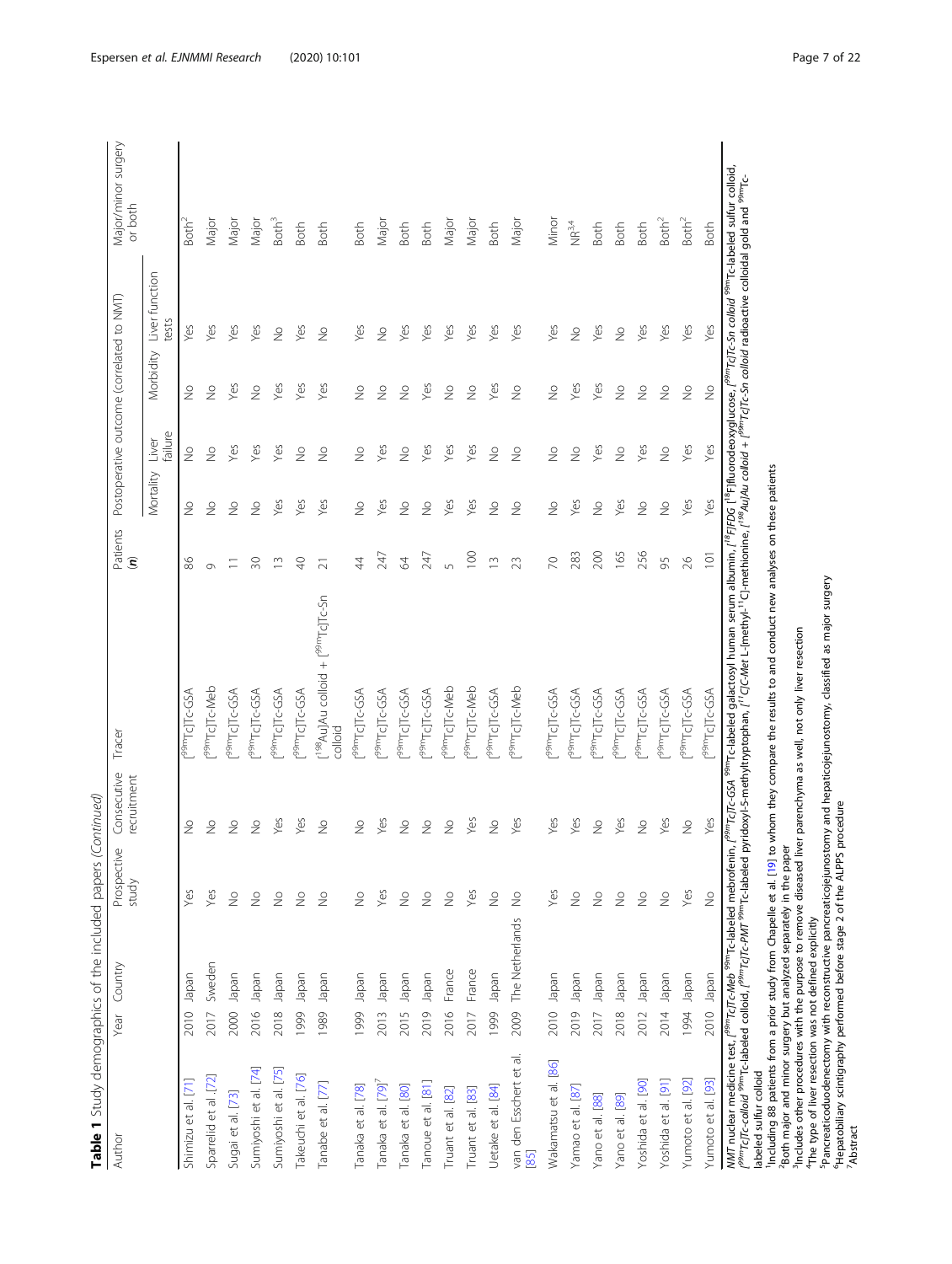| i<br>١<br>I                                                                                      |
|--------------------------------------------------------------------------------------------------|
| í<br>i<br>Santa Santa Santa Santa Santa Santa Tanzania<br>Santa Santa Santa Santa Santa Tanzania |
| 5<br>₹<br>Ï<br>j<br>j                                                                            |
| :<br>،<br>ļ<br>$\overline{\phantom{a}}$<br>$\frac{1}{1}$                                         |
| ì                                                                                                |
| ī<br>δ                                                                                           |
|                                                                                                  |
|                                                                                                  |

| Author                       | Year Country            | Prospective<br>study     | Consecutive<br>ecruitment | Tracer                                                                                                                                                                                                                                                                                                                       | Patients<br>$\widehat{\boldsymbol{\epsilon}}$ |               |                  | Postoperative outcome (correlated to NMT) |                          | Major/minor surgery<br>or both |
|------------------------------|-------------------------|--------------------------|---------------------------|------------------------------------------------------------------------------------------------------------------------------------------------------------------------------------------------------------------------------------------------------------------------------------------------------------------------------|-----------------------------------------------|---------------|------------------|-------------------------------------------|--------------------------|--------------------------------|
|                              |                         |                          |                           |                                                                                                                                                                                                                                                                                                                              |                                               | Mortality     | failure<br>Liver | Morbidity                                 | Liver function<br>tests  |                                |
| Shimizu et al. [71]          | Japan<br>2010           | Yes                      | $\geq$                    | 99mTcJTc-GSA                                                                                                                                                                                                                                                                                                                 | 86                                            | $\frac{1}{2}$ | $\geq$           | $\geq$                                    | Yes                      | Both <sup>2</sup>              |
| Sparrelid et al .[72]        | Sweden<br>2017          | Yes                      | $\frac{1}{2}$             | 99mTcJTc-Meb                                                                                                                                                                                                                                                                                                                 | Ò                                             | $\frac{1}{2}$ | $\frac{1}{2}$    | $\frac{1}{2}$                             | Yes                      | Major                          |
| Sugai et al. [73]            | Japan<br>2000           | $\stackrel{\circ}{\geq}$ | $\geq$                    | 92D-DILDLwe6                                                                                                                                                                                                                                                                                                                 |                                               | $\frac{1}{2}$ | Yes              | Yes                                       | Yes                      | Major                          |
| Sumiyoshi et al. [74]        | Iapan<br>2016           | $\stackrel{\circ}{\geq}$ | $\geq$                    | P <sup>9m</sup> TcJTc-GSA                                                                                                                                                                                                                                                                                                    | 20                                            | $\frac{0}{2}$ | Yes              | $\geq$                                    | Yes                      | Major                          |
| Sumiyoshi et al. [75]        | Japan<br>2018           | $\frac{1}{2}$            | Yes                       | 99mTcJTc-GSA                                                                                                                                                                                                                                                                                                                 | $\sim$                                        | Yes           | Yes              | Yes                                       | $\frac{1}{2}$            | Both <sup>3</sup>              |
| Takeuchi et al. [76]         | Japan<br>1999           | $\frac{1}{2}$            | Yes                       | 99mTcJTc-GSA                                                                                                                                                                                                                                                                                                                 | ¥                                             | Yes           | $\geq$           | Yes                                       | Yes                      | <b>Both</b>                    |
| Tanabe et al. [77]           | Japan<br>1989           | $\geq$                   | $\geq$                    | [ <sup>198</sup> Au]Au colloid + [ <sup>99m</sup> Tc]Tc-Sn<br>colloid                                                                                                                                                                                                                                                        | $\overline{z}$                                | Yes           | $\frac{1}{2}$    | Yes                                       | $\frac{1}{2}$            | <b>Both</b>                    |
| Tanaka et al. [78]           | Japan<br>1999           | $\stackrel{\circ}{\geq}$ | $\geq$                    | p <sup>9m</sup> TcJTc-GSA                                                                                                                                                                                                                                                                                                    | 4                                             | $\frac{1}{2}$ | $\geq$           | $\stackrel{\circ}{\geq}$                  | Yes                      | <b>Both</b>                    |
| Tanaka et al. [79]'          | Japan<br>2013           | Yes                      | Yes                       | P <sup>9m</sup> TcJTc-GSA                                                                                                                                                                                                                                                                                                    | 247                                           | Yes           | Yes              | $\frac{1}{2}$                             | $\frac{1}{2}$            | Major                          |
| Tanaka et al. [80]           | Japan<br>2015           | $\stackrel{\circ}{\geq}$ | $\geq$                    | 99mTcJTc-GSA                                                                                                                                                                                                                                                                                                                 | 2                                             | $\frac{1}{2}$ | $\frac{1}{2}$    | $\frac{1}{2}$                             | Yes                      | Both                           |
| Tanoue et al. [81]           | Japan<br>2019           | $\frac{1}{2}$            | $\geq$                    | P <sup>99m</sup> TcJTc-GSA                                                                                                                                                                                                                                                                                                   | 247                                           | $\frac{1}{2}$ | Yes              | Yes                                       | yes                      | <b>Both</b>                    |
| Truant et al. [82]           | France<br>2016          | $\frac{1}{2}$            | $\frac{1}{2}$             | r <sup>99m</sup> TcJTc-Meb                                                                                                                                                                                                                                                                                                   | $\sqrt{2}$                                    | Yes           | Yes              | $\frac{1}{2}$                             | Yes                      | Major                          |
| Truant et al. [83]           | France<br>2017          | Yes                      | Yes                       | r <sup>99m</sup> TcJTc-Meb                                                                                                                                                                                                                                                                                                   | 100                                           | Yes           | Yes              | $\frac{1}{2}$                             | Yes                      | Major                          |
| Uetake et al. [84]           | Japan<br>1999           | $\stackrel{\circ}{\geq}$ | $\geq$                    | P <sup>99m</sup> TcJTc-GSA                                                                                                                                                                                                                                                                                                   | $\supseteq$                                   | $\frac{1}{2}$ | $\frac{1}{2}$    | Yes                                       | Yes                      | <b>Both</b>                    |
| van den Esschert et al<br>85 | The Netherlands<br>2009 | $\stackrel{\circ}{\geq}$ | Yes                       | r <sup>99m</sup> TcJTc-Meb                                                                                                                                                                                                                                                                                                   | 23                                            | $\frac{1}{2}$ | $\frac{1}{2}$    | $\frac{1}{2}$                             | Yes                      | Major                          |
| Wakamatsu et al. [86]        | Japan<br>2010           | Yes                      | Yes                       | f <sup>99m</sup> TcJTc-GSA                                                                                                                                                                                                                                                                                                   | $\approx$                                     | $\frac{1}{2}$ | $\frac{1}{2}$    | $\frac{1}{2}$                             | Yes                      | Minor                          |
| Yamao et al. [87]            | napan<br>2019           | $\stackrel{\circ}{\geq}$ | Yes                       | [ <sup>99m</sup> Tc]Tc-GSA                                                                                                                                                                                                                                                                                                   | 283                                           | Yes           | $\frac{1}{2}$    | Yes                                       | $\stackrel{\circ}{\geq}$ | $NR^{3,4}$                     |
| Yano et al. [88]             | Japan<br>2017           | $\stackrel{\circ}{\geq}$ | $\frac{1}{2}$             | P <sup>9m</sup> TcJTc-GSA                                                                                                                                                                                                                                                                                                    | 200                                           | $\frac{1}{2}$ | Yes              | Yes                                       | Yes                      | <b>Both</b>                    |
| Yano et al. [89]             | Japan<br>2018           | $\stackrel{\circ}{\geq}$ | Yes                       | p <sup>9m</sup> TcJTc-GSA                                                                                                                                                                                                                                                                                                    | 165                                           | Yes           | $\geq$           | $\frac{1}{2}$                             | $\stackrel{\circ}{\geq}$ | <b>Both</b>                    |
| Yoshida et al. [90]          | neder<br>2012           | $\stackrel{\circ}{\geq}$ | $\geq$                    | 99mTcJTc-GSA                                                                                                                                                                                                                                                                                                                 | 256                                           | $\frac{1}{2}$ | Yes              | $\frac{1}{2}$                             | Yes                      | <b>Both</b>                    |
| Yoshida et al. [91]          | Japan<br>2014           | $\stackrel{\circ}{\geq}$ | Yes                       | P <sup>99m</sup> TcJTc-GSA                                                                                                                                                                                                                                                                                                   | 95                                            | $\frac{1}{2}$ | $\geq$           | $\stackrel{\circ}{\geq}$                  | Yes                      | Both <sup>2</sup>              |
| Yumoto et al. [92]           | Japan<br>1994           | Yes                      | $\frac{1}{2}$             | P <sup>99m</sup> TcJTc-GSA                                                                                                                                                                                                                                                                                                   | $\frac{8}{2}$                                 | Yes           | Yes              | $\frac{1}{2}$                             | Yes                      | Both <sup>2</sup>              |
| Yumoto et al. [93]           | Japan<br>2010           | $\frac{\circ}{\sim}$     | Yes                       | P <sup>99m</sup> TcJTc-GSA                                                                                                                                                                                                                                                                                                   | $\overline{101}$                              | Yes           | Yes              | $\geq$                                    | Yes                      | <b>Both</b>                    |
|                              |                         |                          |                           | MMT nuclear medicine test, ( <sup>Pam</sup> TcJTc-Meb <sup>sam</sup> Tc-labeled mebrofenin, ( <sup>Pam</sup> TcJTc-GSA <sup>sam</sup> TcJTc-GSA <sup>sam</sup> Tclabeled galactosyl human serum albumin, ( <sup>18</sup> FJFDG i <sup>9</sup> FJMurodeoxyglucose, ( <sup>Pam</sup> TcJTc-Sn colloid <sup>9am</sup> Tc-labele |                                               |               |                  |                                           |                          |                                |

labeled sulfur colloid

Including 88 patients from a prior study from Chapelle et al. [[19](#page-20-0)] to whom they compare the results to and conduct new analyses on these patients<br><sup>2</sup>Both major and minor surgery but analyzed separately in the paper labeled suffur colloid<br>"Including 88 patients from a prior study from Chapelle et al. [19] to whom they compare the results to and conduct new analyses on these patients<br>"Including 88 patients from a prior study from Chape

3Includes other procedures with the purpose to remove diseased liver parenchyma as well, not only liver resection

4The type of liver resection was not defined explicitly 5Pancreaticoduodenectomy with reconstructive pancreaticojejunostomy and hepaticojejunostomy, classified as major surgery

6Hepatobiliary scintigraphy performed before stage 2 of the ALPPS procedure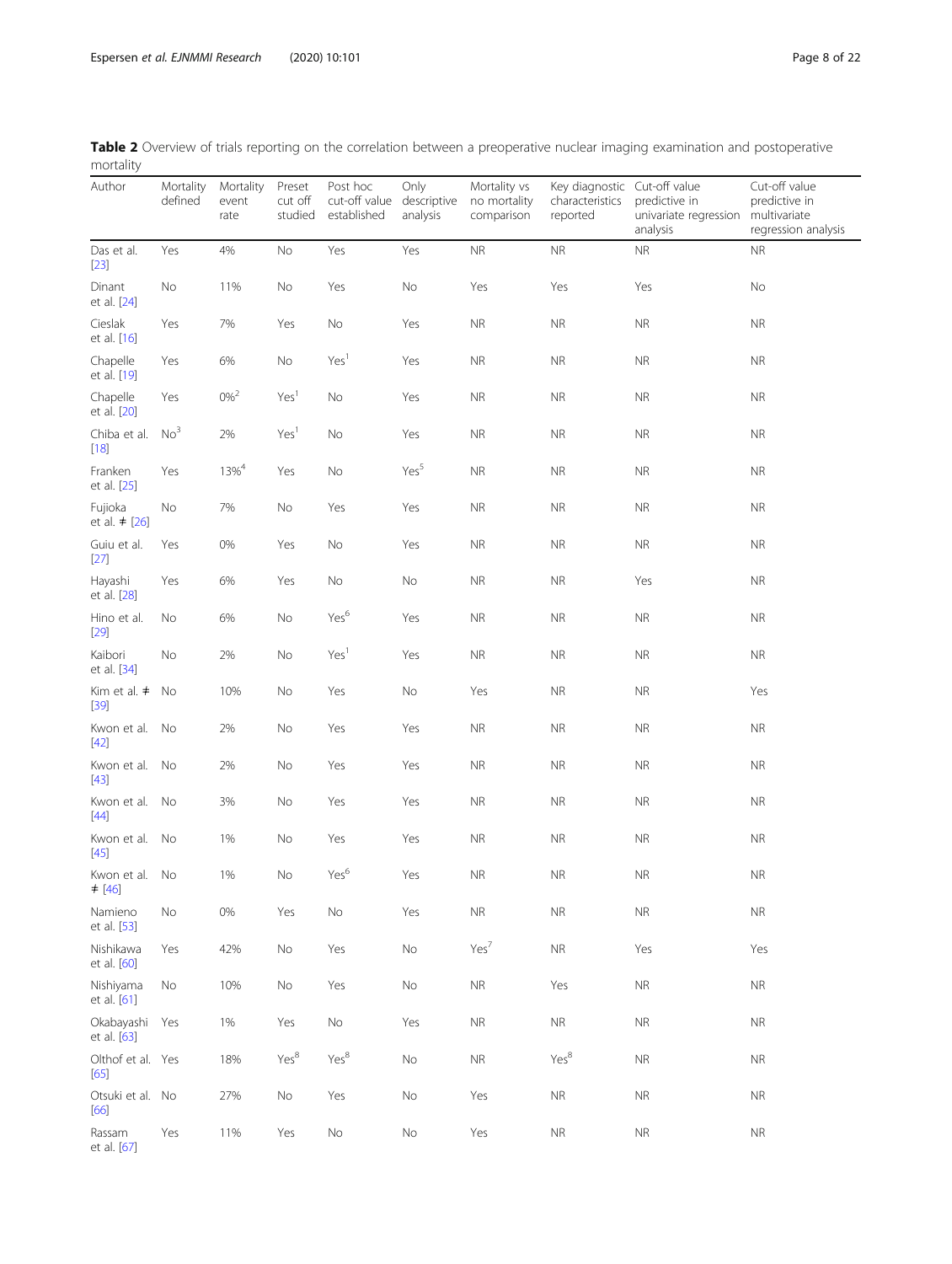| $1101$ cancy                  |                      |                            |                              |                                                      |                  |                                            |                                                             |                                                    |                                                                       |
|-------------------------------|----------------------|----------------------------|------------------------------|------------------------------------------------------|------------------|--------------------------------------------|-------------------------------------------------------------|----------------------------------------------------|-----------------------------------------------------------------------|
| Author                        | Mortality<br>defined | Mortality<br>event<br>rate | Preset<br>cut off<br>studied | Post hoc<br>cut-off value descriptive<br>established | Only<br>analysis | Mortality vs<br>no mortality<br>comparison | Key diagnostic Cut-off value<br>characteristics<br>reported | predictive in<br>univariate regression<br>analysis | Cut-off value<br>predictive in<br>multivariate<br>regression analysis |
| Das et al.<br>$[23]$          | Yes                  | 4%                         | No                           | Yes                                                  | Yes              | $\sf NR$                                   | ${\sf NR}$                                                  | <b>NR</b>                                          | <b>NR</b>                                                             |
| Dinant<br>et al. [24]         | No                   | 11%                        | No                           | Yes                                                  | No               | Yes                                        | Yes                                                         | Yes                                                | No                                                                    |
| Cieslak<br>et al. [16]        | Yes                  | 7%                         | Yes                          | No                                                   | Yes              | <b>NR</b>                                  | <b>NR</b>                                                   | <b>NR</b>                                          | <b>NR</b>                                                             |
| Chapelle<br>et al. [19]       | Yes                  | 6%                         | No                           | Yes <sup>1</sup>                                     | Yes              | <b>NR</b>                                  | <b>NR</b>                                                   | <b>NR</b>                                          | <b>NR</b>                                                             |
| Chapelle<br>et al. [20]       | Yes                  | $0\%^{2}$                  | Yes <sup>1</sup>             | $\mathsf{No}$                                        | Yes              | <b>NR</b>                                  | <b>NR</b>                                                   | <b>NR</b>                                          | <b>NR</b>                                                             |
| Chiba et al.<br>$[18]$        | No <sup>3</sup>      | 2%                         | Yes <sup>1</sup>             | No                                                   | Yes              | <b>NR</b>                                  | <b>NR</b>                                                   | <b>NR</b>                                          | <b>NR</b>                                                             |
| Franken<br>et al. [25]        | Yes                  | $13\%^{4}$                 | Yes                          | No                                                   | Yes <sup>5</sup> | <b>NR</b>                                  | NR.                                                         | <b>NR</b>                                          | <b>NR</b>                                                             |
| Fujioka<br>et al. $\neq$ [26] | No                   | 7%                         | No                           | Yes                                                  | Yes              | <b>NR</b>                                  | <b>NR</b>                                                   | <b>NR</b>                                          | <b>NR</b>                                                             |
| Guiu et al.<br>$[27]$         | Yes                  | 0%                         | Yes                          | No                                                   | Yes              | <b>NR</b>                                  | <b>NR</b>                                                   | <b>NR</b>                                          | <b>NR</b>                                                             |
| Hayashi<br>et al. [28]        | Yes                  | 6%                         | Yes                          | No                                                   | No               | <b>NR</b>                                  | <b>NR</b>                                                   | Yes                                                | <b>NR</b>                                                             |
| Hino et al.<br>$[29]$         | No                   | 6%                         | No                           | Yes <sup>6</sup>                                     | Yes              | <b>NR</b>                                  | <b>NR</b>                                                   | <b>NR</b>                                          | <b>NR</b>                                                             |
| Kaibori<br>et al. [34]        | No                   | 2%                         | No                           | Yes <sup>1</sup>                                     | Yes              | $\sf NR$                                   | <b>NR</b>                                                   | $\sf NR$                                           | <b>NR</b>                                                             |
| Kim et al. $\neq$<br>$[39]$   | No                   | 10%                        | No                           | Yes                                                  | No               | Yes                                        | <b>NR</b>                                                   | <b>NR</b>                                          | Yes                                                                   |
| Kwon et al. No<br>$[42]$      |                      | 2%                         | No                           | Yes                                                  | Yes              | <b>NR</b>                                  | <b>NR</b>                                                   | <b>NR</b>                                          | <b>NR</b>                                                             |
| Kwon et al. No<br>$[43]$      |                      | 2%                         | No                           | Yes                                                  | Yes              | <b>NR</b>                                  | <b>NR</b>                                                   | <b>NR</b>                                          | <b>NR</b>                                                             |
| Kwon et al.<br>$[44]$         | No                   | 3%                         | No                           | Yes                                                  | Yes              | <b>NR</b>                                  | <b>NR</b>                                                   | <b>NR</b>                                          | <b>NR</b>                                                             |
| Kwon et al.<br>$[45]$         | No                   | 1%                         | No                           | Yes                                                  | Yes              | <b>NR</b>                                  | <b>NR</b>                                                   | <b>NR</b>                                          | <b>NR</b>                                                             |
| Kwon et al. No<br>≠ [46]      |                      | 1%                         | No                           | Yes <sup>6</sup>                                     | Yes              | <b>NR</b>                                  | <b>NR</b>                                                   | <b>NR</b>                                          | <b>NR</b>                                                             |
| Namieno<br>et al. [53]        | No                   | 0%                         | Yes                          | No                                                   | Yes              | <b>NR</b>                                  | <b>NR</b>                                                   | <b>NR</b>                                          | <b>NR</b>                                                             |
| Nishikawa<br>et al. [60]      | Yes                  | 42%                        | No                           | Yes                                                  | No               | Yes <sup>7</sup>                           | <b>NR</b>                                                   | Yes                                                | Yes                                                                   |
| Nishiyama<br>et al. [61]      | No                   | 10%                        | No                           | Yes                                                  | No               | ${\sf NR}$                                 | Yes                                                         | <b>NR</b>                                          | <b>NR</b>                                                             |
| Okabayashi<br>et al. [63]     | Yes                  | 1%                         | Yes                          | No                                                   | Yes              | ${\sf NR}$                                 | <b>NR</b>                                                   | <b>NR</b>                                          | <b>NR</b>                                                             |
| Olthof et al. Yes<br>$[65]$   |                      | 18%                        | Yes <sup>8</sup>             | Yes <sup>8</sup>                                     | No               | <b>NR</b>                                  | Yes <sup>8</sup>                                            | <b>NR</b>                                          | <b>NR</b>                                                             |
| Otsuki et al. No<br>[66]      |                      | 27%                        | No                           | Yes                                                  | No               | Yes                                        | <b>NR</b>                                                   | $\sf NR$                                           | <b>NR</b>                                                             |
| Rassam<br>et al. [67]         | Yes                  | 11%                        | Yes                          | No                                                   | No               | Yes                                        | <b>NR</b>                                                   | $\sf NR$                                           | <b>NR</b>                                                             |

<span id="page-8-0"></span>Table 2 Overview of trials reporting on the correlation between a preoperative nuclear imaging examination and postoperative mortality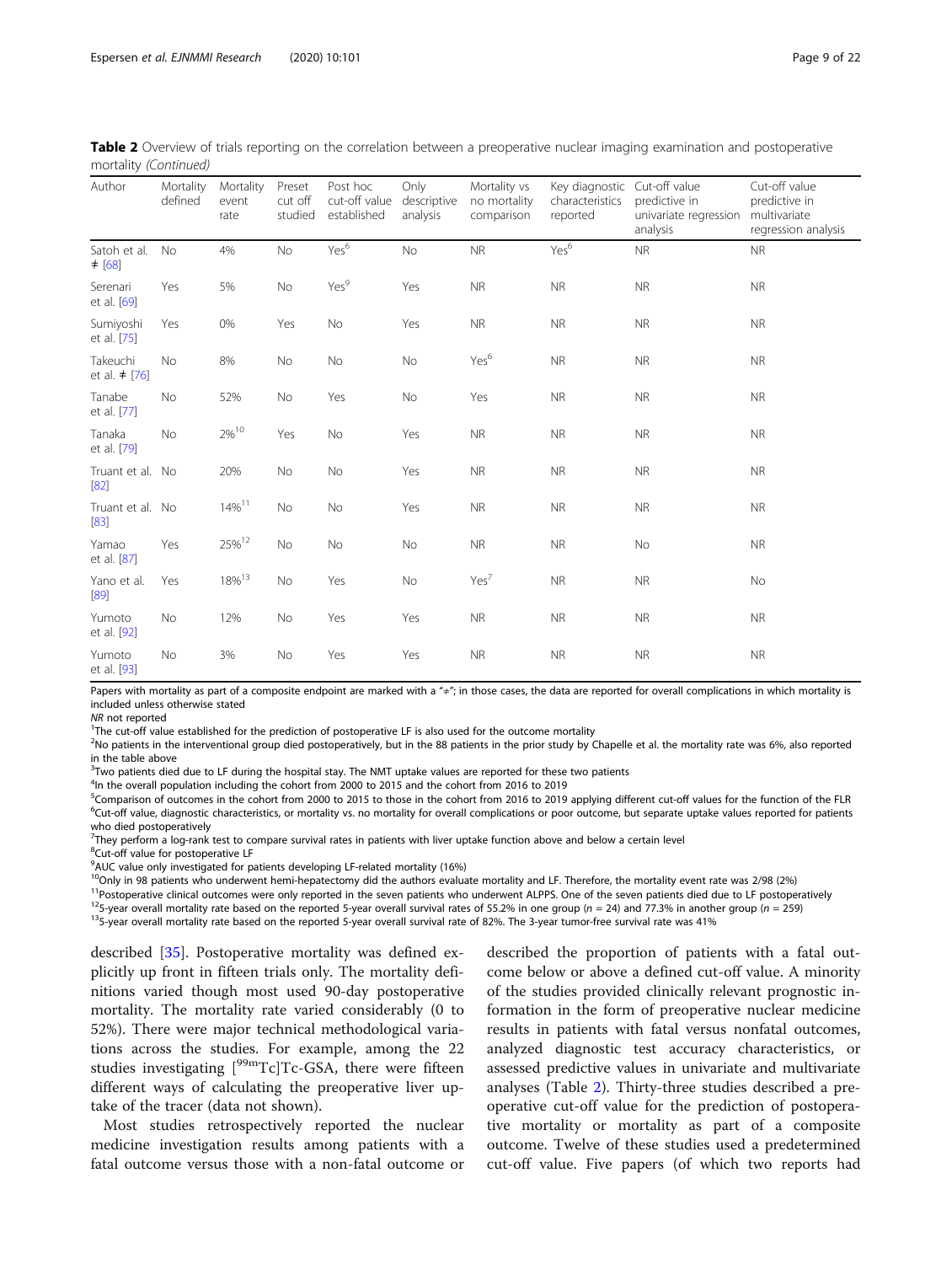| Author                         | Mortality<br>defined | Mortality<br>event<br>rate | Preset<br>cut off<br>studied | Post hoc<br>cut-off value<br>established | Only<br>descriptive<br>analysis | Mortality vs<br>no mortality<br>comparison | Key diagnostic<br>characteristics<br>reported | Cut-off value<br>predictive in<br>univariate regression<br>analysis | Cut-off value<br>predictive in<br>multivariate<br>regression analysis |
|--------------------------------|----------------------|----------------------------|------------------------------|------------------------------------------|---------------------------------|--------------------------------------------|-----------------------------------------------|---------------------------------------------------------------------|-----------------------------------------------------------------------|
| Satoh et al.<br>$±$ [68]       | <b>No</b>            | 4%                         | No                           | Yes <sup>6</sup>                         | <b>No</b>                       | <b>NR</b>                                  | Yes <sup>6</sup>                              | <b>NR</b>                                                           | <b>NR</b>                                                             |
| Serenari<br>et al. [69]        | Yes                  | 5%                         | No                           | Yes <sup>9</sup>                         | Yes                             | <b>NR</b>                                  | <b>NR</b>                                     | <b>NR</b>                                                           | <b>NR</b>                                                             |
| Sumiyoshi<br>et al. [75]       | Yes                  | 0%                         | Yes                          | No                                       | Yes                             | <b>NR</b>                                  | <b>NR</b>                                     | <b>NR</b>                                                           | <b>NR</b>                                                             |
| Takeuchi<br>et al. $\neq$ [76] | No                   | 8%                         | No                           | No                                       | No                              | Yes <sup>6</sup>                           | <b>NR</b>                                     | <b>NR</b>                                                           | <b>NR</b>                                                             |
| Tanabe<br>et al. [77]          | No                   | 52%                        | No                           | Yes                                      | No                              | Yes                                        | <b>NR</b>                                     | <b>NR</b>                                                           | <b>NR</b>                                                             |
| Tanaka<br>et al. [79]          | No                   | $2\%^{10}$                 | Yes                          | No                                       | Yes                             | <b>NR</b>                                  | <b>NR</b>                                     | <b>NR</b>                                                           | <b>NR</b>                                                             |
| Truant et al. No<br>[82]       |                      | 20%                        | No                           | No                                       | Yes                             | <b>NR</b>                                  | <b>NR</b>                                     | <b>NR</b>                                                           | <b>NR</b>                                                             |
| Truant et al. No<br>$[83]$     |                      | $14\%$ <sup>11</sup>       | No                           | No                                       | Yes                             | <b>NR</b>                                  | <b>NR</b>                                     | <b>NR</b>                                                           | <b>NR</b>                                                             |
| Yamao<br>et al. [87]           | Yes                  | $25\%^{12}$                | No                           | No                                       | No                              | <b>NR</b>                                  | <b>NR</b>                                     | No                                                                  | <b>NR</b>                                                             |
| Yano et al.<br>[89]            | Yes                  | 18% <sup>13</sup>          | No                           | Yes                                      | No                              | Yes <sup>7</sup>                           | <b>NR</b>                                     | <b>NR</b>                                                           | No                                                                    |
| Yumoto<br>et al. [92]          | No                   | 12%                        | No                           | Yes                                      | Yes                             | <b>NR</b>                                  | <b>NR</b>                                     | <b>NR</b>                                                           | <b>NR</b>                                                             |
| Yumoto<br>et al. [93]          | No                   | 3%                         | No                           | Yes                                      | Yes                             | <b>NR</b>                                  | <b>NR</b>                                     | <b>NR</b>                                                           | <b>NR</b>                                                             |

Table 2 Overview of trials reporting on the correlation between a preoperative nuclear imaging examination and postoperative mortality (Continued)

Papers with mortality as part of a composite endpoint are marked with a " $\pm$ "; in those cases, the data are reported for overall complications in which mortality is included unless otherwise stated

NR not reported

<sup>1</sup>The cut-off value established for the prediction of postoperative LF is also used for the outcome mortality

<sup>2</sup>No patients in the interventional group died postoperatively, but in the 88 patients in the prior study by Chapelle et al. the mortality rate was 6%, also reported in the table above

<sup>3</sup> Two patients died due to LF during the hospital stay. The NMT uptake values are reported for these two patients

<sup>4</sup>In the overall population including the cohort from 2000 to 2015 and the cohort from 2016 to 2019

<sup>5</sup>Comparison of outcomes in the cohort from 2000 to 2015 to those in the cohort from 2016 to 2019 applying different cut-off values for the function of the FLR  $\frac{1}{2}$  $<sup>6</sup>Cut-off$  value, diagnostic characteristics, or mortality vs. no mortality for overall complications or poor outcome, but separate uptake values reported for patients</sup> who died postoperatively

<sup>7</sup>They perform a log-rank test to compare survival rates in patients with liver uptake function above and below a certain level

<sup>8</sup>Cut-off value for postoperative LF

<sup>9</sup>AUC value only investigated for patients developing LF-related mortality (16%)

 $10$ Only in 98 patients who underwent hemi-hepatectomy did the authors evaluate mortality and LF. Therefore, the mortality event rate was 2/98 (2%)

<sup>11</sup>Postoperative clinical outcomes were only reported in the seven patients who underwent ALPPS. One of the seven patients died due to LF postoperatively  $^{12}$ S-year overall mortality rate based on the reported 5-year o

described [\[35\]](#page-20-0). Postoperative mortality was defined explicitly up front in fifteen trials only. The mortality definitions varied though most used 90-day postoperative mortality. The mortality rate varied considerably (0 to 52%). There were major technical methodological variations across the studies. For example, among the 22 studies investigating [<sup>99m</sup>Tc]Tc-GSA, there were fifteen different ways of calculating the preoperative liver uptake of the tracer (data not shown).

Most studies retrospectively reported the nuclear medicine investigation results among patients with a fatal outcome versus those with a non-fatal outcome or described the proportion of patients with a fatal outcome below or above a defined cut-off value. A minority of the studies provided clinically relevant prognostic information in the form of preoperative nuclear medicine results in patients with fatal versus nonfatal outcomes, analyzed diagnostic test accuracy characteristics, or assessed predictive values in univariate and multivariate analyses (Table [2](#page-8-0)). Thirty-three studies described a preoperative cut-off value for the prediction of postoperative mortality or mortality as part of a composite outcome. Twelve of these studies used a predetermined cut-off value. Five papers (of which two reports had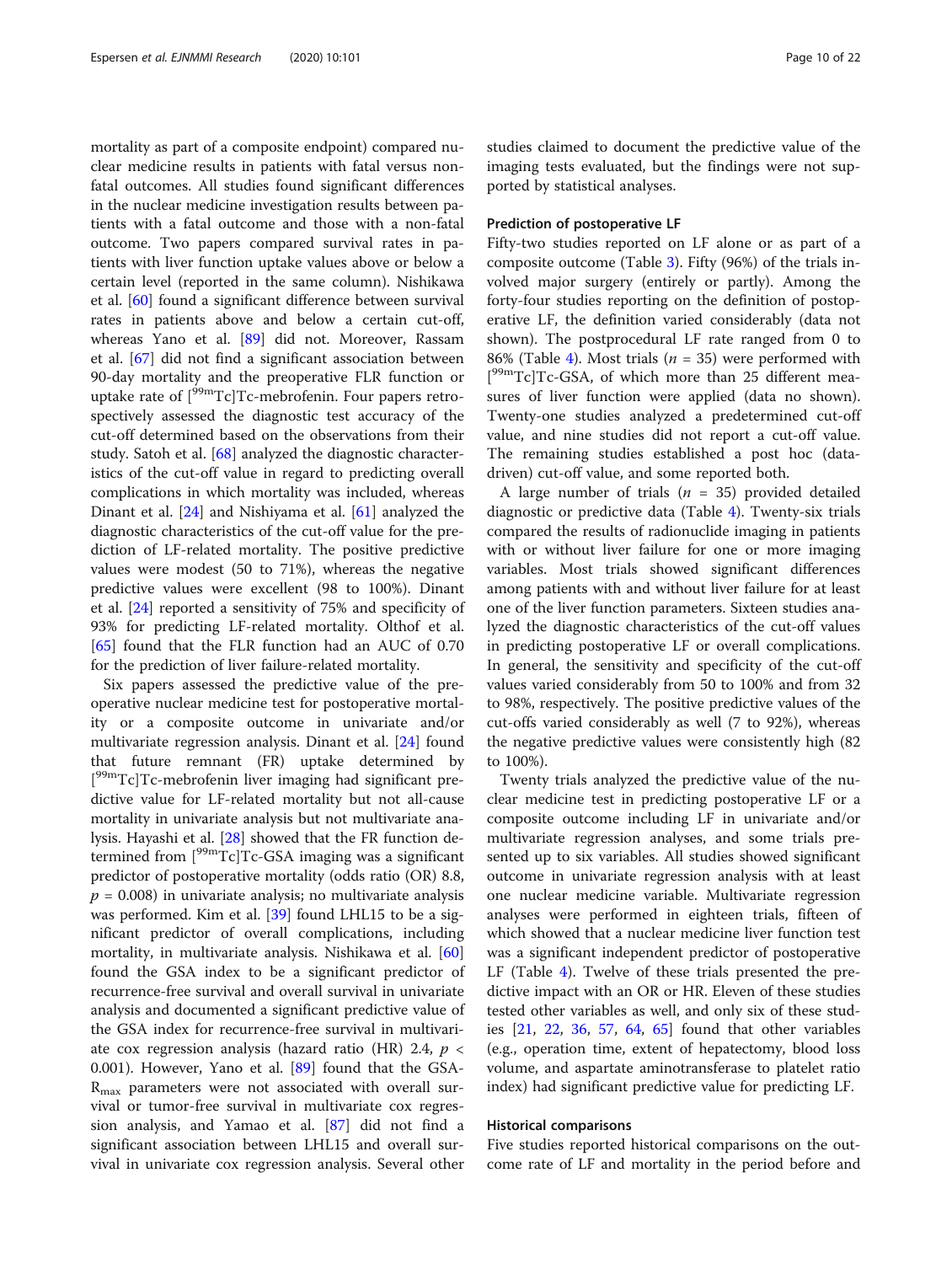mortality as part of a composite endpoint) compared nuclear medicine results in patients with fatal versus nonfatal outcomes. All studies found significant differences in the nuclear medicine investigation results between patients with a fatal outcome and those with a non-fatal outcome. Two papers compared survival rates in patients with liver function uptake values above or below a certain level (reported in the same column). Nishikawa et al. [[60\]](#page-21-0) found a significant difference between survival rates in patients above and below a certain cut-off, whereas Yano et al. [\[89](#page-21-0)] did not. Moreover, Rassam et al. [[67\]](#page-21-0) did not find a significant association between 90-day mortality and the preoperative FLR function or uptake rate of  $[{}^{99m}Tc]Tc$ -mebrofenin. Four papers retrospectively assessed the diagnostic test accuracy of the cut-off determined based on the observations from their study. Satoh et al. [\[68](#page-21-0)] analyzed the diagnostic characteristics of the cut-off value in regard to predicting overall complications in which mortality was included, whereas Dinant et al. [[24\]](#page-20-0) and Nishiyama et al. [[61\]](#page-21-0) analyzed the diagnostic characteristics of the cut-off value for the prediction of LF-related mortality. The positive predictive values were modest (50 to 71%), whereas the negative predictive values were excellent (98 to 100%). Dinant et al. [\[24](#page-20-0)] reported a sensitivity of 75% and specificity of 93% for predicting LF-related mortality. Olthof et al. [[65\]](#page-21-0) found that the FLR function had an AUC of 0.70 for the prediction of liver failure-related mortality.

Six papers assessed the predictive value of the preoperative nuclear medicine test for postoperative mortality or a composite outcome in univariate and/or multivariate regression analysis. Dinant et al. [[24\]](#page-20-0) found that future remnant (FR) uptake determined by [<sup>99m</sup>Tc]Tc-mebrofenin liver imaging had significant predictive value for LF-related mortality but not all-cause mortality in univariate analysis but not multivariate analysis. Hayashi et al. [[28](#page-20-0)] showed that the FR function determined from [99mTc]Tc-GSA imaging was a significant predictor of postoperative mortality (odds ratio (OR) 8.8,  $p = 0.008$ ) in univariate analysis; no multivariate analysis was performed. Kim et al. [[39](#page-20-0)] found LHL15 to be a significant predictor of overall complications, including mortality, in multivariate analysis. Nishikawa et al. [[60](#page-21-0)] found the GSA index to be a significant predictor of recurrence-free survival and overall survival in univariate analysis and documented a significant predictive value of the GSA index for recurrence-free survival in multivariate cox regression analysis (hazard ratio (HR) 2.4,  $p \lt \sqrt{ }$ 0.001). However, Yano et al. [[89\]](#page-21-0) found that the GSA- $R_{\text{max}}$  parameters were not associated with overall survival or tumor-free survival in multivariate cox regression analysis, and Yamao et al. [\[87](#page-21-0)] did not find a significant association between LHL15 and overall survival in univariate cox regression analysis. Several other studies claimed to document the predictive value of the imaging tests evaluated, but the findings were not supported by statistical analyses.

## Prediction of postoperative LF

Fifty-two studies reported on LF alone or as part of a composite outcome (Table [3](#page-11-0)). Fifty (96%) of the trials involved major surgery (entirely or partly). Among the forty-four studies reporting on the definition of postoperative LF, the definition varied considerably (data not shown). The postprocedural LF rate ranged from 0 to 86% (Table [4\)](#page-14-0). Most trials ( $n = 35$ ) were performed with [<sup>99m</sup>Tc]Tc-GSA, of which more than 25 different measures of liver function were applied (data no shown). Twenty-one studies analyzed a predetermined cut-off value, and nine studies did not report a cut-off value. The remaining studies established a post hoc (datadriven) cut-off value, and some reported both.

A large number of trials ( $n = 35$ ) provided detailed diagnostic or predictive data (Table [4\)](#page-14-0). Twenty-six trials compared the results of radionuclide imaging in patients with or without liver failure for one or more imaging variables. Most trials showed significant differences among patients with and without liver failure for at least one of the liver function parameters. Sixteen studies analyzed the diagnostic characteristics of the cut-off values in predicting postoperative LF or overall complications. In general, the sensitivity and specificity of the cut-off values varied considerably from 50 to 100% and from 32 to 98%, respectively. The positive predictive values of the cut-offs varied considerably as well (7 to 92%), whereas the negative predictive values were consistently high (82 to 100%).

Twenty trials analyzed the predictive value of the nuclear medicine test in predicting postoperative LF or a composite outcome including LF in univariate and/or multivariate regression analyses, and some trials presented up to six variables. All studies showed significant outcome in univariate regression analysis with at least one nuclear medicine variable. Multivariate regression analyses were performed in eighteen trials, fifteen of which showed that a nuclear medicine liver function test was a significant independent predictor of postoperative LF (Table [4](#page-14-0)). Twelve of these trials presented the predictive impact with an OR or HR. Eleven of these studies tested other variables as well, and only six of these studies [[21](#page-20-0), [22](#page-20-0), [36](#page-20-0), [57](#page-21-0), [64](#page-21-0), [65](#page-21-0)] found that other variables (e.g., operation time, extent of hepatectomy, blood loss volume, and aspartate aminotransferase to platelet ratio index) had significant predictive value for predicting LF.

### Historical comparisons

Five studies reported historical comparisons on the outcome rate of LF and mortality in the period before and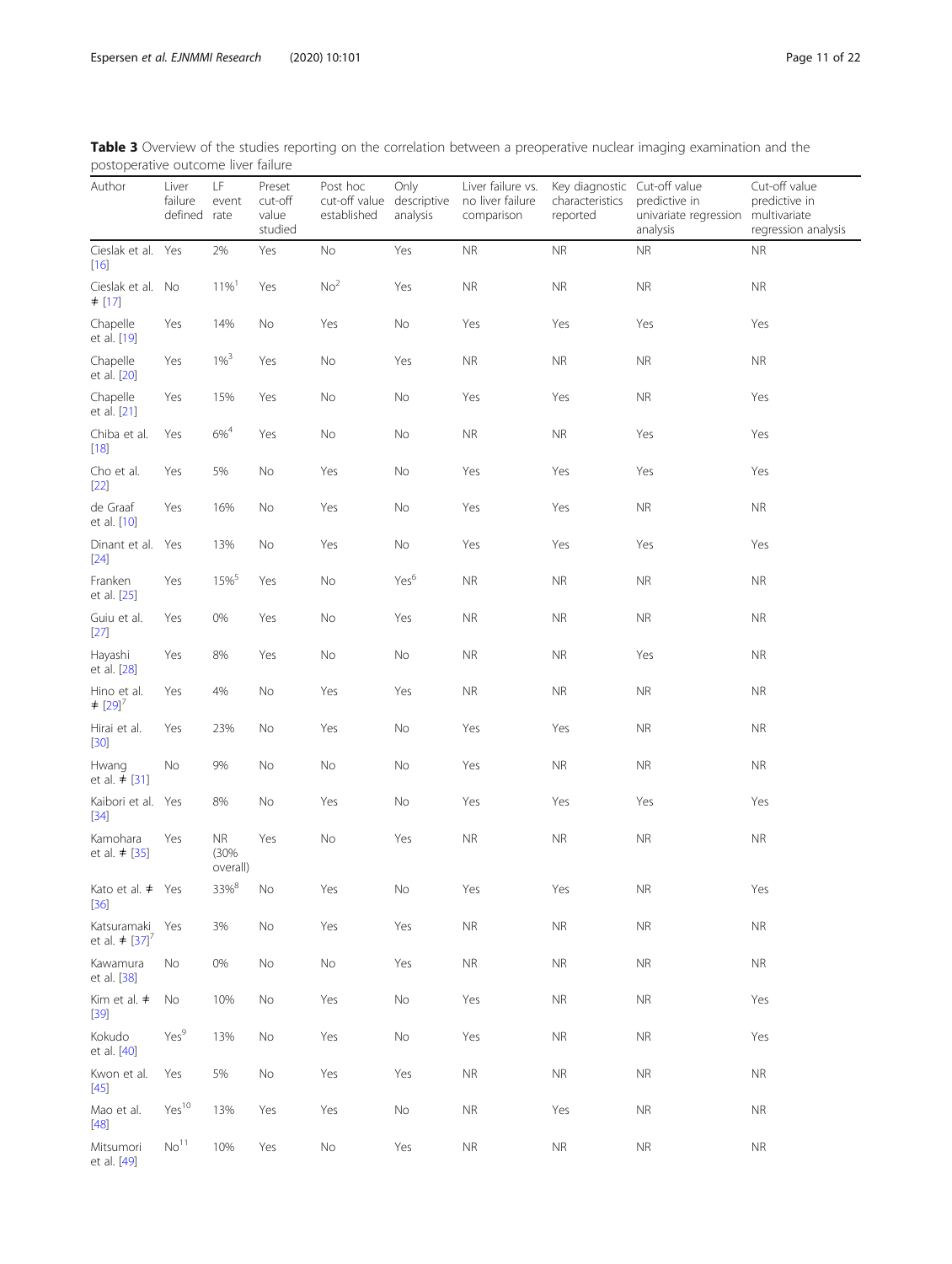<span id="page-11-0"></span>

| Table 3 Overview of the studies reporting on the correlation between a preoperative nuclear imaging examination and the |  |  |
|-------------------------------------------------------------------------------------------------------------------------|--|--|
| postoperative outcome liver failure                                                                                     |  |  |

| postoperative oateorrie liver raliare          |                                  |                         |                                       |                                          |                                 |                                                     |                                                             |                                                    |                                                                       |
|------------------------------------------------|----------------------------------|-------------------------|---------------------------------------|------------------------------------------|---------------------------------|-----------------------------------------------------|-------------------------------------------------------------|----------------------------------------------------|-----------------------------------------------------------------------|
| Author                                         | Liver<br>failure<br>defined rate | LF<br>event             | Preset<br>cut-off<br>value<br>studied | Post hoc<br>cut-off value<br>established | Only<br>descriptive<br>analysis | Liver failure vs.<br>no liver failure<br>comparison | Key diagnostic Cut-off value<br>characteristics<br>reported | predictive in<br>univariate regression<br>analysis | Cut-off value<br>predictive in<br>multivariate<br>regression analysis |
| Cieslak et al. Yes<br>$[16]$                   |                                  | 2%                      | Yes                                   | $\rm No$                                 | Yes                             | $\sf NR$                                            | <b>NR</b>                                                   | $\sf NR$                                           | ${\sf NR}$                                                            |
| Cieslak et al. No<br>$\neq$ [17]               |                                  | $11\%$ <sup>1</sup>     | Yes                                   | No <sup>2</sup>                          | Yes                             | ${\sf NR}$                                          | ${\sf NR}$                                                  | $\sf NR$                                           | <b>NR</b>                                                             |
| Chapelle<br>et al. [19]                        | Yes                              | 14%                     | No                                    | Yes                                      | No                              | Yes                                                 | Yes                                                         | Yes                                                | Yes                                                                   |
| Chapelle<br>et al. [20]                        | Yes                              | $1\%^{3}$               | Yes                                   | No                                       | Yes                             | ${\sf NR}$                                          | <b>NR</b>                                                   | <b>NR</b>                                          | <b>NR</b>                                                             |
| Chapelle<br>et al. [21]                        | Yes                              | 15%                     | Yes                                   | No                                       | No                              | Yes                                                 | Yes                                                         | ${\sf NR}$                                         | Yes                                                                   |
| Chiba et al.<br>$[18]$                         | Yes                              | $6\%^{4}$               | Yes                                   | No                                       | No                              | ${\sf NR}$                                          | ${\sf NR}$                                                  | Yes                                                | Yes                                                                   |
| Cho et al.<br>$[22]$                           | Yes                              | 5%                      | No                                    | Yes                                      | No                              | Yes                                                 | Yes                                                         | Yes                                                | Yes                                                                   |
| de Graaf<br>et al. [10]                        | Yes                              | 16%                     | No                                    | Yes                                      | No                              | Yes                                                 | Yes                                                         | ${\sf NR}$                                         | <b>NR</b>                                                             |
| Dinant et al. Yes<br>$[24]$                    |                                  | 13%                     | No                                    | Yes                                      | No                              | Yes                                                 | Yes                                                         | Yes                                                | Yes                                                                   |
| Franken<br>et al. [25]                         | Yes                              | 15% <sup>5</sup>        | Yes                                   | $\rm No$                                 | Yes <sup>6</sup>                | ${\sf NR}$                                          | <b>NR</b>                                                   | <b>NR</b>                                          | <b>NR</b>                                                             |
| Guiu et al.<br>$[27]$                          | Yes                              | 0%                      | Yes                                   | No                                       | Yes                             | <b>NR</b>                                           | ${\sf NR}$                                                  | $\sf NR$                                           | <b>NR</b>                                                             |
| Hayashi<br>et al. [28]                         | Yes                              | 8%                      | Yes                                   | No                                       | No                              | ${\sf NR}$                                          | ${\sf NR}$                                                  | Yes                                                | ${\sf NR}$                                                            |
| Hino et al.<br>$\neq$ [29] <sup>7</sup>        | Yes                              | 4%                      | No                                    | Yes                                      | Yes                             | ${\sf NR}$                                          | ${\sf NR}$                                                  | $\sf NR$                                           | ${\sf NR}$                                                            |
| Hirai et al.<br>$[30]$                         | Yes                              | 23%                     | No                                    | Yes                                      | No                              | Yes                                                 | Yes                                                         | $\sf NR$                                           | <b>NR</b>                                                             |
| Hwang<br>et al. $\neq$ [31]                    | No                               | 9%                      | No                                    | No                                       | No                              | Yes                                                 | ${\sf NR}$                                                  | $\sf NR$                                           | <b>NR</b>                                                             |
| Kaibori et al. Yes<br>$[34]$                   |                                  | 8%                      | No                                    | Yes                                      | No                              | Yes                                                 | Yes                                                         | Yes                                                | Yes                                                                   |
| Kamohara<br>et al. $\neq$ [35]                 | Yes                              | NR.<br>(30%<br>overall) | Yes                                   | $\rm No$                                 | Yes                             | <b>NR</b>                                           | <b>NR</b>                                                   | ${\sf NR}$                                         | <b>NR</b>                                                             |
| Kato et al. # Yes<br>$[36]$                    |                                  | $33\%^{8}$              | No                                    | Yes                                      | $\mathsf{No}$                   | Yes                                                 | Yes                                                         | ${\sf NR}$                                         | Yes                                                                   |
| Katsuramaki<br>et al. $\neq$ [37] <sup>7</sup> | Yes                              | 3%                      | No                                    | Yes                                      | Yes                             | ${\sf NR}$                                          | ${\sf NR}$                                                  | $\sf NR$                                           | ${\sf NR}$                                                            |
| Kawamura<br>et al. [38]                        | No                               | 0%                      | No                                    | No                                       | Yes                             | <b>NR</b>                                           | <b>NR</b>                                                   | $\sf NR$                                           | <b>NR</b>                                                             |
| Kim et al. $\neq$<br>$[39]$                    | No                               | 10%                     | No                                    | Yes                                      | No                              | Yes                                                 | <b>NR</b>                                                   | $\sf NR$                                           | Yes                                                                   |
| Kokudo<br>et al. [40]                          | Yes <sup>9</sup>                 | 13%                     | No                                    | Yes                                      | No                              | Yes                                                 | <b>NR</b>                                                   | <b>NR</b>                                          | Yes                                                                   |
| Kwon et al.<br>$[45]$                          | Yes                              | 5%                      | No                                    | Yes                                      | Yes                             | <b>NR</b>                                           | <b>NR</b>                                                   | <b>NR</b>                                          | <b>NR</b>                                                             |
| Mao et al.<br>$[48]$                           | Yes <sup>10</sup>                | 13%                     | Yes                                   | Yes                                      | No                              | <b>NR</b>                                           | Yes                                                         | <b>NR</b>                                          | <b>NR</b>                                                             |
| Mitsumori<br>et al. [49]                       | No <sup>11</sup>                 | 10%                     | Yes                                   | $\mathsf{No}$                            | Yes                             | ${\sf NR}$                                          | ${\sf NR}$                                                  | $\sf NR$                                           | <b>NR</b>                                                             |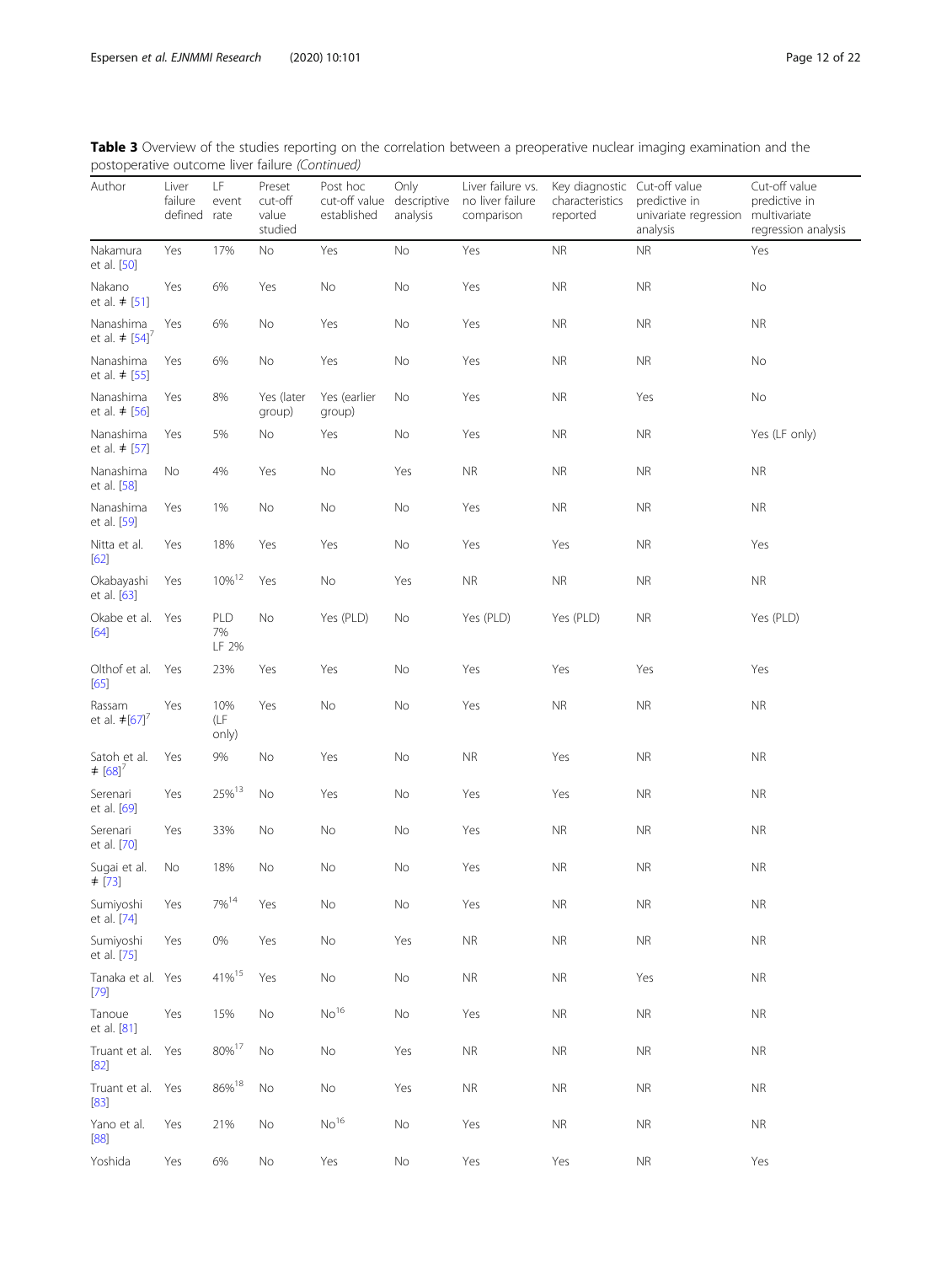| Table 3 Overview of the studies reporting on the correlation between a preoperative nuclear imaging examination and the |  |  |
|-------------------------------------------------------------------------------------------------------------------------|--|--|
| postoperative outcome liver failure (Continued)                                                                         |  |  |

| postoperative outcome liver raliare (committed)                |                                  |                     |                                       |                                                      |                  |                                                     |                                                             |                                                    |                                                                       |
|----------------------------------------------------------------|----------------------------------|---------------------|---------------------------------------|------------------------------------------------------|------------------|-----------------------------------------------------|-------------------------------------------------------------|----------------------------------------------------|-----------------------------------------------------------------------|
| Author                                                         | Liver<br>failure<br>defined rate | LF.<br>event        | Preset<br>cut-off<br>value<br>studied | Post hoc<br>cut-off value descriptive<br>established | Only<br>analysis | Liver failure vs.<br>no liver failure<br>comparison | Key diagnostic Cut-off value<br>characteristics<br>reported | predictive in<br>univariate regression<br>analysis | Cut-off value<br>predictive in<br>multivariate<br>regression analysis |
| Nakamura<br>et al. [50]                                        | Yes                              | 17%                 | No                                    | Yes                                                  | No               | Yes                                                 | <b>NR</b>                                                   | <b>NR</b>                                          | Yes                                                                   |
| Nakano<br>et al. $\neq$ [51]                                   | Yes                              | 6%                  | Yes                                   | $\rm No$                                             | No               | Yes                                                 | ${\sf NR}$                                                  | $\sf NR$                                           | No                                                                    |
| Nanashima<br>et al. $\neq$ [54] <sup><math>\prime</math></sup> | Yes                              | 6%                  | No                                    | Yes                                                  | No               | Yes                                                 | ${\sf NR}$                                                  | $\sf NR$                                           | <b>NR</b>                                                             |
| Nanashima<br>et al. $\neq$ [55]                                | Yes                              | 6%                  | No                                    | Yes                                                  | No               | Yes                                                 | ${\sf NR}$                                                  | <b>NR</b>                                          | No                                                                    |
| Nanashima<br>et al. $\neq$ [56]                                | Yes                              | 8%                  | Yes (later<br>group)                  | Yes (earlier<br>group)                               | No               | Yes                                                 | ${\sf NR}$                                                  | Yes                                                | No                                                                    |
| Nanashima<br>et al. $\neq$ [57]                                | Yes                              | 5%                  | No                                    | Yes                                                  | No               | Yes                                                 | ${\sf NR}$                                                  | $\sf NR$                                           | Yes (LF only)                                                         |
| Nanashima<br>et al. [58]                                       | No                               | 4%                  | Yes                                   | No                                                   | Yes              | ${\sf NR}$                                          | <b>NR</b>                                                   | NR.                                                | NR.                                                                   |
| Nanashima<br>et al. [59]                                       | Yes                              | 1%                  | No                                    | No                                                   | No               | Yes                                                 | <b>NR</b>                                                   | <b>NR</b>                                          | <b>NR</b>                                                             |
| Nitta et al.<br>[62]                                           | Yes                              | 18%                 | Yes                                   | Yes                                                  | No               | Yes                                                 | Yes                                                         | <b>NR</b>                                          | Yes                                                                   |
| Okabayashi<br>et al. [63]                                      | Yes                              | $10\%^{12}$         | Yes                                   | No                                                   | Yes              | <b>NR</b>                                           | <b>NR</b>                                                   | <b>NR</b>                                          | <b>NR</b>                                                             |
| Okabe et al. Yes<br>$[64]$                                     |                                  | PLD<br>7%<br>LF 2%  | No                                    | Yes (PLD)                                            | No               | Yes (PLD)                                           | Yes (PLD)                                                   | <b>NR</b>                                          | Yes (PLD)                                                             |
| Olthof et al. Yes<br>[65]                                      |                                  | 23%                 | Yes                                   | Yes                                                  | No               | Yes                                                 | Yes                                                         | Yes                                                | Yes                                                                   |
| Rassam<br>et al. $\neq$ [67] <sup><math>\prime</math></sup>    | Yes                              | 10%<br>(LF<br>only) | Yes                                   | No                                                   | No               | Yes                                                 | <b>NR</b>                                                   | ${\sf NR}$                                         | <b>NR</b>                                                             |
| Satoh et al.<br>$\neq$ [68] <sup>7</sup>                       | Yes                              | 9%                  | No                                    | Yes                                                  | No               | <b>NR</b>                                           | Yes                                                         | <b>NR</b>                                          | <b>NR</b>                                                             |
| Serenari<br>et al. [69]                                        | Yes                              | 25% <sup>13</sup>   | No                                    | Yes                                                  | No               | Yes                                                 | Yes                                                         | <b>NR</b>                                          | <b>NR</b>                                                             |
| Serenari<br>et al. [70]                                        | Yes                              | 33%                 | No                                    | No                                                   | No               | Yes                                                 | <b>NR</b>                                                   | <b>NR</b>                                          | <b>NR</b>                                                             |
| Sugai et al.<br>$\pm$ [73]                                     | No                               | 18%                 | No                                    | No                                                   | No               | Yes                                                 | <b>NR</b>                                                   | <b>NR</b>                                          | <b>NR</b>                                                             |
| Sumiyoshi<br>et al. [74]                                       | Yes                              | $7\%^{14}$          | Yes                                   | No                                                   | No               | Yes                                                 | ${\sf NR}$                                                  | ${\sf NR}$                                         | ${\sf NR}$                                                            |
| Sumiyoshi<br>et al. [75]                                       | Yes                              | $0\%$               | Yes                                   | No                                                   | Yes              | ${\sf NR}$                                          | <b>NR</b>                                                   | <b>NR</b>                                          | <b>NR</b>                                                             |
| Tanaka et al. Yes<br>$[79]$                                    |                                  | 41% <sup>15</sup>   | Yes                                   | No                                                   | No               | ${\sf NR}$                                          | <b>NR</b>                                                   | Yes                                                | <b>NR</b>                                                             |
| Tanoue<br>et al. [81]                                          | Yes                              | 15%                 | No                                    | No <sup>16</sup>                                     | No               | Yes                                                 | ${\sf NR}$                                                  | <b>NR</b>                                          | <b>NR</b>                                                             |
| Truant et al. Yes<br>$[82]$                                    |                                  | $80\%^{17}$         | No                                    | $\rm No$                                             | Yes              | ${\sf NR}$                                          | ${\sf NR}$                                                  | <b>NR</b>                                          | <b>NR</b>                                                             |
| Truant et al. Yes<br>$[83]$                                    |                                  | 86%18               | No                                    | $\rm No$                                             | Yes              | ${\sf NR}$                                          | ${\sf NR}$                                                  | <b>NR</b>                                          | <b>NR</b>                                                             |
| Yano et al.<br>[88]                                            | Yes                              | 21%                 | No                                    | No <sup>16</sup>                                     | No               | Yes                                                 | ${\sf NR}$                                                  | ${\sf NR}$                                         | <b>NR</b>                                                             |
| Yoshida                                                        | Yes                              | 6%                  | No                                    | Yes                                                  | No               | Yes                                                 | Yes                                                         | <b>NR</b>                                          | Yes                                                                   |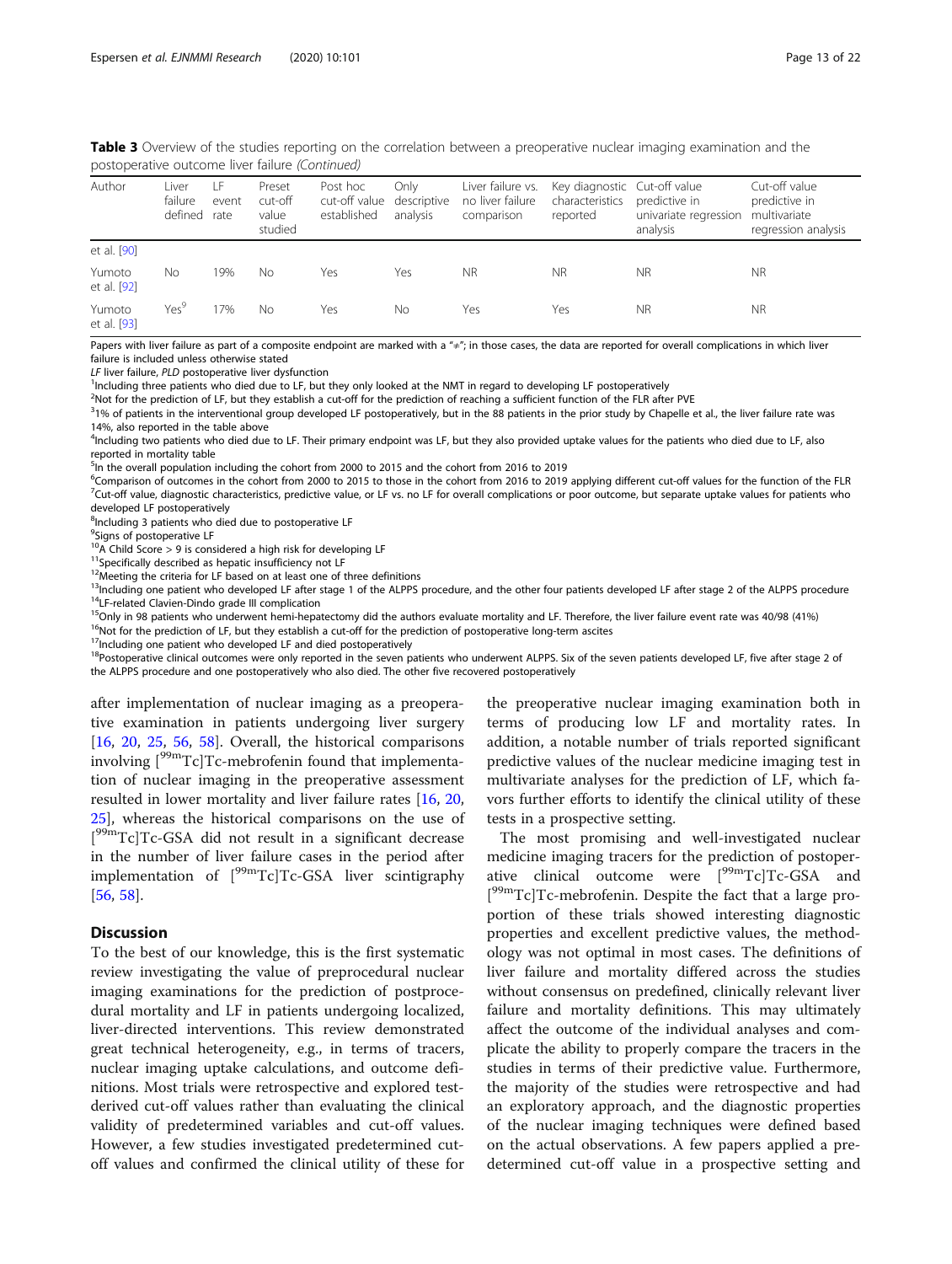| Author                | Liver<br>failure<br>defined | i F<br>event<br>rate | Preset<br>cut-off<br>value<br>studied | Post hoc<br>cut-off value descriptive<br>established | Only<br>analysis | Liver failure vs.<br>no liver failure<br>comparison | Key diagnostic Cut-off value<br>characteristics<br>reported | predictive in<br>univariate regression<br>analysis | Cut-off value<br>predictive in<br>multivariate<br>regression analysis |
|-----------------------|-----------------------------|----------------------|---------------------------------------|------------------------------------------------------|------------------|-----------------------------------------------------|-------------------------------------------------------------|----------------------------------------------------|-----------------------------------------------------------------------|
| et al. [90]           |                             |                      |                                       |                                                      |                  |                                                     |                                                             |                                                    |                                                                       |
| Yumoto<br>et al. [92] | No                          | 19%                  | No                                    | Yes                                                  | Yes              | <b>NR</b>                                           | <b>NR</b>                                                   | <b>NR</b>                                          | <b>NR</b>                                                             |
| Yumoto<br>et al. [93] | Yes <sup>9</sup>            | 7%                   | Nο                                    | Yes                                                  | Nο               | Yes                                                 | Yes                                                         | <b>NR</b>                                          | <b>NR</b>                                                             |

Table 3 Overview of the studies reporting on the correlation between a preoperative nuclear imaging examination and the postoperative outcome liver failure (Continued)

Papers with liver failure as part of a composite endpoint are marked with a " $\neq$ "; in those cases, the data are reported for overall complications in which liver failure is included unless otherwise stated

LF liver failure, PLD postoperative liver dysfunction

<sup>1</sup>Including three patients who died due to LF, but they only looked at the NMT in regard to developing LF postoperatively

2 Not for the prediction of LF, but they establish a cut-off for the prediction of reaching a sufficient function of the FLR after PVE

 $31\%$  of patients in the interventional group developed LF postoperatively, but in the 88 patients in the prior study by Chapelle et al., the liver failure rate was 14%, also reported in the table above

<sup>4</sup>Including two patients who died due to LF. Their primary endpoint was LF, but they also provided uptake values for the patients who died due to LF, also reported in mortality table

<sup>5</sup>In the overall population including the cohort from 2000 to 2015 and the cohort from 2016 to 2019

<sup>6</sup>Comparison of outcomes in the cohort from 2000 to 2015 to those in the cohort from 2016 to 2019 applying different cut-off values for the function of the FLR<br><sup>7</sup>Cut-off value, diagnostic characteristics, predictive valu  $^7$ Cut-off value, diagnostic characteristics, predictive value, or LF vs. no LF for overall complications or poor outcome, but separate uptake values for patients who developed LF postoperatively

<sup>8</sup>Including 3 patients who died due to postoperative LF

<sup>9</sup>Signs of postoperative LF

 $10A$  Child Score > 9 is considered a high risk for developing LF

11Specifically described as hepatic insufficiency not LF

<sup>12</sup>Meeting the criteria for LF based on at least one of three definitions

<sup>13</sup>Including one patient who developed LF after stage 1 of the ALPPS procedure, and the other four patients developed LF after stage 2 of the ALPPS procedure  $14$ LF-related Clavien-Dindo grade III complication

<sup>15</sup>Only in 98 patients who underwent hemi-hepatectomy did the authors evaluate mortality and LF. Therefore, the liver failure event rate was 40/98 (41%)

 $16$ Not for the prediction of LF, but they establish a cut-off for the prediction of postoperative long-term ascites

<sup>17</sup>Including one patient who developed LF and died postoperatively

<sup>18</sup>Postoperative clinical outcomes were only reported in the seven patients who underwent ALPPS. Six of the seven patients developed LF, five after stage 2 of the ALPPS procedure and one postoperatively who also died. The other five recovered postoperatively

after implementation of nuclear imaging as a preoperative examination in patients undergoing liver surgery [[16,](#page-20-0) [20,](#page-20-0) [25](#page-20-0), [56](#page-21-0), [58](#page-21-0)]. Overall, the historical comparisons involving  $[{}^{99m}Tc]Tc$ -mebrofenin found that implementation of nuclear imaging in the preoperative assessment resulted in lower mortality and liver failure rates [\[16](#page-20-0), [20](#page-20-0), [25\]](#page-20-0), whereas the historical comparisons on the use of [<sup>99m</sup>Tc]Tc-GSA did not result in a significant decrease in the number of liver failure cases in the period after implementation of  $[{}^{99m}Tc]Tc$ -GSA liver scintigraphy [[56,](#page-21-0) [58\]](#page-21-0).

#### **Discussion**

To the best of our knowledge, this is the first systematic review investigating the value of preprocedural nuclear imaging examinations for the prediction of postprocedural mortality and LF in patients undergoing localized, liver-directed interventions. This review demonstrated great technical heterogeneity, e.g., in terms of tracers, nuclear imaging uptake calculations, and outcome definitions. Most trials were retrospective and explored testderived cut-off values rather than evaluating the clinical validity of predetermined variables and cut-off values. However, a few studies investigated predetermined cutoff values and confirmed the clinical utility of these for

the preoperative nuclear imaging examination both in terms of producing low LF and mortality rates. In addition, a notable number of trials reported significant predictive values of the nuclear medicine imaging test in multivariate analyses for the prediction of LF, which favors further efforts to identify the clinical utility of these tests in a prospective setting.

The most promising and well-investigated nuclear medicine imaging tracers for the prediction of postoperative clinical outcome were  $[{}^{99}$ mTc]Tc-GSA and [<sup>99m</sup>Tc]Tc-mebrofenin. Despite the fact that a large proportion of these trials showed interesting diagnostic properties and excellent predictive values, the methodology was not optimal in most cases. The definitions of liver failure and mortality differed across the studies without consensus on predefined, clinically relevant liver failure and mortality definitions. This may ultimately affect the outcome of the individual analyses and complicate the ability to properly compare the tracers in the studies in terms of their predictive value. Furthermore, the majority of the studies were retrospective and had an exploratory approach, and the diagnostic properties of the nuclear imaging techniques were defined based on the actual observations. A few papers applied a predetermined cut-off value in a prospective setting and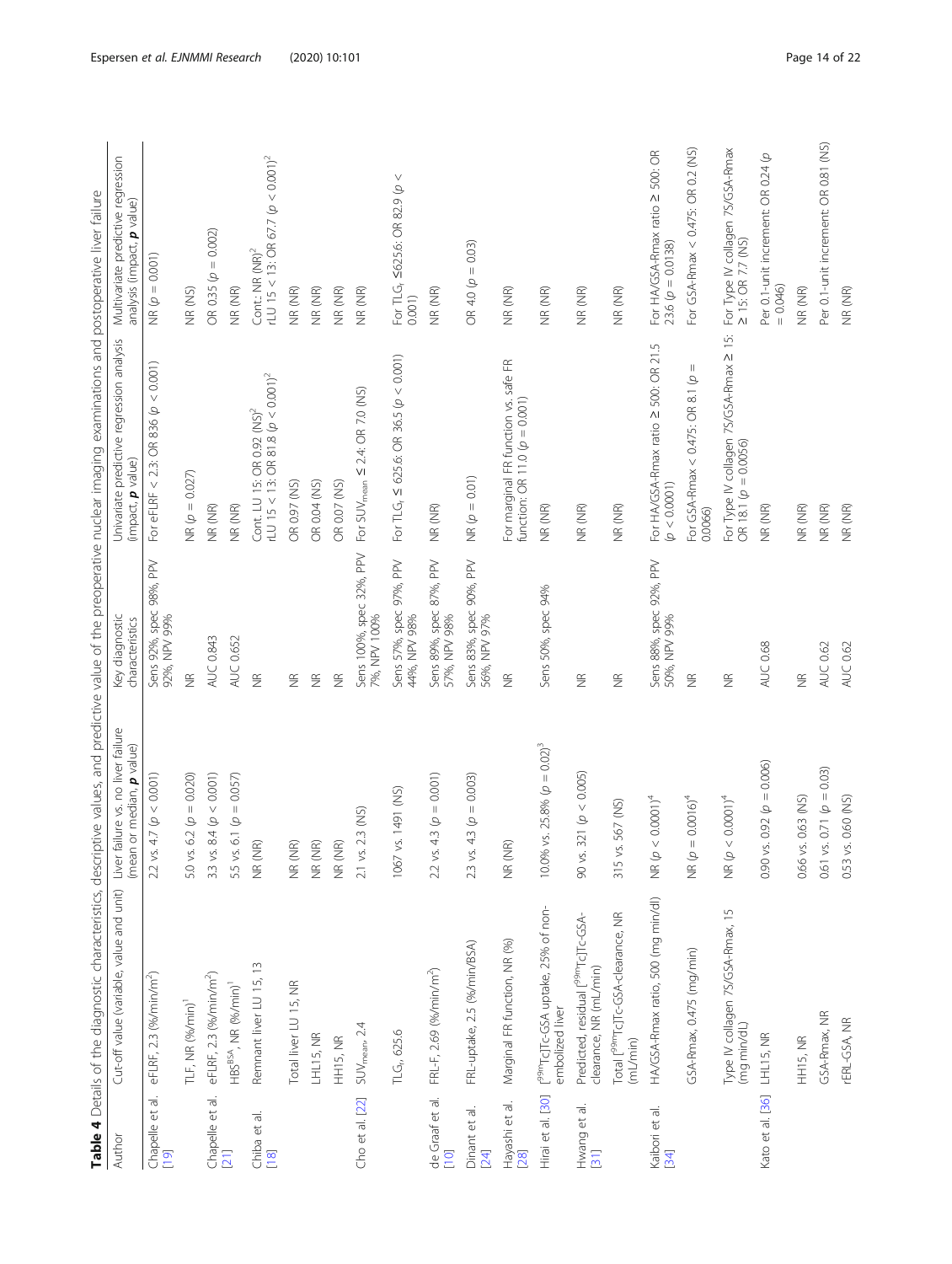<span id="page-14-0"></span>

|                                   |                                                                           |                                                                    |                                          | Table 4 Details of the diagnostic characteristics, descriptive values, and predictive value of the preoperative nuclear imaging examinations and postoperative liver failure |                                                                                  |
|-----------------------------------|---------------------------------------------------------------------------|--------------------------------------------------------------------|------------------------------------------|------------------------------------------------------------------------------------------------------------------------------------------------------------------------------|----------------------------------------------------------------------------------|
| Author                            | Cut-off value (variable, value and unit)                                  | failure vs. no liver failure<br>(mean or median, p value)<br>Liver | Key diagnostic<br>characteristics        | Univariate predictive regression analysis<br>(impact, p value)                                                                                                               | Multivariate predictive regression<br>analysis (impact, p value)                 |
| Chapelle et al.<br>[19]           | eFLRF, 2.3 (%/min/m <sup>2</sup> )                                        | 4.7(p < 0.001)<br>$2.2$ vs.                                        | Sens 92%, spec 98%, PPV<br>92%, NPV 99%  | For eFLRF < 2.3: OR 836 $(p < 0.001)$                                                                                                                                        | $NR(\varphi = 0.001)$                                                            |
|                                   | TLF, NR (%/min) <sup>1</sup>                                              | $6.2 (p = 0.020)$<br>5.0 vs.                                       | $\frac{\alpha}{Z}$                       | NR $(p = 0.027)$                                                                                                                                                             | NR (NS)                                                                          |
| Chapelle et al.                   | eFLRF, 2.3 (%/min/m <sup>2</sup> )                                        | 3.3 vs. 8.4 ( $p < 0.001$ )                                        | AUC 0.843                                | NR (NR)                                                                                                                                                                      | $= 0.002$<br>OR 0.35 (p                                                          |
| [21]                              | HBS <sup>BSA</sup> , NR (%/min) <sup>1</sup>                              | 5.5 vs. 6.1 ( $p = 0.057$ )                                        | <b>AUC 0.652</b>                         | NR (NR)                                                                                                                                                                      | NR (NR)                                                                          |
| Chiba et al.<br>[18]              | Remnant liver LU 15, 13                                                   | $\widehat{\simeq}$<br>NR (N                                        | $\widetilde{\Xi}$                        | rLU 15 < 13: OR 81.8 $(p < 0.001)^2$<br>Cont. LU 15: OR 0.92 (NS) <sup>2</sup>                                                                                               | rLU 15 < 13: OR 67.7 ( $p < 0.001$ ) <sup>2</sup><br>Cont.: NR (NR) <sup>2</sup> |
|                                   | Total liver LU 15, NR                                                     | NR (NR)                                                            | $\widetilde{\Xi}$                        | OR 0.97 (NS)                                                                                                                                                                 | NR (NR)                                                                          |
|                                   | LHL15, NR                                                                 | NR (NR)                                                            | $\widetilde{\Xi}$                        | OR 0.04 (NS)                                                                                                                                                                 | NR (NR)                                                                          |
|                                   | HH15, NR                                                                  | NR (NR)                                                            | $\widetilde{\Xi}$                        | OR 0.07 (NS)                                                                                                                                                                 | NR (NR)                                                                          |
| Cho et al. [22]                   | $SUV_{mean}$ 2.4                                                          | 2.1 vs. 2.3 (NS)                                                   | Sens 100%, spec 32%, PPV<br>7%, NPV 100% | For SUV <sub>mean</sub> $\leq$ 2.4: OR 7.0 (NS)                                                                                                                              | NR (NR)                                                                          |
|                                   | TLG <sub>n</sub> 625.6                                                    | vs. 1491 (NS)<br>1067                                              | Sens 57%, spec 97%, PPV<br>44%, NPV 98%  | For TLG, $\leq 625.6$ : OR 36.5 $(p < 0.001)$                                                                                                                                | $\vee$<br>For TLG <sub>r</sub> ≤625.6: OR 82.9 (ρ<br>0.001)                      |
| de Graaf et al.<br>$\overline{C}$ | FRL-F, 2.69 (%/min/m <sup>2</sup> )                                       | 4.3 ( $p = 0.001$ )<br>$2.2$ vs.                                   | Sens 89%, spec 87%, PPV<br>57%, NPV 98%  | NR (NR)                                                                                                                                                                      | NR (NR)                                                                          |
| Dinant et al.<br>[24]             | FRL-uptake, 2.5 (%/min/BSA)                                               | 4.3 ( $p = 0.003$ )<br>2.3 vs.                                     | Sens 83%, spec 90%, PPV<br>56%, NPV 97%  | $MR(p = 0.01)$                                                                                                                                                               | OR 4.0 ( $p = 0.03$ )                                                            |
| Hayashi et al.<br>[28]            | Marginal FR function, NR (%)                                              | $\widehat{\simeq}$<br>NR (N                                        | $\widetilde{\Xi}$                        | For marginal FR function vs. safe FR<br>function: OR 11.0 $(p = 0.001)$                                                                                                      | NR (NR)                                                                          |
| Hirai et al. [30]                 | [ <sup>99m</sup> Tc]Tc-GSA uptake, 25% of non-<br>embolized liver         | 10.0% vs. 25.8% $(p = 0.02)^3$                                     | Sens 50%, spec 94%                       | NR (NR)                                                                                                                                                                      | NR (NR)                                                                          |
| Hwang et al.<br>$\overline{31}$   | Predicted, residual [ <sup>99m</sup> Tc]Tc-GSA-<br>clearance, NR (mL/min) | 321 ( $p < 0.005$ )<br>90 vs.                                      | $\widetilde{\Xi}$                        | NR (NR)                                                                                                                                                                      | NR (NR)                                                                          |
|                                   | Total [ <sup>99m</sup> Tc]Tc-GSA-clearance, NR<br>(mL/min)                | 315 vs. 567 (NS)                                                   | $\widetilde{\Xi}$                        | NR (NR)                                                                                                                                                                      | NR (NR)                                                                          |
| Kaibori et al.<br>34              | HA/GSA-Rmax ratio, 500 (mg min/dl)                                        | $< 0.0001$ <sup>4</sup><br>NR $\varphi$                            | Sens 88%, spec 92%, PPV<br>50%, NPV 99%  | For HA/GSA-Rmax ratio ≥ 500: OR 21.5<br>(p < 0.0001)                                                                                                                         | For HA/GSA-Rmax ratio ≥ 500: OR<br>23.6 ( $p = 0.0138$ )                         |
|                                   | GSA-Rmax, 0.475 (mg/min)                                                  | $= 0.0016)^4$<br>NR (p                                             | $\widetilde{\Xi}$                        | Ш<br>For GSA-Rmax < 0.475: OR 8.1 (p<br>0.0066)                                                                                                                              | For GSA-Rmax < 0.475: OR 0.2 (NS)                                                |
|                                   | Type IV collagen 7S/GSA-Rmax, 15<br>(mg min/dL)                           | $< 0.0001$ <sup>4</sup><br>NR (p                                   | $\widetilde{\Xi}$                        | For Type IV collagen 7S/GSA-Rmax ≥ 15:<br>OR 18.1 ( $p = 0.0056$ )                                                                                                           | For Type IV collagen 7S/GSA-Rmax<br>$\geq$ 15: OR 7.7 (NS)                       |
| Kato et al. [36]                  | LHL15, NR                                                                 | 0.90 vs. 0.92 ( $p = 0.006$ )                                      | AUC 0.68                                 | NR (NR)                                                                                                                                                                      | Per 0.1-unit increment: OR 0.24 (p<br>$= 0.046$                                  |
|                                   | HH15, NR                                                                  | 0.66 vs. 0.63 (NS)                                                 | $\widetilde{\Xi}$                        | NR (NR)                                                                                                                                                                      | NR (NR)                                                                          |
|                                   | GSA-Rmax, NR                                                              | 0.61 vs. 0.71 ( $p = 0.03$ )                                       | AUC 0.62                                 | NR (NR)                                                                                                                                                                      | Per 0.1-unit increment: OR 0.81 (NS)                                             |
|                                   | rERL-GSA, NR                                                              | 0.53 vs. 0.60 (NS)                                                 | AUC 0.62                                 | NR (NR)                                                                                                                                                                      | NR (NR)                                                                          |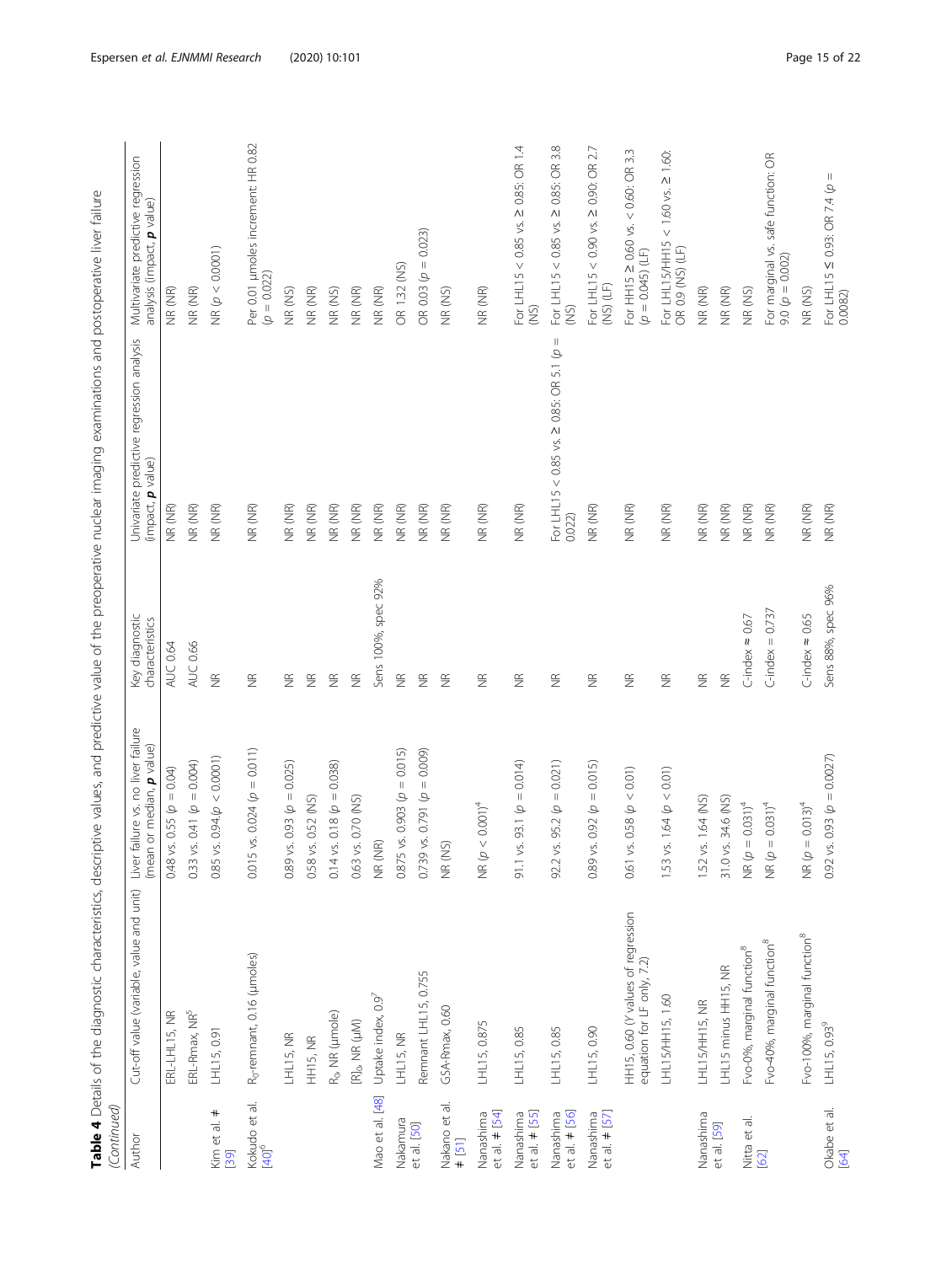| (Continued)<br>Author              | Cut-off value (variable, value and unit)                         | failure vs. no liver failure<br>(mean or median, p value)<br>Liver | Key diagnostic<br>characteristics | Univariate predictive regression analysis<br>(impact, p value)       | Multivariate predictive regression<br>analysis (impact, <b>p</b> value) |
|------------------------------------|------------------------------------------------------------------|--------------------------------------------------------------------|-----------------------------------|----------------------------------------------------------------------|-------------------------------------------------------------------------|
|                                    | ERL-LHL15, NR                                                    | vs. 0.55 ( $p = 0.04$ )<br>0.48                                    | AUC 0.64                          | NR (NR)                                                              | NR (NR)                                                                 |
|                                    | ERL-Rmax, NR <sup>5</sup>                                        | vs. 0.41 ( $p = 0.004$ )<br>0.33                                   | AUC 0.66                          | NR (NR)                                                              | NR (NR)                                                                 |
| $^{+}$<br>Kim et al.<br>[39]       | LHL15, 0.91                                                      | vs. $0.94(p < 0.0001)$<br>0.85                                     | $\widetilde{\Xi}$                 | NR (NR)                                                              | NR(p < 0.0001)                                                          |
| Kokudo et al.<br>[40] <sup>6</sup> | R <sub>o</sub> -remnant, 0.16 (µmoles)                           | $0.015$ vs. $0.024$ ( $p = 0.011$ )                                | $\widetilde{\Xi}$                 | NR (NR)                                                              | Per 0.01 µmoles increment: HR 0.82<br>$(p = 0.022)$                     |
|                                    | LHL15, NR                                                        | vs. 0.93 ( $p = 0.025$ )<br>0.89                                   | $\widetilde{\Xi}$                 | NR (NR)                                                              | NR (NS)                                                                 |
|                                    | <b>HH15, NR</b>                                                  | vs. 0.52 (NS)<br>0.58                                              | $\widetilde{\Xi}$                 | NR (NR)                                                              | NR (NR)                                                                 |
|                                    | $R_0$ , NR (µmole)                                               | vs. 0.18 ( $p = 0.038$ )<br>0.14                                   | $\widetilde{\Xi}$                 | NR (NR)                                                              | NR (NS)                                                                 |
|                                    | $[{\sf R}]_{0}$ , NR $(\mu{\sf M})$                              | vs. 0.70 (NS)<br>0.63                                              | $\widetilde{\Xi}$                 | NR (NR)                                                              | NR (NR)                                                                 |
| Mao et al. [48]                    | Uptake index, 0.97                                               | NR (NR)                                                            | Sens 100%, spec 92%               | NR (NR)                                                              | NR (NR)                                                                 |
| Nakamura                           | LHL15, NR                                                        | vs. 0.903 ( $p = 0.015$ )<br>0.875                                 | $\widetilde{\Xi}$                 | NR (NR)                                                              | OR 1.32 (NS)                                                            |
| et al. [50]                        | Remnant LHL15, 0.755                                             | $9.05.0791$ ( $p = 0.009$ )<br>0.739                               | $\widetilde{\Xi}$                 | NR (NR)                                                              | OR 0.03 ( $p = 0.023$ )                                                 |
| Nakano et al.<br>$#$ [51]          | GSA-Rmax, 0.60                                                   | NR (NS)                                                            | $\frac{\alpha}{2}$                | NR (NR)                                                              | NR (NS)                                                                 |
| et al. $\neq$ [54]<br>Nanashima    | LHL15, 0.875                                                     | $< 0.001$ <sup>4</sup><br>NR (p-                                   | $\widetilde{\Xi}$                 | NR (NR)                                                              | NR (NR)                                                                 |
| $et al. \neq [55]$<br>Nanashima    | LHL15, 0.85                                                      | vs. 93.1 ( $p = 0.014$ )<br>$-1.6$                                 | $\widetilde{\Xi}$                 | NR (NR)                                                              | For LHL15 < 0.85 vs. $\geq$ 0.85: OR 1.4<br>(S <sub>1</sub> )           |
| et al. $\neq$ [56]<br>Nanashima    | LHL15, 0.85                                                      | vs. 95.2 ( $p = 0.021$ )<br>92.2                                   | $\widetilde{\Xi}$                 | $\mid \mid$<br>For LHL15 < 0.85 vs. $\geq$ 0.85: OR 5.1 (p<br>0.022) | For LHL15 < 0.85 vs. ≥ 0.85: OR 3.8<br>(NS)                             |
| $et al. \neq [57]$<br>Nanashima    | LHL15, 0.90                                                      | vs. 0.92 ( $p = 0.015$ )<br>0.89                                   | $\widetilde{\Xi}$                 | NR (NR)                                                              | For LHL15 < 0.90 vs. $\geq$ 0.90: OR 2.7<br>$(15)$ $(LF)$               |
|                                    | HH15, 0.60 (Y values of regression<br>equation for LF only, 7.2) | vs. 0.58 ( $p < 0.01$ )<br>0.61                                    | $\widetilde{\Xi}$                 | NR (NR)                                                              | For HH15 2 0.60 vs. < 0.60: OR 3.3<br>$(p = 0.045)$ (LF)                |
|                                    | LHL15/HH15, 1.60                                                 | vs. 1.64 ( $p < 0.01$ )<br>1.53                                    | $\widetilde{\Xi}$                 | NR (NR)                                                              | For LHL15/HH15 < 1.60 vs. ≥ 1.60:<br>OR 0.9 (NS) (LF)                   |
| Nanashima                          | LHL15/HH15, NR                                                   | vs. 1.64 (NS)<br>1.52                                              | $\widetilde{\Xi}$                 | NR (NR)                                                              | NR (NR)                                                                 |
| et al. [59]                        | LHL15 minus HH15, NR                                             | vs. 34.6 (NS)<br>31.0                                              | $\widetilde{\Xi}$                 | NR (NR)                                                              | NR (NR)                                                                 |
| Nitta et al.                       | Fvo-0%, marginal function <sup>8</sup>                           | $MR(\rho = 0.031)^4$                                               | C-index $\approx 0.67$            | NR (NR)                                                              | NR (NS)                                                                 |
| [62]                               | Fvo-40%, marginal function <sup>8</sup>                          | $MR(\rho = 0.031)^4$                                               | $C$ -index = 0.737                | NR (NR)                                                              | For marginal vs. safe function: OR<br>$9.0(p = 0.002)$                  |
|                                    | Fvo-100%, marginal function <sup>8</sup>                         | $MR(\rho = 0.013)^4$                                               | C-index $\approx 0.65$            | NR (NR)                                                              | NR (NS)                                                                 |
| Okabe et al.<br>64                 | LHL15, 0.93 <sup>9</sup>                                         | vs. 0.93 ( $p = 0.0027$ )<br>$0.92^{\circ}$                        | Sens 88%, spec 96%                | NR (NR)                                                              | For LHL15 $\leq$ 0.93: OR 7.4 $\varphi$ = 0.082)                        |

and nostoperative liver failure Table 4 Details of the diagnostic characteristics, descriptive values, and predictive value of the preoperative nuclear imaging examinations and postoperative liver failure Table 4 Details of the diagnostic characteristics, descriptive values, and predictive value of the preoperative nuclear imaging examinations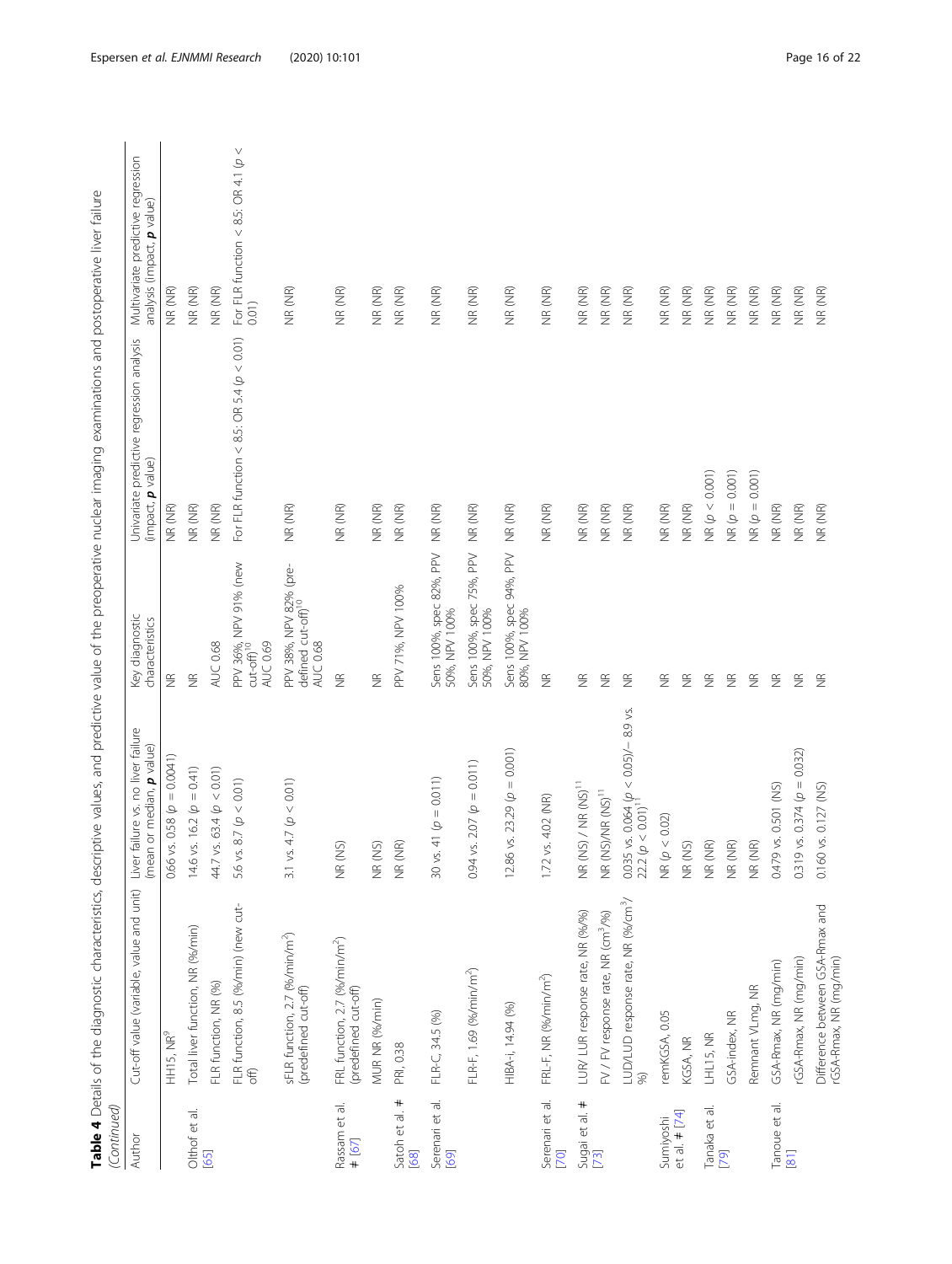| (Continued)                          |                                                                    |                                                                                             |                                                                      |                                                                |                                                                  |
|--------------------------------------|--------------------------------------------------------------------|---------------------------------------------------------------------------------------------|----------------------------------------------------------------------|----------------------------------------------------------------|------------------------------------------------------------------|
| Author                               | Cut-off value (variable, value and unit)                           | failure vs. no liver failure<br>(mean or median, p value)<br>Liver                          | Key diagnostic<br>characteristics                                    | Univariate predictive regression analysis<br>(impact, p value) | Multivariate predictive regression<br>analysis (impact, p value) |
|                                      | HH15, NR <sup>9</sup>                                              | vs. 0.58 ( $p = 0.0041$ )<br>0.66                                                           | $\widetilde{\Xi}$                                                    | NR (NR)                                                        | NR (NR)                                                          |
| Olthof et al.<br>[65]                | Total liver function, NR (%/min)                                   | vs. 16.2 ( $p = 0.41$ )<br>14.6 <sub>v</sub>                                                | $\widetilde{\Xi}$                                                    | NR (NR)                                                        | NR (NR)                                                          |
|                                      | FLR function, NR (%)                                               | vs. 63.4 ( $p < 0.01$ )<br>44.7                                                             | <b>AUC 0.68</b>                                                      | NR (NR)                                                        | NR (NR)                                                          |
|                                      | FLR function, 8.5 (%/min) (new cut-<br>$\overline{\overline{a}}$   | 8.7 (p < 0.01)<br>5.6 vs.                                                                   | PPV 36%, NPV 91% (new<br>cut-off) <sup>10</sup><br>AUC 0.69          | For FLR function < $8.5:$ OR 5.4 ( $p < 0.01$ )                | $\vee$<br>For FLR function < 8.5: OR 4.1 $(p$<br>0.01)           |
|                                      | sFLR function, 2.7 (%/min/m <sup>2</sup> )<br>(predefined cut-off) | 3.1 vs. 4.7 ( $p < 0.01$ )                                                                  | PPV 38%, NPV 82% (pre-<br>defined cut-off) <sup>10</sup><br>AUC 0.68 | NR (NR)                                                        | NR (NR)                                                          |
| Rassam et al.<br># [67]              | FRL function, 2.7 (%/min/m <sup>2</sup> )<br>(predefined cut-off)  | NR (NS)                                                                                     | $\frac{\alpha}{2}$                                                   | NR (NR)                                                        | NR (NR)                                                          |
|                                      | MUR NR (%/min)                                                     | NR (NS)                                                                                     | $\frac{\alpha}{2}$                                                   | NR (NR)                                                        | NR (NR)                                                          |
| $^{\rm +}$<br>Satoh et al.<br>68     | PRI, 0.38                                                          | NR (NR)                                                                                     | PPV 71%, NPV 100%                                                    | NR (NR)                                                        | NR (NR)                                                          |
| Serenari et al.<br>[69]              | FLR-C, 34.5 (%)                                                    | $41 \phi = 0.011$<br>$30$ vs.                                                               | Sens 100%, spec 82%, PPV<br>50%, NPV 100%                            | NR (NR)                                                        | NR (NR)                                                          |
|                                      | FLR-F, 1.69 (%/min/m <sup>2</sup> )                                | vs. 2.07 ( $p = 0.011$ )<br>0.94                                                            | Sens 100%, spec 75%, PPV<br>50%, NPV 100%                            | NR (NR)                                                        | NR (NR)                                                          |
|                                      | HIBA-i, 14.94 (%)                                                  | $= 0.001$<br>vs. 23.29 (p<br>12.86                                                          | Sens 100%, spec 94%, PPV<br>80%, NPV 100%                            | NR (NR)                                                        | NR (NR)                                                          |
| Serenari et al.<br>$\overline{[70]}$ | FRL-F, NR (%/min/m <sup>2</sup> )                                  | vs. 4.02 (NR)<br>1.72                                                                       | $\widetilde{\Xi}$                                                    | NR (NR)                                                        | NR (NR)                                                          |
| Sugai et al. #<br>[73]               | LUR/ LUR response rate, NR (%/%)                                   | NR (NS) / NR (NS) <sup>11</sup>                                                             | $\widetilde{\Xi}$                                                    | NR (NR)                                                        | NR (NR)                                                          |
|                                      | FV / FV response rate, NR (cm <sup>3</sup> /%)                     | NR (NS)/NR (NS) <sup>11</sup>                                                               | $\widetilde{\Xi}$                                                    | NR (NR)                                                        | NR (NR)                                                          |
|                                      | LUD/LUD response rate, NR (%/cm <sup>3</sup> /<br>56)              | $\frac{0.035 \text{ v s. } 0.064 \text{ (p} < 0.05)}{22.2 \text{ (p} < 0.01)}$ <sup>1</sup> | $\widetilde{\Xi}$                                                    | NR (NR)                                                        | NR (NR)                                                          |
| Sumiyoshi                            | remKGSA, 0.05                                                      | NR (p < 0.02)                                                                               | $\widetilde{\Xi}$                                                    | NR (NR)                                                        | NR (NR)                                                          |
| et al. $\neq$ [74]                   | KGSA, NR                                                           | NR (NS)                                                                                     | $\widetilde{\Xi}$                                                    | NR (NR)                                                        | NR (NR)                                                          |
| Tanaka et al.                        | LHL15, NR                                                          | NR (NR)                                                                                     | $\frac{\alpha}{2}$                                                   | NR (p < 0.001)                                                 | NR (NR)                                                          |
| [79]                                 | GSA-index, NR                                                      | NR (NR)                                                                                     | $\widetilde{\Xi}$                                                    | $MR(p = 0.001)$                                                | NR (NR)                                                          |
|                                      | Remnant VLmg, NR                                                   | NR (NR)                                                                                     | $\widetilde{\Xi}$                                                    | $MR(p = 0.001)$                                                | NR (NR)                                                          |
| Tanoue et al.                        | GSA-Rmax, NR (mg/min)                                              | 0.479 vs. 0.501 (NS)                                                                        | $\widetilde{\Xi}$                                                    | NR (NR)                                                        | NR (NR)                                                          |
| [18]                                 | GSA-Rmax, NR (mg/min)                                              | vs. 0.374 ( $p = 0.032$ )<br>0.319                                                          | $\widetilde{\Xi}$                                                    | NR (NR)                                                        | NR (NR)                                                          |
|                                      | Difference between GSA-Rmax and<br>rGSA-Rmax, NR (mg/min)          | vs. 0.127 (NS)<br>0.160                                                                     | $\widetilde{\Xi}$                                                    | NR (NR)                                                        | NR (NR)                                                          |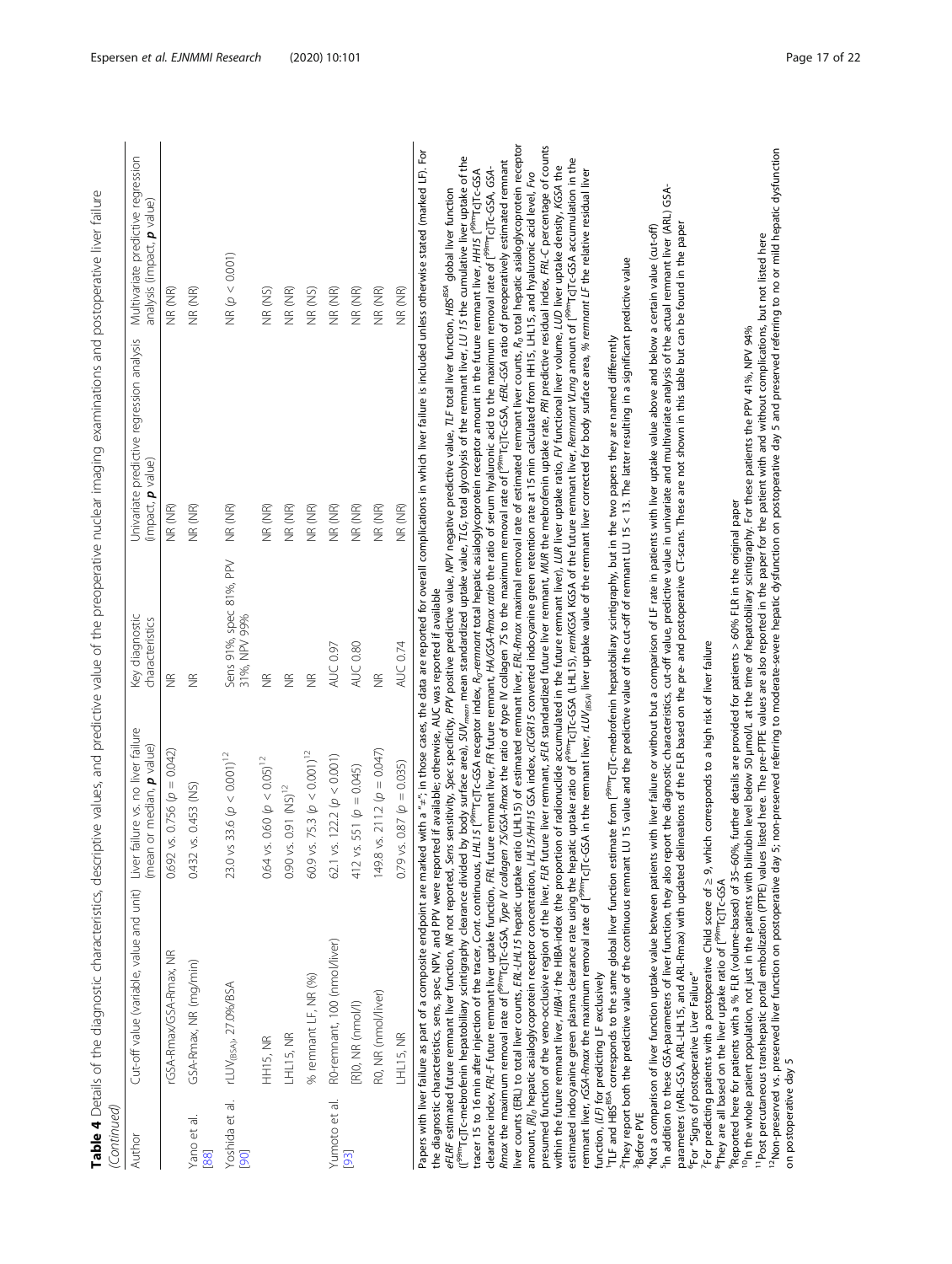|                   |                                                  |                                                               |                                         | Table 4 Details of the diagnostic characteristics, descriptive values, and predictive value of the preoperative nuclear imaging examinations and postoperative liver failure |                            |
|-------------------|--------------------------------------------------|---------------------------------------------------------------|-----------------------------------------|------------------------------------------------------------------------------------------------------------------------------------------------------------------------------|----------------------------|
| (Continued)       |                                                  |                                                               |                                         |                                                                                                                                                                              |                            |
| Author            | Cut-off value (variable, value and unit)         | iver failure vs. no liver failure<br>mean or median, p value) | Key diagnostic<br>characteristics       | Univariate predictive regression analysis Multivariate predictive regression<br>(impact, p value)                                                                            | analysis (impact, p value) |
|                   | rGSA-Rmax/GSA-Rmax, NR                           | $0.692$ vs. 0.756 ( $p = 0.042$ )                             | g                                       | NR (NR)                                                                                                                                                                      | NR (NR)                    |
| Yano et al.<br>88 | GSA-Rmax, NR (mg/min)                            | 0.432 vs. 0.453 (NS)                                          | $\frac{\alpha}{2}$                      | NR (NR)                                                                                                                                                                      | NR (NR)                    |
| 90                | Yoshida et al. rLUV <sub>(BSA)</sub> , 27.0%/BSA | 23.0 vs 33.6 ( $p < 0.001$ ) <sup>12</sup>                    | Sens 91%, spec 81%, PPV<br>31%, NPV 99% | NR (NR)                                                                                                                                                                      | NR(p < 0.001)              |
|                   | HH15, NR                                         | 0.64 vs. 0.60 ( $p < 0.05$ ) <sup>12</sup>                    | $\frac{\alpha}{Z}$                      | NR (NR)                                                                                                                                                                      | NR (NS)                    |
|                   | <b>HL15, NR</b>                                  | 0.90 vs. 0.91 (NS) <sup>12</sup>                              | $\frac{\alpha}{2}$                      | NR (NR)                                                                                                                                                                      | NR (NR)                    |
|                   | % remnant LF, NR (%)                             | 50.9 vs. 75.3 ( $p < 0.001$ ) <sup>12</sup>                   | $\frac{\alpha}{2}$                      | NR (NR)                                                                                                                                                                      | NR (NS)                    |
| Yumoto et al.     | RO-remnant, 100 (nmol/liver)                     | 52.1 vs. 122.2 ( $p < 0.001$ )                                | <b>AUC 0.97</b>                         | NR (NR)                                                                                                                                                                      | NR (NR)                    |
| $\boxed{29}$      | [R]0, NR (nmol/l)                                | 412 vs. 551 ( $p = 0.045$ )                                   | AUC 0.80                                | NR (NR)                                                                                                                                                                      | NR (NR)                    |
|                   | RO, NR (nmol/liver)                              | 49.8 vs. 211.2 ( $p = 0.047$ )                                | $\frac{\alpha}{\alpha}$                 | NR (NR)                                                                                                                                                                      | NR (NR)                    |
|                   | LHL15, NR                                        | 0.79 vs. 0.87 ( $p = 0.035$ )                                 | <b>AUC 0.74</b>                         | NR (NR)                                                                                                                                                                      | NR (NR)                    |
|                   |                                                  |                                                               |                                         |                                                                                                                                                                              |                            |

Papers with liver failure as part of a composite endpoint are marked with a "#", in those cases, the data are reported for overall complications in which liver failure is included unless otherwise stated (marked LF). For Papers with liver failure as part of a composite endpoint are marked with a "+"; in those cases, the data are reported for overall complications in which liver failure is included unless otherwise stated (marked LF). For

liver counts (ERL) to total liver counts, ERL-LHL15 hepatic uptake ratio (LHL15) of estimated remnant liver, ERL-Amax maximal removal rate of estimated remnant liver counts, R<sub>0</sub> total hepatic asialoglycoprotein receptor of counts liver counts (ERL) to total liver counts, ERL-LHL15 hepatic uptake ratio (LHL15) of estimated remnant liver, ERL-Rmax maximal removal rate of estimated remnant liver counts, R0 total hepatic asialoglycoprotein receptor presumed function of the veno-occlusive region of the liver, FLR future liver remnant, sFLR standardized future liver remnant, MUR the mebrofenin uptake rate, PRI predictive residual index, FRL-C percentage of counts ([<sup>99m</sup>Tc]Tc-mebrofenin hepatobiliary scintigraphy clearance divided by body surface area), SUV<sub>mean</sub> mean standardized uptake value, TLG, total glycolysis of the remnant liver, LU 15 the cumulative liver uptake of the ([<sup>99m</sup>C]Tc-mebrofenin hepatobiliary scintigraphy clearance divided by body surface area), SUV<sub>mean</sub> mean standardized uptake value, TLG, total glycolysis of the remnant liver, LU 15 the cumulative liver uptake of the estimated indocyanine green plasma clearance rate using the hepatic uptake ratio of f<sup>99m</sup>TcJTc-GSA (LHL15), *remKGSA* KGSA AGSA of the future remnant liver, *Remnant VLmg* amount of f<sup>99m</sup>TcJTc-GSA accumulation in the Panax the maximum removal rate of l<sup>99m</sup>TC|Tc-GSA, Type IV collagen 7S/GSA-Rmax the ratio of type IV collagen 75 to the maximum removal rate of l<sup>99m</sup>TC|Tc-GSA, rERL-GSA ratio of preoperatively estimated remnant Rmax the maximum removal rate of [<sup>99m</sup>Tc]Tc-GSA, Type IV collagen 7S/GSA-Rmax the ratio of type IV collagen 7S to the maximum removal rate of [<sup>99m</sup>Tc]Tc-GSA, rERL-GSA ratio of preoperatively estimated remnant estimated indocyanine green plasma clearance rate using the hepatic uptake ratio of [<sup>99m</sup>Tc]Tc-GSA (LHL15), *remKGSA* KGSA of the future remnant liver, *Remnant VLmg* amount of [<sup>99m</sup>Tc]Tc-GSA accumulation in the within the future remnant liver, HIBA-index (the proportion of radionuclide accumulated in the future remnant liver), LUR liver uptake ratio, FV functional liver volume, LUD liver uptake density, KGSA the clearance index, FRL-F future remnant liver uptake function, FRL future remnant liver, FR future remnant, HA/GSA-Rmax ratio the ratio of serum hyaluronic acid to the maximum removal rate of l<sup>99m</sup>TcTrc-GSA, GSAremnant liver, rGSA-Rmax the maximum removal rate of [<sup>99m</sup>Tc]Tc-GSA in the remnant liver, rLUV<sub>i854</sub>, liver vables value of the remnant liver corrected for body surface area, % remnant LF the relative residual liver clearance index, FRL-F future remnant liver uptake function, FRL future remnant liver, FR future remnant, HA/GSA-Rmax ratio of serum hyaluronic acid to the maximum removal rate of [<sup>99m</sup>Tc]Tc-GSA, GSAwithin the future remnant liver, HIBA-index (the proportion of radionuclide accumulated in the future remnant liver), LUR liver rational liver volume, LUD liver uptake density, KGSA the tracer 15 to 16 min after injection of the tracer, Cont. continuous, LHL15 [<sup>99m</sup>Tc]Tc-GSA receptor index, R<sub>o</sub>-remnant total hepatic asialoglycoprotein receptor amount in the future remnant liver, HH15 [<sup>99m</sup>Tc]Tc-GSA Tc<sub>I</sub>Tc-GSA amount, [R]<sub>o</sub> hepatic asialoglycoprotein receptor concentration, *LHL15/HH15* GSA index, c/CGR15 converted indocyanine green retention rate at 15 min calculated from HH15, LHL15, and hyaluronic acid level, Fvo remnant liver, rGSA-Rmax the maximum removal rate of [<sup>99m</sup>Tc]Tc-GSA in the remnant liver, rLUV<sub>(BSA)</sub> liver, uptake value of the remnant liver corrected for body surface area, % remnant LF the relative residual liver amount, [R]<sub>0</sub> hepatic asialoglycoprotein receptor concentration, LHL15/HH15 GSA index, *cICGR15 converted indocyanine green retention rate at 15 min calculated from HH15, LHL15, and hyaluronic acid level, Fvo* eFLAF estimated future remnant liver function, MR not reported, Sens sensitivity, Spec specificity, PPV positive predictive value, MPV negative predictive value, TLF total liver function, HBS<sup>954</sup> global liver function eFLRF estimated future remnant liver function, MR not reported, Sens sensitivity, Spec specificity, PPV positive value, NPV negative predictive value, TLF total liver function, HBS<sup>BSA</sup> global liver function presumed function of the veno-occlusive region of the liver, FLR future liver remnant, sFLR standardized future liver remnant, MUR the mebrofenin uptake rate, PRI predictive residual index, FRL-C percentage tracer 15 to 16 min after injection of the tracer, Cont. continuous, LHL15 [<sup>99</sup>"TCJTc-GSA receptor index, R<sub>o</sub>remnant total hepatic asialoglycoprotein receptor amount in the future remnant liver, HH15 [<sup>99</sup> the diagnostic characteristics, sens, spec, NPV, and PPV were reported if available; otherwise, AUC was reported if available the diagnostic characteristics, sens, spec, NPV, and PPV were reported if available; otherwise, AUC was reported if available function, (LF) for predicting LF exclusively

function, *(LP)* for predicting LF exclusively<br>"TLF and HBS<sup>ess,</sup> corresponds to the same global liver function estimate from [<sup>spm</sup>Tc]Tc-mebrofenin hepatobiliary scintigraphy, but in the two papers they are named differen They report both the predictive value of the continuous remnant LU 15 value and the predictive value of the cut-off of remnant LU 15 < 13. The latter resulting in a significant predictive value corresponds to the same global liver function estimate from [<sup>29m</sup>Tc]Tc-mebrofenin hepatobiliary scintigraphy, but in the two papers they are named differently TLF and HBS<sup>BSA</sup> **Before PVE** 

In addition to these GSA-parameters of liver function, they also report the diagnostic characteristics, cut-off value, predictive value in univariate and multivariate analysis of the actual remnant liver (ARL) GSA-"Not a comparison of liver function uptake value between patients with liver fallure or without but a comparison of LF rate in patients with liver uptake value above and below a certain value (cut-off)<br><sup>S</sup>in addition to th Not a comparison of liver function uptake value between patients with liver fallure or without but a comparison of LF rate in patients with liver uptake value above and below a certain value (cut-off) oarameters (rARL-GSA, ARL-LHL15, and ARL-Rmax) with updated delineations of the FLR based on the pre- and postoperative CT-scans. These are not shown in this table but can be found in the paper parameters (rARL-GSA, ARL-IHL15, and ARL-Rmax) with updated delineations of the FLR based on the pre- and postoperative CT-scans. These are not shown in this table but can be found in the paper<br>"For "Signs of postoperative For "Signs of postoperative Liver Failure"

For predicting patients with a postoperative Child score of > 9, which corresponds to a high risk of liver failure

<sup>8</sup>They are all based on the liver uptake ratio of [<sup>99m</sup>Tc]Tc-GSA

Reported here for patients with a % FLR (volume-based) of 35-60%, further details are provided for patients > 60% FLR in the original paper

<sup>o</sup>In the whole patient population, not just in the patients with bilirubin level below 50 µmol/L at the time of hepatobiliary scintigraphy. For these patients the PPV 41%, NPV 94% <sup>10</sup>In the whole patient population, not just in the patients with bilirubin level below 50 μmol/L at the time of hepatobiliary scintigraphy. For these patients the PPV 41%, NPV 94%

<sup>11</sup>Post percutaneous transhepatic portal embolization (PTPE) values listed here. The pre-PTPE values are also reported in the paper for the patient with and without complications, but not listed here <sup>11</sup>Post percutaneous transhepatic portal embolization (PTPE) values listed here. The pre-PTPE values are also reported in the paper for the patient with and without complications, but not listed here

<sup>12</sup>Non-preserved vs. preserved liver function on postoperative day 5; non-preserved referring to moderate-severe hepatic dysfunction on postoperative day 5 and preserved referring to no or mild hepatic dysfunction <sup>12</sup>Non-preserved vs. preserved liver function on postoperative day 5; non-preserved referring to moderate-severe hepatic dysfunction on postoperative day 5 and preserved referring to no or mild hepatic dysfunction on postoperative day 5 on postoperative day 5

 $\overline{\phantom{a}}$ 

 $\overline{\phantom{a}}$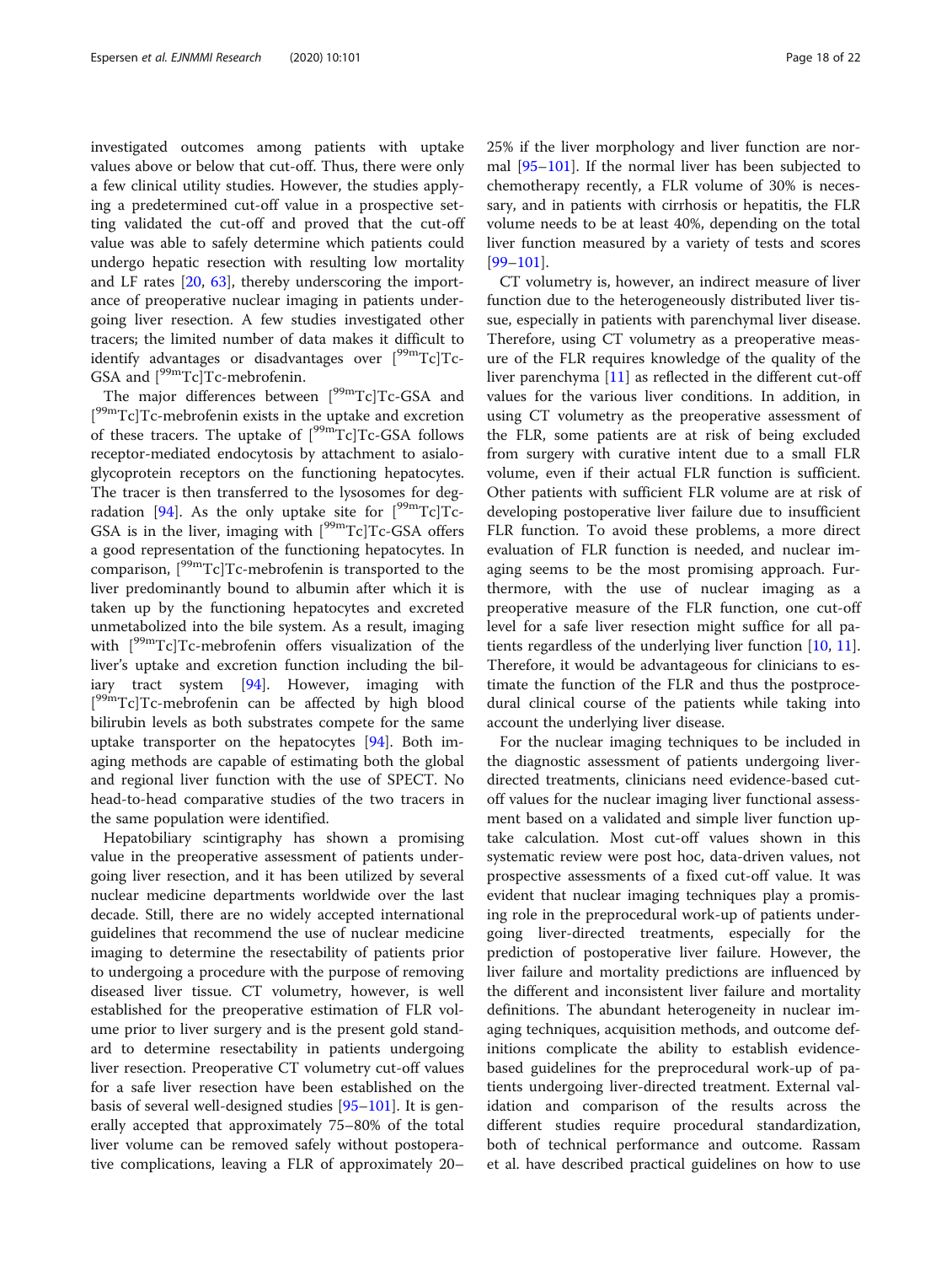investigated outcomes among patients with uptake values above or below that cut-off. Thus, there were only a few clinical utility studies. However, the studies applying a predetermined cut-off value in a prospective setting validated the cut-off and proved that the cut-off value was able to safely determine which patients could undergo hepatic resection with resulting low mortality and LF rates [\[20](#page-20-0), [63\]](#page-21-0), thereby underscoring the importance of preoperative nuclear imaging in patients undergoing liver resection. A few studies investigated other tracers; the limited number of data makes it difficult to identify advantages or disadvantages over  $[{}^{99m}Tc]Tc$ -GSA and  $[{}^{99m}Tc]Tc$ -mebrofenin.

The major differences between [<sup>99m</sup>Tc]Tc-GSA and [<sup>99m</sup>Tc]Tc-mebrofenin exists in the uptake and excretion of these tracers. The uptake of  $[{}^{99m}Tc]Tc$ -GSA follows receptor-mediated endocytosis by attachment to asialoglycoprotein receptors on the functioning hepatocytes. The tracer is then transferred to the lysosomes for deg-radation [\[94\]](#page-22-0). As the only uptake site for  $[{}^{99m}Tc]Tc$ -GSA is in the liver, imaging with  $[{}^{99m}Tc]Tc$ -GSA offers a good representation of the functioning hepatocytes. In comparison, [99mTc]Tc-mebrofenin is transported to the liver predominantly bound to albumin after which it is taken up by the functioning hepatocytes and excreted unmetabolized into the bile system. As a result, imaging with [99mTc]Tc-mebrofenin offers visualization of the liver's uptake and excretion function including the biliary tract system [[94\]](#page-22-0). However, imaging with [<sup>99m</sup>Tc]Tc-mebrofenin can be affected by high blood bilirubin levels as both substrates compete for the same uptake transporter on the hepatocytes [[94\]](#page-22-0). Both imaging methods are capable of estimating both the global and regional liver function with the use of SPECT. No head-to-head comparative studies of the two tracers in the same population were identified.

Hepatobiliary scintigraphy has shown a promising value in the preoperative assessment of patients undergoing liver resection, and it has been utilized by several nuclear medicine departments worldwide over the last decade. Still, there are no widely accepted international guidelines that recommend the use of nuclear medicine imaging to determine the resectability of patients prior to undergoing a procedure with the purpose of removing diseased liver tissue. CT volumetry, however, is well established for the preoperative estimation of FLR volume prior to liver surgery and is the present gold standard to determine resectability in patients undergoing liver resection. Preoperative CT volumetry cut-off values for a safe liver resection have been established on the basis of several well-designed studies [[95](#page-22-0)–[101](#page-22-0)]. It is generally accepted that approximately 75–80% of the total liver volume can be removed safely without postoperative complications, leaving a FLR of approximately 20–

25% if the liver morphology and liver function are normal [[95](#page-22-0)–[101](#page-22-0)]. If the normal liver has been subjected to chemotherapy recently, a FLR volume of 30% is necessary, and in patients with cirrhosis or hepatitis, the FLR volume needs to be at least 40%, depending on the total liver function measured by a variety of tests and scores [[99](#page-22-0)–[101](#page-22-0)].

CT volumetry is, however, an indirect measure of liver function due to the heterogeneously distributed liver tissue, especially in patients with parenchymal liver disease. Therefore, using CT volumetry as a preoperative measure of the FLR requires knowledge of the quality of the liver parenchyma [\[11](#page-20-0)] as reflected in the different cut-off values for the various liver conditions. In addition, in using CT volumetry as the preoperative assessment of the FLR, some patients are at risk of being excluded from surgery with curative intent due to a small FLR volume, even if their actual FLR function is sufficient. Other patients with sufficient FLR volume are at risk of developing postoperative liver failure due to insufficient FLR function. To avoid these problems, a more direct evaluation of FLR function is needed, and nuclear imaging seems to be the most promising approach. Furthermore, with the use of nuclear imaging as a preoperative measure of the FLR function, one cut-off level for a safe liver resection might suffice for all patients regardless of the underlying liver function [\[10](#page-20-0), [11](#page-20-0)]. Therefore, it would be advantageous for clinicians to estimate the function of the FLR and thus the postprocedural clinical course of the patients while taking into account the underlying liver disease.

For the nuclear imaging techniques to be included in the diagnostic assessment of patients undergoing liverdirected treatments, clinicians need evidence-based cutoff values for the nuclear imaging liver functional assessment based on a validated and simple liver function uptake calculation. Most cut-off values shown in this systematic review were post hoc, data-driven values, not prospective assessments of a fixed cut-off value. It was evident that nuclear imaging techniques play a promising role in the preprocedural work-up of patients undergoing liver-directed treatments, especially for the prediction of postoperative liver failure. However, the liver failure and mortality predictions are influenced by the different and inconsistent liver failure and mortality definitions. The abundant heterogeneity in nuclear imaging techniques, acquisition methods, and outcome definitions complicate the ability to establish evidencebased guidelines for the preprocedural work-up of patients undergoing liver-directed treatment. External validation and comparison of the results across the different studies require procedural standardization, both of technical performance and outcome. Rassam et al. have described practical guidelines on how to use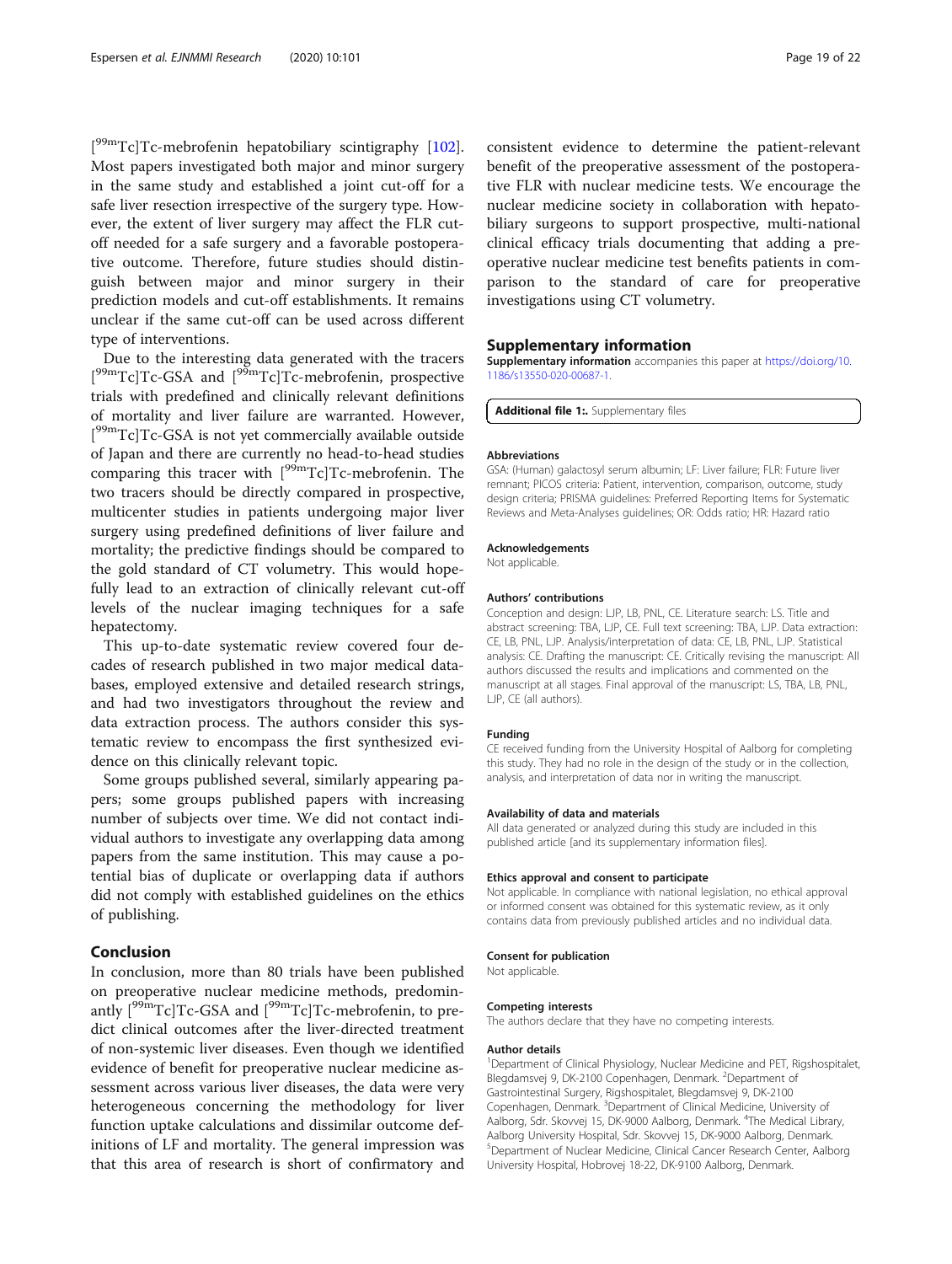<span id="page-19-0"></span>[<sup>99m</sup>Tc]Tc-mebrofenin hepatobiliary scintigraphy [\[102](#page-22-0)]. Most papers investigated both major and minor surgery in the same study and established a joint cut-off for a safe liver resection irrespective of the surgery type. However, the extent of liver surgery may affect the FLR cutoff needed for a safe surgery and a favorable postoperative outcome. Therefore, future studies should distinguish between major and minor surgery in their prediction models and cut-off establishments. It remains unclear if the same cut-off can be used across different type of interventions.

Due to the interesting data generated with the tracers [<sup>99m</sup>Tc]Tc-GSA and [<sup>99m</sup>Tc]Tc-mebrofenin, prospective trials with predefined and clinically relevant definitions of mortality and liver failure are warranted. However, [<sup>99m</sup>Tc]Tc-GSA is not yet commercially available outside of Japan and there are currently no head-to-head studies comparing this tracer with  $[{}^{99m}Tc]Tc$ -mebrofenin. The two tracers should be directly compared in prospective, multicenter studies in patients undergoing major liver surgery using predefined definitions of liver failure and mortality; the predictive findings should be compared to the gold standard of CT volumetry. This would hopefully lead to an extraction of clinically relevant cut-off levels of the nuclear imaging techniques for a safe hepatectomy.

This up-to-date systematic review covered four decades of research published in two major medical databases, employed extensive and detailed research strings, and had two investigators throughout the review and data extraction process. The authors consider this systematic review to encompass the first synthesized evidence on this clinically relevant topic.

Some groups published several, similarly appearing papers; some groups published papers with increasing number of subjects over time. We did not contact individual authors to investigate any overlapping data among papers from the same institution. This may cause a potential bias of duplicate or overlapping data if authors did not comply with established guidelines on the ethics of publishing.

## Conclusion

In conclusion, more than 80 trials have been published on preoperative nuclear medicine methods, predominantly  $[{}^{99m}Tc]Tc$ -GSA and  $[{}^{99m}Tc]Tc$ -mebrofenin, to predict clinical outcomes after the liver-directed treatment of non-systemic liver diseases. Even though we identified evidence of benefit for preoperative nuclear medicine assessment across various liver diseases, the data were very heterogeneous concerning the methodology for liver function uptake calculations and dissimilar outcome definitions of LF and mortality. The general impression was that this area of research is short of confirmatory and

consistent evidence to determine the patient-relevant benefit of the preoperative assessment of the postoperative FLR with nuclear medicine tests. We encourage the nuclear medicine society in collaboration with hepatobiliary surgeons to support prospective, multi-national clinical efficacy trials documenting that adding a preoperative nuclear medicine test benefits patients in comparison to the standard of care for preoperative investigations using CT volumetry.

### Supplementary information

Supplementary information accompanies this paper at [https://doi.org/10.](https://doi.org/10.1186/s13550-020-00687-1) [1186/s13550-020-00687-1](https://doi.org/10.1186/s13550-020-00687-1).

Additional file 1:. Supplementary files

#### Abbreviations

GSA: (Human) galactosyl serum albumin; LF: Liver failure; FLR: Future liver remnant; PICOS criteria: Patient, intervention, comparison, outcome, study design criteria; PRISMA guidelines: Preferred Reporting Items for Systematic Reviews and Meta-Analyses guidelines; OR: Odds ratio; HR: Hazard ratio

#### Acknowledgements

Not applicable.

#### Authors' contributions

Conception and design: LJP, LB, PNL, CE. Literature search: LS. Title and abstract screening: TBA, LJP, CE. Full text screening: TBA, LJP. Data extraction: CE, LB, PNL, LJP. Analysis/interpretation of data: CE, LB, PNL, LJP. Statistical analysis: CE. Drafting the manuscript: CE. Critically revising the manuscript: All authors discussed the results and implications and commented on the manuscript at all stages. Final approval of the manuscript: LS, TBA, LB, PNL, LJP, CE (all authors).

#### Funding

CE received funding from the University Hospital of Aalborg for completing this study. They had no role in the design of the study or in the collection, analysis, and interpretation of data nor in writing the manuscript.

#### Availability of data and materials

All data generated or analyzed during this study are included in this published article [and its supplementary information files].

#### Ethics approval and consent to participate

Not applicable. In compliance with national legislation, no ethical approval or informed consent was obtained for this systematic review, as it only contains data from previously published articles and no individual data.

#### Consent for publication

Not applicable.

#### Competing interests

The authors declare that they have no competing interests.

#### Author details

<sup>1</sup>Department of Clinical Physiology, Nuclear Medicine and PET, Rigshospitalet, Blegdamsvej 9, DK-2100 Copenhagen, Denmark. <sup>2</sup>Department of Gastrointestinal Surgery, Rigshospitalet, Blegdamsvej 9, DK-2100 Copenhagen, Denmark. <sup>3</sup>Department of Clinical Medicine, University of Aalborg, Sdr. Skovvej 15, DK-9000 Aalborg, Denmark. <sup>4</sup>The Medical Library, Aalborg University Hospital, Sdr. Skovvej 15, DK-9000 Aalborg, Denmark. 5 Department of Nuclear Medicine, Clinical Cancer Research Center, Aalborg University Hospital, Hobrovej 18-22, DK-9100 Aalborg, Denmark.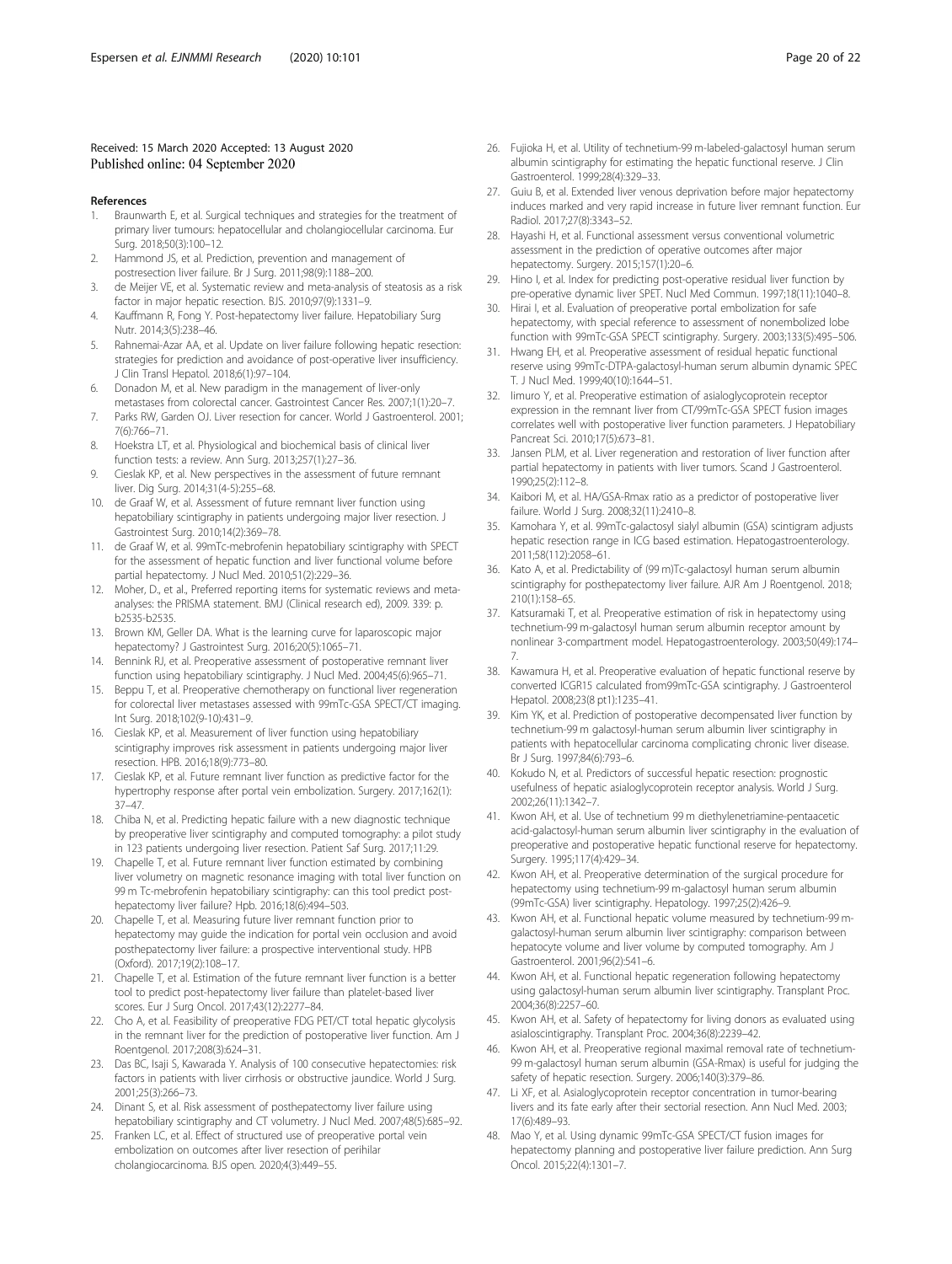#### <span id="page-20-0"></span>Received: 15 March 2020 Accepted: 13 August 2020 Published online: 04 September 2020

#### References

- 1. Braunwarth E, et al. Surgical techniques and strategies for the treatment of primary liver tumours: hepatocellular and cholangiocellular carcinoma. Eur Surg. 2018;50(3):100–12.
- 2. Hammond JS, et al. Prediction, prevention and management of postresection liver failure. Br J Surg. 2011;98(9):1188–200.
- 3. de Meijer VE, et al. Systematic review and meta-analysis of steatosis as a risk factor in major hepatic resection. BJS. 2010;97(9):1331–9.
- 4. Kauffmann R, Fong Y. Post-hepatectomy liver failure. Hepatobiliary Surg Nutr. 2014;3(5):238–46.
- 5. Rahnemai-Azar AA, et al. Update on liver failure following hepatic resection: strategies for prediction and avoidance of post-operative liver insufficiency. J Clin Transl Hepatol. 2018;6(1):97–104.
- 6. Donadon M, et al. New paradigm in the management of liver-only
- metastases from colorectal cancer. Gastrointest Cancer Res. 2007;1(1):20–7. 7. Parks RW, Garden OJ. Liver resection for cancer. World J Gastroenterol. 2001; 7(6):766–71.
- 8. Hoekstra LT, et al. Physiological and biochemical basis of clinical liver function tests: a review. Ann Surg. 2013;257(1):27–36.
- 9. Cieslak KP, et al. New perspectives in the assessment of future remnant liver. Dig Surg. 2014;31(4-5):255–68.
- 10. de Graaf W, et al. Assessment of future remnant liver function using hepatobiliary scintigraphy in patients undergoing major liver resection. J Gastrointest Surg. 2010;14(2):369–78.
- 11. de Graaf W, et al. 99mTc-mebrofenin hepatobiliary scintigraphy with SPECT for the assessment of hepatic function and liver functional volume before partial hepatectomy. J Nucl Med. 2010;51(2):229–36.
- 12. Moher, D., et al., Preferred reporting items for systematic reviews and metaanalyses: the PRISMA statement. BMJ (Clinical research ed), 2009. 339: p. b2535-b2535.
- 13. Brown KM, Geller DA. What is the learning curve for laparoscopic major hepatectomy? J Gastrointest Surg. 2016;20(5):1065–71.
- 14. Bennink RJ, et al. Preoperative assessment of postoperative remnant liver function using hepatobiliary scintigraphy. J Nucl Med. 2004;45(6):965–71.
- 15. Beppu T, et al. Preoperative chemotherapy on functional liver regeneration for colorectal liver metastases assessed with 99mTc-GSA SPECT/CT imaging. Int Surg. 2018;102(9-10):431–9.
- 16. Cieslak KP, et al. Measurement of liver function using hepatobiliary scintigraphy improves risk assessment in patients undergoing major liver resection. HPB. 2016;18(9):773–80.
- 17. Cieslak KP, et al. Future remnant liver function as predictive factor for the hypertrophy response after portal vein embolization. Surgery. 2017;162(1): 37–47.
- 18. Chiba N, et al. Predicting hepatic failure with a new diagnostic technique by preoperative liver scintigraphy and computed tomography: a pilot study in 123 patients undergoing liver resection. Patient Saf Surg. 2017;11:29.
- 19. Chapelle T, et al. Future remnant liver function estimated by combining liver volumetry on magnetic resonance imaging with total liver function on 99 m Tc-mebrofenin hepatobiliary scintigraphy: can this tool predict posthepatectomy liver failure? Hpb. 2016;18(6):494–503.
- 20. Chapelle T, et al. Measuring future liver remnant function prior to hepatectomy may guide the indication for portal vein occlusion and avoid posthepatectomy liver failure: a prospective interventional study. HPB (Oxford). 2017;19(2):108–17.
- 21. Chapelle T, et al. Estimation of the future remnant liver function is a better tool to predict post-hepatectomy liver failure than platelet-based liver scores. Eur J Surg Oncol. 2017;43(12):2277–84.
- 22. Cho A, et al. Feasibility of preoperative FDG PET/CT total hepatic glycolysis in the remnant liver for the prediction of postoperative liver function. Am J Roentgenol. 2017;208(3):624–31.
- 23. Das BC, Isaji S, Kawarada Y. Analysis of 100 consecutive hepatectomies: risk factors in patients with liver cirrhosis or obstructive jaundice. World J Surg. 2001;25(3):266–73.
- 24. Dinant S, et al. Risk assessment of posthepatectomy liver failure using hepatobiliary scintigraphy and CT volumetry. J Nucl Med. 2007;48(5):685–92.
- 25. Franken LC, et al. Effect of structured use of preoperative portal vein embolization on outcomes after liver resection of perihilar cholangiocarcinoma. BJS open. 2020;4(3):449–55.
- 26. Fujioka H, et al. Utility of technetium-99 m-labeled-galactosyl human serum albumin scintigraphy for estimating the hepatic functional reserve. J Clin Gastroenterol. 1999;28(4):329–33.
- 27. Guiu B, et al. Extended liver venous deprivation before major hepatectomy induces marked and very rapid increase in future liver remnant function. Eur Radiol. 2017;27(8):3343–52.
- Hayashi H, et al. Functional assessment versus conventional volumetric assessment in the prediction of operative outcomes after major hepatectomy. Surgery. 2015;157(1):20–6.
- 29. Hino I, et al. Index for predicting post-operative residual liver function by pre-operative dynamic liver SPET. Nucl Med Commun. 1997;18(11):1040–8.
- 30. Hirai I, et al. Evaluation of preoperative portal embolization for safe hepatectomy, with special reference to assessment of nonembolized lobe function with 99mTc-GSA SPECT scintigraphy. Surgery. 2003;133(5):495–506.
- 31. Hwang EH, et al. Preoperative assessment of residual hepatic functional reserve using 99mTc-DTPA-galactosyl-human serum albumin dynamic SPEC T. J Nucl Med. 1999;40(10):1644–51.
- 32. Iimuro Y, et al. Preoperative estimation of asialoglycoprotein receptor expression in the remnant liver from CT/99mTc-GSA SPECT fusion images correlates well with postoperative liver function parameters. J Hepatobiliary Pancreat Sci. 2010;17(5):673–81.
- 33. Jansen PLM, et al. Liver regeneration and restoration of liver function after partial hepatectomy in patients with liver tumors. Scand J Gastroenterol. 1990;25(2):112–8.
- 34. Kaibori M, et al. HA/GSA-Rmax ratio as a predictor of postoperative liver failure. World J Surg. 2008;32(11):2410–8.
- 35. Kamohara Y, et al. 99mTc-galactosyl sialyl albumin (GSA) scintigram adjusts hepatic resection range in ICG based estimation. Hepatogastroenterology. 2011;58(112):2058–61.
- 36. Kato A, et al. Predictability of (99 m)Tc-galactosyl human serum albumin scintigraphy for posthepatectomy liver failure. AJR Am J Roentgenol. 2018; 210(1):158–65.
- 37. Katsuramaki T, et al. Preoperative estimation of risk in hepatectomy using technetium-99 m-galactosyl human serum albumin receptor amount by nonlinear 3-compartment model. Hepatogastroenterology. 2003;50(49):174– 7.
- 38. Kawamura H, et al. Preoperative evaluation of hepatic functional reserve by converted ICGR15 calculated from99mTc-GSA scintigraphy. J Gastroenterol Hepatol. 2008;23(8 pt1):1235–41.
- 39. Kim YK, et al. Prediction of postoperative decompensated liver function by technetium-99 m galactosyl-human serum albumin liver scintigraphy in patients with hepatocellular carcinoma complicating chronic liver disease. Br J Surg. 1997;84(6):793–6.
- 40. Kokudo N, et al. Predictors of successful hepatic resection: prognostic usefulness of hepatic asialoglycoprotein receptor analysis. World J Surg. 2002;26(11):1342–7.
- 41. Kwon AH, et al. Use of technetium 99 m diethylenetriamine-pentaacetic acid-galactosyl-human serum albumin liver scintigraphy in the evaluation of preoperative and postoperative hepatic functional reserve for hepatectomy. Surgery. 1995;117(4):429–34.
- 42. Kwon AH, et al. Preoperative determination of the surgical procedure for hepatectomy using technetium-99 m-galactosyl human serum albumin (99mTc-GSA) liver scintigraphy. Hepatology. 1997;25(2):426–9.
- 43. Kwon AH, et al. Functional hepatic volume measured by technetium-99 mgalactosyl-human serum albumin liver scintigraphy: comparison between hepatocyte volume and liver volume by computed tomography. Am J Gastroenterol. 2001;96(2):541–6.
- 44. Kwon AH, et al. Functional hepatic regeneration following hepatectomy using galactosyl-human serum albumin liver scintigraphy. Transplant Proc. 2004;36(8):2257–60.
- Kwon AH, et al. Safety of hepatectomy for living donors as evaluated using asialoscintigraphy. Transplant Proc. 2004;36(8):2239–42.
- 46. Kwon AH, et al. Preoperative regional maximal removal rate of technetium-99 m-galactosyl human serum albumin (GSA-Rmax) is useful for judging the safety of hepatic resection. Surgery. 2006;140(3):379–86.
- 47. Li XF, et al. Asialoglycoprotein receptor concentration in tumor-bearing livers and its fate early after their sectorial resection. Ann Nucl Med. 2003; 17(6):489–93.
- 48. Mao Y, et al. Using dynamic 99mTc-GSA SPECT/CT fusion images for hepatectomy planning and postoperative liver failure prediction. Ann Surg Oncol. 2015;22(4):1301–7.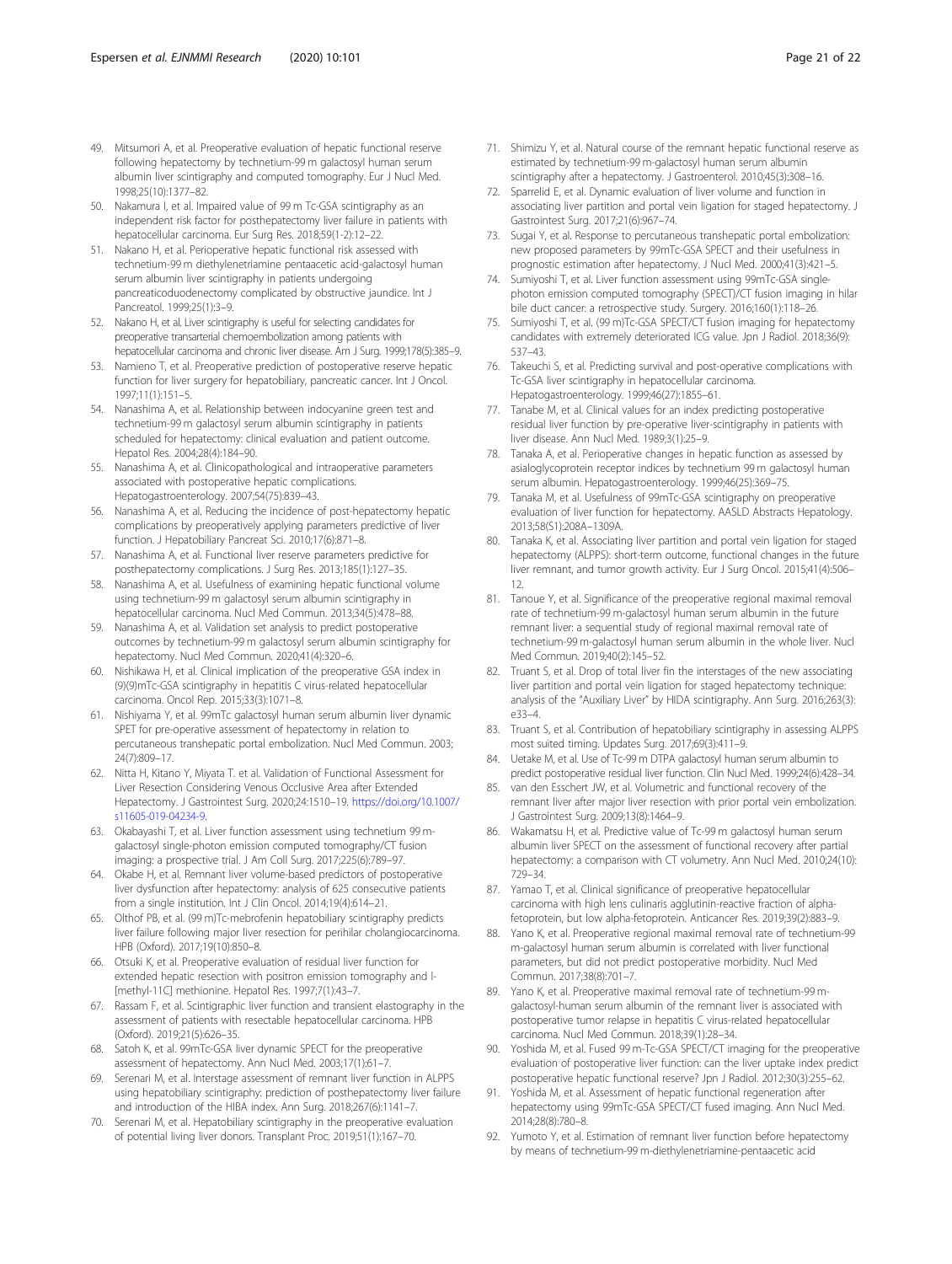- <span id="page-21-0"></span>49. Mitsumori A, et al. Preoperative evaluation of hepatic functional reserve following hepatectomy by technetium-99 m galactosyl human serum albumin liver scintigraphy and computed tomography. Eur J Nucl Med. 1998;25(10):1377–82.
- 50. Nakamura I, et al. Impaired value of 99 m Tc-GSA scintigraphy as an independent risk factor for posthepatectomy liver failure in patients with hepatocellular carcinoma. Eur Surg Res. 2018;59(1-2):12–22.
- 51. Nakano H, et al. Perioperative hepatic functional risk assessed with technetium-99 m diethylenetriamine pentaacetic acid-galactosyl human serum albumin liver scintigraphy in patients undergoing pancreaticoduodenectomy complicated by obstructive jaundice. Int J Pancreatol. 1999;25(1):3–9.
- 52. Nakano H, et al. Liver scintigraphy is useful for selecting candidates for preoperative transarterial chemoembolization among patients with hepatocellular carcinoma and chronic liver disease. Am J Surg. 1999;178(5):385–9.
- 53. Namieno T, et al. Preoperative prediction of postoperative reserve hepatic function for liver surgery for hepatobiliary, pancreatic cancer. Int J Oncol. 1997;11(1):151–5.
- 54. Nanashima A, et al. Relationship between indocyanine green test and technetium-99 m galactosyl serum albumin scintigraphy in patients scheduled for hepatectomy: clinical evaluation and patient outcome. Hepatol Res. 2004;28(4):184–90.
- 55. Nanashima A, et al. Clinicopathological and intraoperative parameters associated with postoperative hepatic complications. Hepatogastroenterology. 2007;54(75):839–43.
- 56. Nanashima A, et al. Reducing the incidence of post-hepatectomy hepatic complications by preoperatively applying parameters predictive of liver function. J Hepatobiliary Pancreat Sci. 2010;17(6):871–8.
- 57. Nanashima A, et al. Functional liver reserve parameters predictive for posthepatectomy complications. J Surg Res. 2013;185(1):127–35.
- 58. Nanashima A, et al. Usefulness of examining hepatic functional volume using technetium-99 m galactosyl serum albumin scintigraphy in hepatocellular carcinoma. Nucl Med Commun. 2013;34(5):478–88.
- 59. Nanashima A, et al. Validation set analysis to predict postoperative outcomes by technetium-99 m galactosyl serum albumin scintigraphy for hepatectomy. Nucl Med Commun. 2020;41(4):320–6.
- 60. Nishikawa H, et al. Clinical implication of the preoperative GSA index in (9)(9)mTc-GSA scintigraphy in hepatitis C virus-related hepatocellular carcinoma. Oncol Rep. 2015;33(3):1071–8.
- 61. Nishiyama Y, et al. 99mTc galactosyl human serum albumin liver dynamic SPET for pre-operative assessment of hepatectomy in relation to percutaneous transhepatic portal embolization. Nucl Med Commun. 2003; 24(7):809–17.
- 62. Nitta H, Kitano Y, Miyata T. et al. Validation of Functional Assessment for Liver Resection Considering Venous Occlusive Area after Extended Hepatectomy. J Gastrointest Surg. 2020;24:1510–19. [https://doi.org/10.1007/](https://doi.org/10.1007/s11605-019-04234-9) [s11605-019-04234-9](https://doi.org/10.1007/s11605-019-04234-9).
- 63. Okabayashi T, et al. Liver function assessment using technetium 99 mgalactosyl single-photon emission computed tomography/CT fusion imaging: a prospective trial. J Am Coll Surg. 2017;225(6):789–97.
- 64. Okabe H, et al. Remnant liver volume-based predictors of postoperative liver dysfunction after hepatectomy: analysis of 625 consecutive patients from a single institution. Int J Clin Oncol. 2014;19(4):614–21.
- 65. Olthof PB, et al. (99 m)Tc-mebrofenin hepatobiliary scintigraphy predicts liver failure following major liver resection for perihilar cholangiocarcinoma. HPB (Oxford). 2017;19(10):850–8.
- 66. Otsuki K, et al. Preoperative evaluation of residual liver function for extended hepatic resection with positron emission tomography and l- [methyl-11C] methionine. Hepatol Res. 1997;7(1):43–7.
- 67. Rassam F, et al. Scintigraphic liver function and transient elastography in the assessment of patients with resectable hepatocellular carcinoma. HPB (Oxford). 2019;21(5):626–35.
- 68. Satoh K, et al. 99mTc-GSA liver dynamic SPECT for the preoperative assessment of hepatectomy. Ann Nucl Med. 2003;17(1):61–7.
- 69. Serenari M, et al. Interstage assessment of remnant liver function in ALPPS using hepatobiliary scintigraphy: prediction of posthepatectomy liver failure and introduction of the HIBA index. Ann Surg. 2018;267(6):1141–7.
- 70. Serenari M, et al. Hepatobiliary scintigraphy in the preoperative evaluation of potential living liver donors. Transplant Proc. 2019;51(1):167–70.
- 71. Shimizu Y, et al. Natural course of the remnant hepatic functional reserve as estimated by technetium-99 m-galactosyl human serum albumin scintigraphy after a hepatectomy. J Gastroenterol. 2010;45(3):308–16.
- 72. Sparrelid E, et al. Dynamic evaluation of liver volume and function in associating liver partition and portal vein ligation for staged hepatectomy. J Gastrointest Surg. 2017;21(6):967–74.
- 73. Sugai Y, et al. Response to percutaneous transhepatic portal embolization: new proposed parameters by 99mTc-GSA SPECT and their usefulness in prognostic estimation after hepatectomy. J Nucl Med. 2000;41(3):421–5.
- 74. Sumiyoshi T, et al. Liver function assessment using 99mTc-GSA singlephoton emission computed tomography (SPECT)/CT fusion imaging in hilar bile duct cancer: a retrospective study. Surgery. 2016;160(1):118–26.
- 75. Sumiyoshi T, et al. (99 m)Tc-GSA SPECT/CT fusion imaging for hepatectomy candidates with extremely deteriorated ICG value. Jpn J Radiol. 2018;36(9): 537–43.
- 76. Takeuchi S, et al. Predicting survival and post-operative complications with Tc-GSA liver scintigraphy in hepatocellular carcinoma. Hepatogastroenterology. 1999;46(27):1855–61.
- 77. Tanabe M, et al. Clinical values for an index predicting postoperative residual liver function by pre-operative liver-scintigraphy in patients with liver disease. Ann Nucl Med. 1989;3(1):25–9.
- 78. Tanaka A, et al. Perioperative changes in hepatic function as assessed by asialoglycoprotein receptor indices by technetium 99 m galactosyl human serum albumin. Hepatogastroenterology. 1999;46(25):369–75.
- 79. Tanaka M, et al. Usefulness of 99mTc-GSA scintigraphy on preoperative evaluation of liver function for hepatectomy. AASLD Abstracts Hepatology. 2013;58(S1):208A–1309A.
- 80. Tanaka K, et al. Associating liver partition and portal vein ligation for staged hepatectomy (ALPPS): short-term outcome, functional changes in the future liver remnant, and tumor growth activity. Eur J Surg Oncol. 2015;41(4):506– 12.
- 81. Tanoue Y, et al. Significance of the preoperative regional maximal removal rate of technetium-99 m-galactosyl human serum albumin in the future remnant liver: a sequential study of regional maximal removal rate of technetium-99 m-galactosyl human serum albumin in the whole liver. Nucl Med Commun. 2019;40(2):145–52.
- 82. Truant S, et al. Drop of total liver fin the interstages of the new associating liver partition and portal vein ligation for staged hepatectomy technique: analysis of the "Auxiliary Liver" by HIDA scintigraphy. Ann Surg. 2016;263(3): e33–4.
- 83. Truant S, et al. Contribution of hepatobiliary scintigraphy in assessing ALPPS most suited timing. Updates Surg. 2017;69(3):411–9.
- 84. Uetake M, et al. Use of Tc-99 m DTPA galactosyl human serum albumin to predict postoperative residual liver function. Clin Nucl Med. 1999;24(6):428–34.
- 85. van den Esschert JW, et al. Volumetric and functional recovery of the remnant liver after major liver resection with prior portal vein embolization. J Gastrointest Surg. 2009;13(8):1464–9.
- 86. Wakamatsu H, et al. Predictive value of Tc-99 m galactosyl human serum albumin liver SPECT on the assessment of functional recovery after partial hepatectomy: a comparison with CT volumetry. Ann Nucl Med. 2010;24(10): 729–34.
- 87. Yamao T, et al. Clinical significance of preoperative hepatocellular carcinoma with high lens culinaris agglutinin-reactive fraction of alphafetoprotein, but low alpha-fetoprotein. Anticancer Res. 2019;39(2):883–9.
- 88. Yano K, et al. Preoperative regional maximal removal rate of technetium-99 m-galactosyl human serum albumin is correlated with liver functional parameters, but did not predict postoperative morbidity. Nucl Med Commun. 2017;38(8):701–7.
- 89. Yano K, et al. Preoperative maximal removal rate of technetium-99 mgalactosyl-human serum albumin of the remnant liver is associated with postoperative tumor relapse in hepatitis C virus-related hepatocellular carcinoma. Nucl Med Commun. 2018;39(1):28–34.
- 90. Yoshida M, et al. Fused 99 m-Tc-GSA SPECT/CT imaging for the preoperative evaluation of postoperative liver function: can the liver uptake index predict postoperative hepatic functional reserve? Jpn J Radiol. 2012;30(3):255–62.
- 91. Yoshida M, et al. Assessment of hepatic functional regeneration after hepatectomy using 99mTc-GSA SPECT/CT fused imaging. Ann Nucl Med. 2014;28(8):780–8.
- Yumoto Y, et al. Estimation of remnant liver function before hepatectomy by means of technetium-99 m-diethylenetriamine-pentaacetic acid